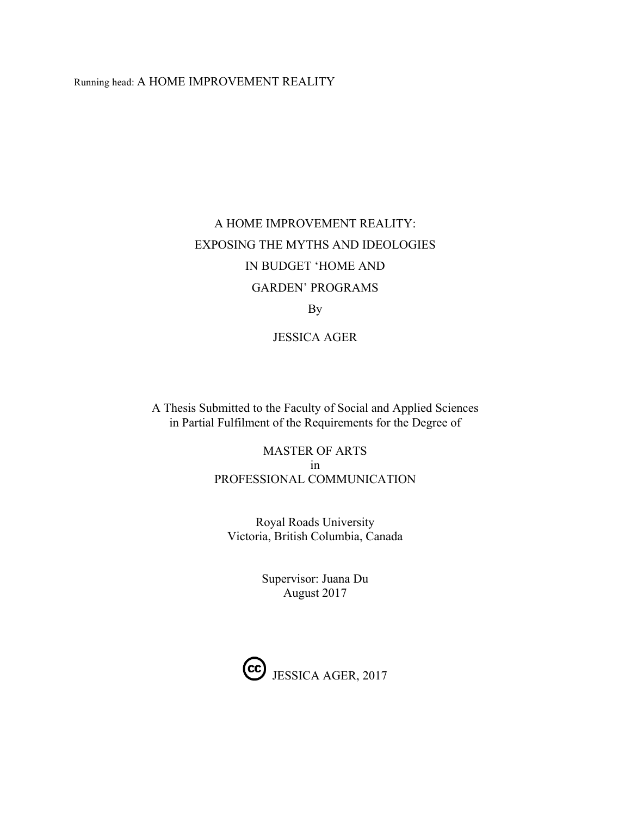#### Running head: A HOME IMPROVEMENT REALITY

# A HOME IMPROVEMENT REALITY: EXPOSING THE MYTHS AND IDEOLOGIES IN BUDGET 'HOME AND GARDEN' PROGRAMS

By

JESSICA AGER

A Thesis Submitted to the Faculty of Social and Applied Sciences in Partial Fulfilment of the Requirements for the Degree of

> MASTER OF ARTS in PROFESSIONAL COMMUNICATION

Royal Roads University Victoria, British Columbia, Canada

> Supervisor: Juana Du August 2017

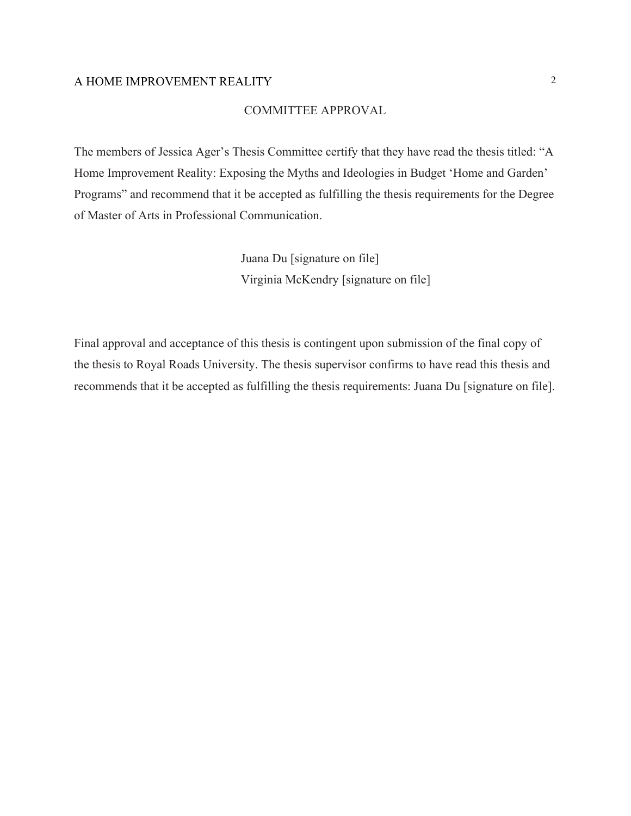#### COMMITTEE APPROVAL

The members of Jessica Ager's Thesis Committee certify that they have read the thesis titled: "A Home Improvement Reality: Exposing the Myths and Ideologies in Budget 'Home and Garden' Programs" and recommend that it be accepted as fulfilling the thesis requirements for the Degree of Master of Arts in Professional Communication.

> Juana Du [signature on file] Virginia McKendry [signature on file]

Final approval and acceptance of this thesis is contingent upon submission of the final copy of the thesis to Royal Roads University. The thesis supervisor confirms to have read this thesis and recommends that it be accepted as fulfilling the thesis requirements: Juana Du [signature on file].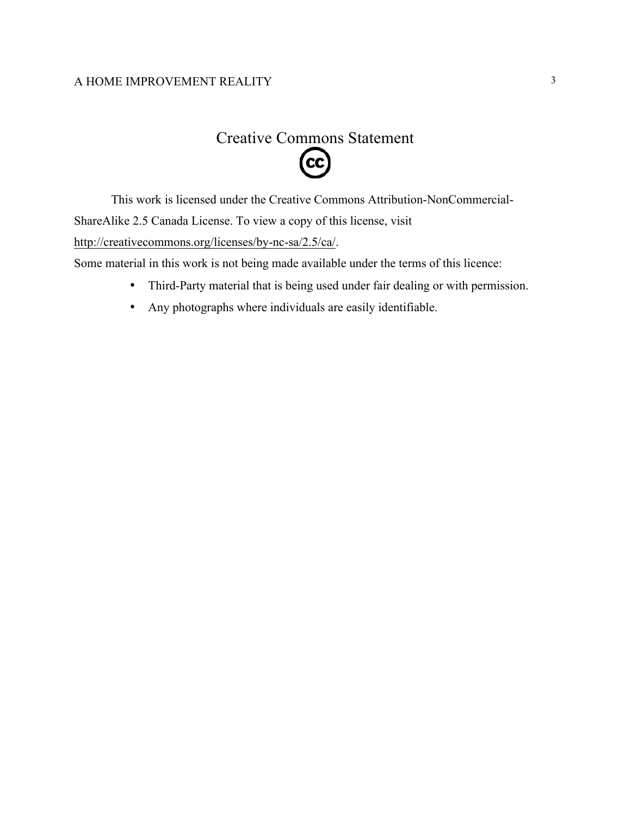# Creative Commons Statement  $\left(\mathrm{c}\mathrm{c}\right)$

This work is licensed under the Creative Commons Attribution-NonCommercial-ShareAlike 2.5 Canada License. To view a copy of this license, visit

[http://creativecommons.org/licenses/by-nc-sa/2.5/ca/.](http://creativecommons.org/licenses/by-nc-sa/2.5/ca/)

Some material in this work is not being made available under the terms of this licence:

- Third-Party material that is being used under fair dealing or with permission.
- Any photographs where individuals are easily identifiable.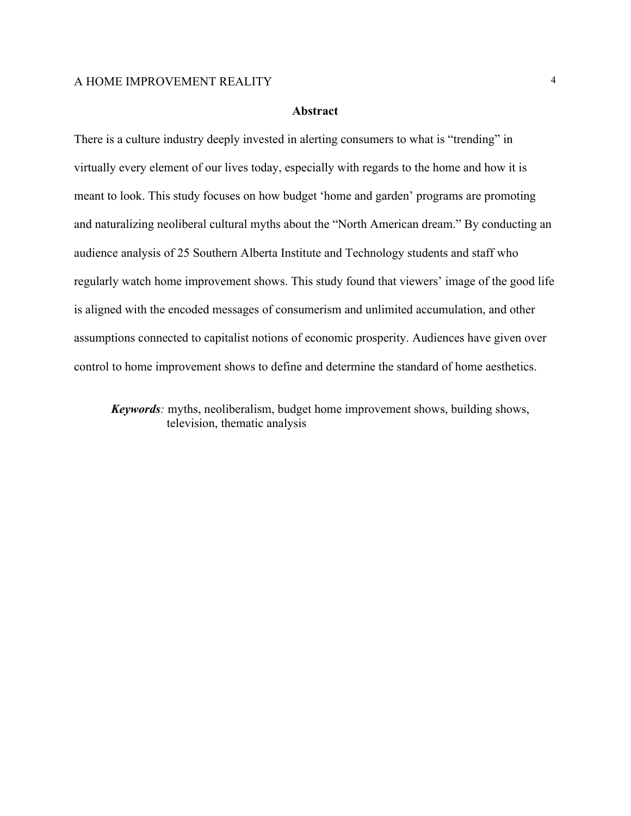#### **Abstract**

There is a culture industry deeply invested in alerting consumers to what is "trending" in virtually every element of our lives today, especially with regards to the home and how it is meant to look. This study focuses on how budget 'home and garden' programs are promoting and naturalizing neoliberal cultural myths about the "North American dream." By conducting an audience analysis of 25 Southern Alberta Institute and Technology students and staff who regularly watch home improvement shows. This study found that viewers' image of the good life is aligned with the encoded messages of consumerism and unlimited accumulation, and other assumptions connected to capitalist notions of economic prosperity. Audiences have given over control to home improvement shows to define and determine the standard of home aesthetics.

*Keywords*: myths, neoliberalism, budget home improvement shows, building shows, television, thematic analysis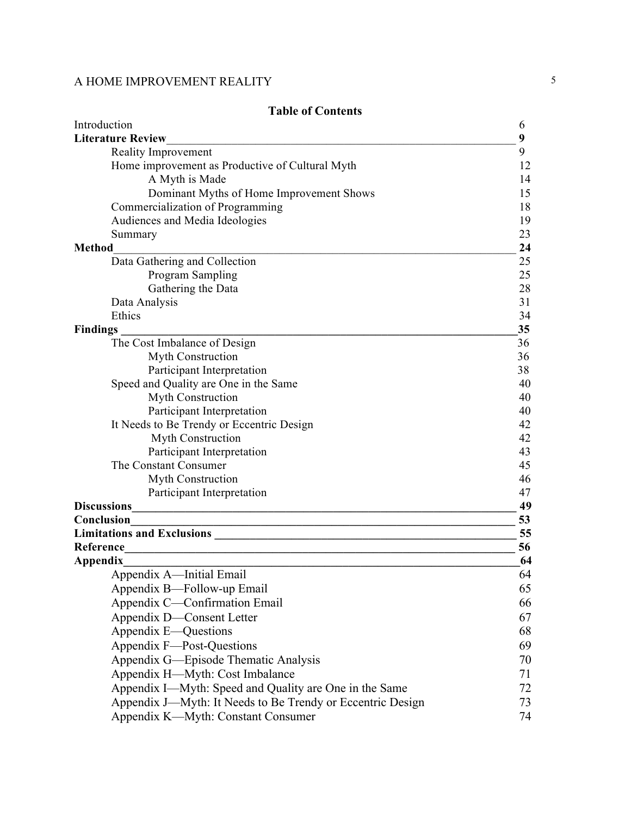| 9<br><b>Literature Review</b><br>Reality Improvement<br>9<br>Home improvement as Productive of Cultural Myth<br>12<br>A Myth is Made<br>14<br>Dominant Myths of Home Improvement Shows<br>15<br>Commercialization of Programming<br>18<br>Audiences and Media Ideologies<br>19<br>23<br>Summary<br>24<br><b>Method</b><br>Data Gathering and Collection<br>25<br>Program Sampling<br>25<br>Gathering the Data<br>28<br>Data Analysis<br>31<br>Ethics<br>34<br>35<br><b>Findings</b><br>The Cost Imbalance of Design<br>36<br>Myth Construction<br>36<br>Participant Interpretation<br>38<br>Speed and Quality are One in the Same<br>40 |
|-----------------------------------------------------------------------------------------------------------------------------------------------------------------------------------------------------------------------------------------------------------------------------------------------------------------------------------------------------------------------------------------------------------------------------------------------------------------------------------------------------------------------------------------------------------------------------------------------------------------------------------------|
|                                                                                                                                                                                                                                                                                                                                                                                                                                                                                                                                                                                                                                         |
|                                                                                                                                                                                                                                                                                                                                                                                                                                                                                                                                                                                                                                         |
|                                                                                                                                                                                                                                                                                                                                                                                                                                                                                                                                                                                                                                         |
|                                                                                                                                                                                                                                                                                                                                                                                                                                                                                                                                                                                                                                         |
|                                                                                                                                                                                                                                                                                                                                                                                                                                                                                                                                                                                                                                         |
|                                                                                                                                                                                                                                                                                                                                                                                                                                                                                                                                                                                                                                         |
|                                                                                                                                                                                                                                                                                                                                                                                                                                                                                                                                                                                                                                         |
|                                                                                                                                                                                                                                                                                                                                                                                                                                                                                                                                                                                                                                         |
|                                                                                                                                                                                                                                                                                                                                                                                                                                                                                                                                                                                                                                         |
|                                                                                                                                                                                                                                                                                                                                                                                                                                                                                                                                                                                                                                         |
|                                                                                                                                                                                                                                                                                                                                                                                                                                                                                                                                                                                                                                         |
|                                                                                                                                                                                                                                                                                                                                                                                                                                                                                                                                                                                                                                         |
|                                                                                                                                                                                                                                                                                                                                                                                                                                                                                                                                                                                                                                         |
|                                                                                                                                                                                                                                                                                                                                                                                                                                                                                                                                                                                                                                         |
|                                                                                                                                                                                                                                                                                                                                                                                                                                                                                                                                                                                                                                         |
|                                                                                                                                                                                                                                                                                                                                                                                                                                                                                                                                                                                                                                         |
|                                                                                                                                                                                                                                                                                                                                                                                                                                                                                                                                                                                                                                         |
|                                                                                                                                                                                                                                                                                                                                                                                                                                                                                                                                                                                                                                         |
|                                                                                                                                                                                                                                                                                                                                                                                                                                                                                                                                                                                                                                         |
| Myth Construction<br>40                                                                                                                                                                                                                                                                                                                                                                                                                                                                                                                                                                                                                 |
| Participant Interpretation<br>40                                                                                                                                                                                                                                                                                                                                                                                                                                                                                                                                                                                                        |
| It Needs to Be Trendy or Eccentric Design<br>42                                                                                                                                                                                                                                                                                                                                                                                                                                                                                                                                                                                         |
| Myth Construction<br>42                                                                                                                                                                                                                                                                                                                                                                                                                                                                                                                                                                                                                 |
| 43<br>Participant Interpretation                                                                                                                                                                                                                                                                                                                                                                                                                                                                                                                                                                                                        |
| 45<br>The Constant Consumer                                                                                                                                                                                                                                                                                                                                                                                                                                                                                                                                                                                                             |
| Myth Construction<br>46                                                                                                                                                                                                                                                                                                                                                                                                                                                                                                                                                                                                                 |
| 47<br>Participant Interpretation                                                                                                                                                                                                                                                                                                                                                                                                                                                                                                                                                                                                        |
| <b>Discussions</b><br>49                                                                                                                                                                                                                                                                                                                                                                                                                                                                                                                                                                                                                |
| Conclusion<br>53<br><u> 1989 - Johann Stein, mars an deus an deus Amerikaansk kommunister (</u>                                                                                                                                                                                                                                                                                                                                                                                                                                                                                                                                         |
| 55                                                                                                                                                                                                                                                                                                                                                                                                                                                                                                                                                                                                                                      |
| Reference<br>56<br><u> 1989 - Johann Barbara, margaret eta idazlea (h. 1989).</u>                                                                                                                                                                                                                                                                                                                                                                                                                                                                                                                                                       |
| Appendix<br>64                                                                                                                                                                                                                                                                                                                                                                                                                                                                                                                                                                                                                          |
| Appendix A—Initial Email<br>64                                                                                                                                                                                                                                                                                                                                                                                                                                                                                                                                                                                                          |
| Appendix B—Follow-up Email<br>65                                                                                                                                                                                                                                                                                                                                                                                                                                                                                                                                                                                                        |
| Appendix C-Confirmation Email<br>66                                                                                                                                                                                                                                                                                                                                                                                                                                                                                                                                                                                                     |
| Appendix D-Consent Letter<br>67                                                                                                                                                                                                                                                                                                                                                                                                                                                                                                                                                                                                         |
| Appendix E—Questions<br>68                                                                                                                                                                                                                                                                                                                                                                                                                                                                                                                                                                                                              |
| Appendix F—Post-Questions<br>69                                                                                                                                                                                                                                                                                                                                                                                                                                                                                                                                                                                                         |
| Appendix G—Episode Thematic Analysis<br>70                                                                                                                                                                                                                                                                                                                                                                                                                                                                                                                                                                                              |
| Appendix H—Myth: Cost Imbalance<br>71                                                                                                                                                                                                                                                                                                                                                                                                                                                                                                                                                                                                   |
| Appendix I—Myth: Speed and Quality are One in the Same<br>72                                                                                                                                                                                                                                                                                                                                                                                                                                                                                                                                                                            |
| Appendix J—Myth: It Needs to Be Trendy or Eccentric Design<br>73                                                                                                                                                                                                                                                                                                                                                                                                                                                                                                                                                                        |
| Appendix K-Myth: Constant Consumer<br>74                                                                                                                                                                                                                                                                                                                                                                                                                                                                                                                                                                                                |

## **Table of Contents**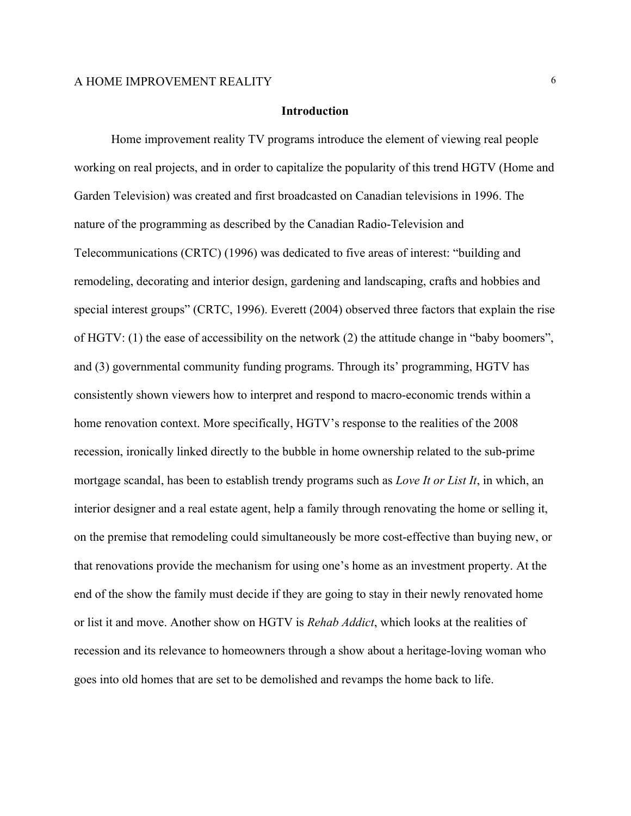#### **Introduction**

Home improvement reality TV programs introduce the element of viewing real people working on real projects, and in order to capitalize the popularity of this trend HGTV (Home and Garden Television) was created and first broadcasted on Canadian televisions in 1996. The nature of the programming as described by the Canadian Radio-Television and Telecommunications (CRTC) (1996) was dedicated to five areas of interest: "building and remodeling, decorating and interior design, gardening and landscaping, crafts and hobbies and special interest groups" (CRTC, 1996). Everett (2004) observed three factors that explain the rise of HGTV: (1) the ease of accessibility on the network (2) the attitude change in "baby boomers", and (3) governmental community funding programs. Through its' programming, HGTV has consistently shown viewers how to interpret and respond to macro-economic trends within a home renovation context. More specifically, HGTV's response to the realities of the 2008 recession, ironically linked directly to the bubble in home ownership related to the sub-prime mortgage scandal, has been to establish trendy programs such as *Love It or List It*, in which, an interior designer and a real estate agent, help a family through renovating the home or selling it, on the premise that remodeling could simultaneously be more cost-effective than buying new, or that renovations provide the mechanism for using one's home as an investment property. At the end of the show the family must decide if they are going to stay in their newly renovated home or list it and move. Another show on HGTV is *Rehab Addict*, which looks at the realities of recession and its relevance to homeowners through a show about a heritage-loving woman who goes into old homes that are set to be demolished and revamps the home back to life.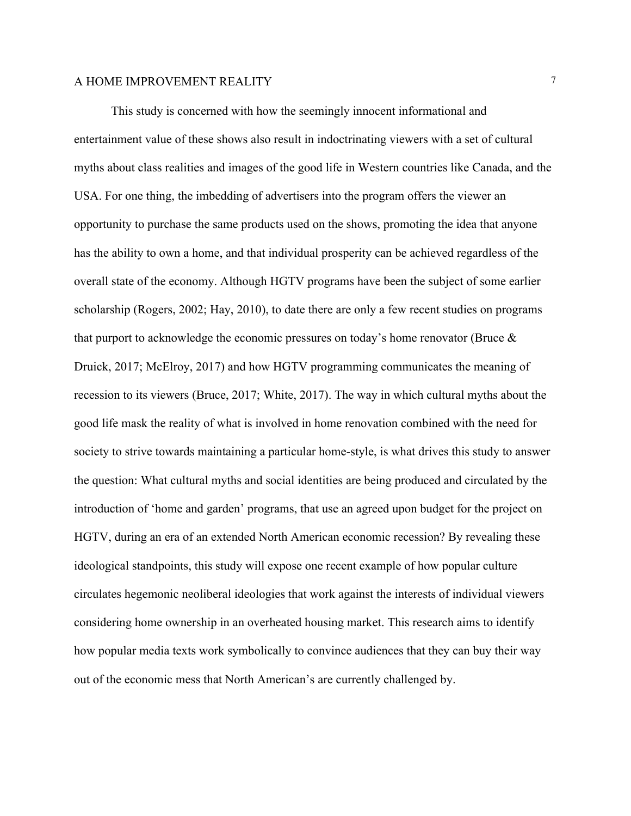This study is concerned with how the seemingly innocent informational and entertainment value of these shows also result in indoctrinating viewers with a set of cultural myths about class realities and images of the good life in Western countries like Canada, and the USA. For one thing, the imbedding of advertisers into the program offers the viewer an opportunity to purchase the same products used on the shows, promoting the idea that anyone has the ability to own a home, and that individual prosperity can be achieved regardless of the overall state of the economy. Although HGTV programs have been the subject of some earlier scholarship (Rogers, 2002; Hay, 2010), to date there are only a few recent studies on programs that purport to acknowledge the economic pressures on today's home renovator (Bruce & Druick, 2017; McElroy, 2017) and how HGTV programming communicates the meaning of recession to its viewers (Bruce, 2017; White, 2017). The way in which cultural myths about the good life mask the reality of what is involved in home renovation combined with the need for society to strive towards maintaining a particular home-style, is what drives this study to answer the question: What cultural myths and social identities are being produced and circulated by the introduction of 'home and garden' programs, that use an agreed upon budget for the project on HGTV, during an era of an extended North American economic recession? By revealing these ideological standpoints, this study will expose one recent example of how popular culture circulates hegemonic neoliberal ideologies that work against the interests of individual viewers considering home ownership in an overheated housing market. This research aims to identify how popular media texts work symbolically to convince audiences that they can buy their way out of the economic mess that North American's are currently challenged by.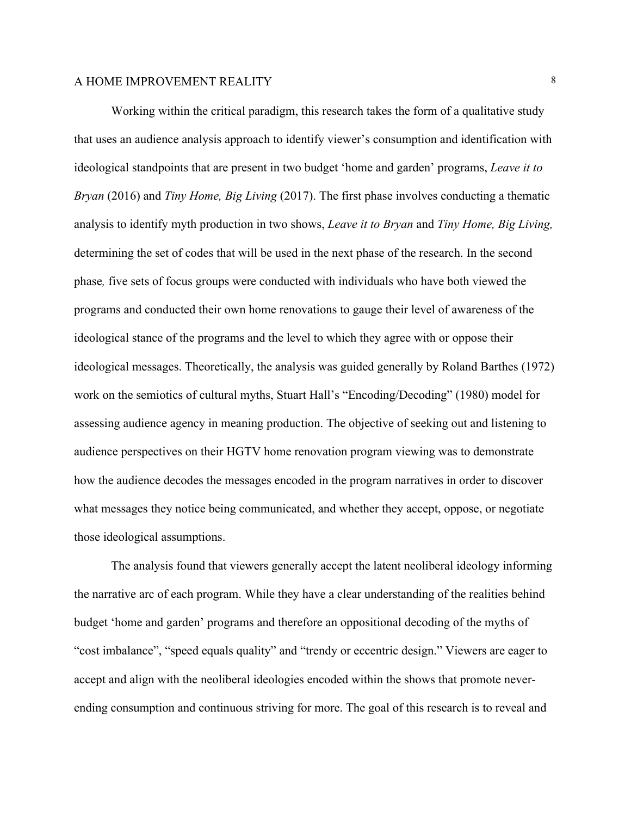Working within the critical paradigm, this research takes the form of a qualitative study that uses an audience analysis approach to identify viewer's consumption and identification with ideological standpoints that are present in two budget 'home and garden' programs, *Leave it to Bryan* (2016) and *Tiny Home, Big Living* (2017). The first phase involves conducting a thematic analysis to identify myth production in two shows, *Leave it to Bryan* and *Tiny Home, Big Living,*  determining the set of codes that will be used in the next phase of the research. In the second phase*,* five sets of focus groups were conducted with individuals who have both viewed the programs and conducted their own home renovations to gauge their level of awareness of the ideological stance of the programs and the level to which they agree with or oppose their ideological messages. Theoretically, the analysis was guided generally by Roland Barthes (1972) work on the semiotics of cultural myths, Stuart Hall's "Encoding/Decoding" (1980) model for assessing audience agency in meaning production. The objective of seeking out and listening to audience perspectives on their HGTV home renovation program viewing was to demonstrate how the audience decodes the messages encoded in the program narratives in order to discover what messages they notice being communicated, and whether they accept, oppose, or negotiate those ideological assumptions.

The analysis found that viewers generally accept the latent neoliberal ideology informing the narrative arc of each program. While they have a clear understanding of the realities behind budget 'home and garden' programs and therefore an oppositional decoding of the myths of "cost imbalance", "speed equals quality" and "trendy or eccentric design." Viewers are eager to accept and align with the neoliberal ideologies encoded within the shows that promote neverending consumption and continuous striving for more. The goal of this research is to reveal and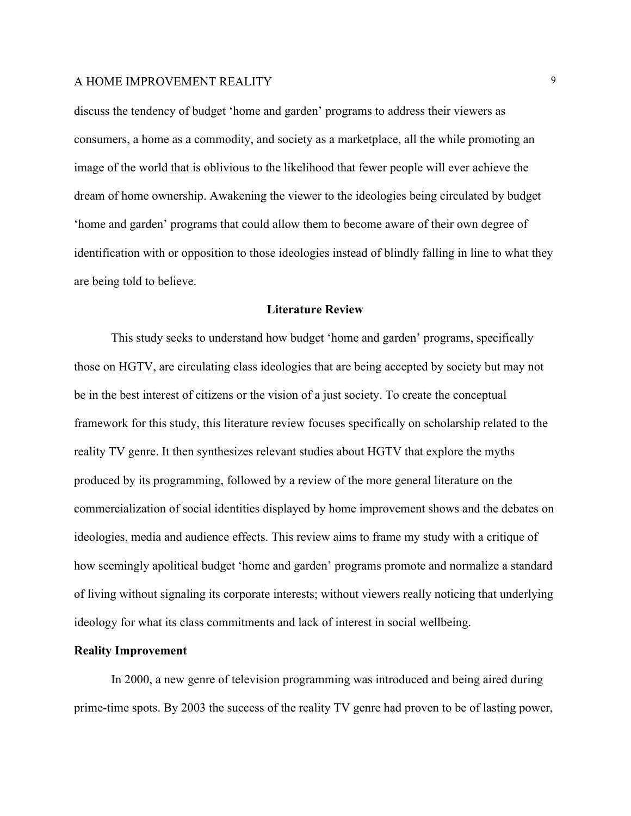discuss the tendency of budget 'home and garden' programs to address their viewers as consumers, a home as a commodity, and society as a marketplace, all the while promoting an image of the world that is oblivious to the likelihood that fewer people will ever achieve the dream of home ownership. Awakening the viewer to the ideologies being circulated by budget 'home and garden' programs that could allow them to become aware of their own degree of identification with or opposition to those ideologies instead of blindly falling in line to what they are being told to believe.

#### **Literature Review**

This study seeks to understand how budget 'home and garden' programs, specifically those on HGTV, are circulating class ideologies that are being accepted by society but may not be in the best interest of citizens or the vision of a just society. To create the conceptual framework for this study, this literature review focuses specifically on scholarship related to the reality TV genre. It then synthesizes relevant studies about HGTV that explore the myths produced by its programming, followed by a review of the more general literature on the commercialization of social identities displayed by home improvement shows and the debates on ideologies, media and audience effects. This review aims to frame my study with a critique of how seemingly apolitical budget 'home and garden' programs promote and normalize a standard of living without signaling its corporate interests; without viewers really noticing that underlying ideology for what its class commitments and lack of interest in social wellbeing.

#### **Reality Improvement**

In 2000, a new genre of television programming was introduced and being aired during prime-time spots. By 2003 the success of the reality TV genre had proven to be of lasting power,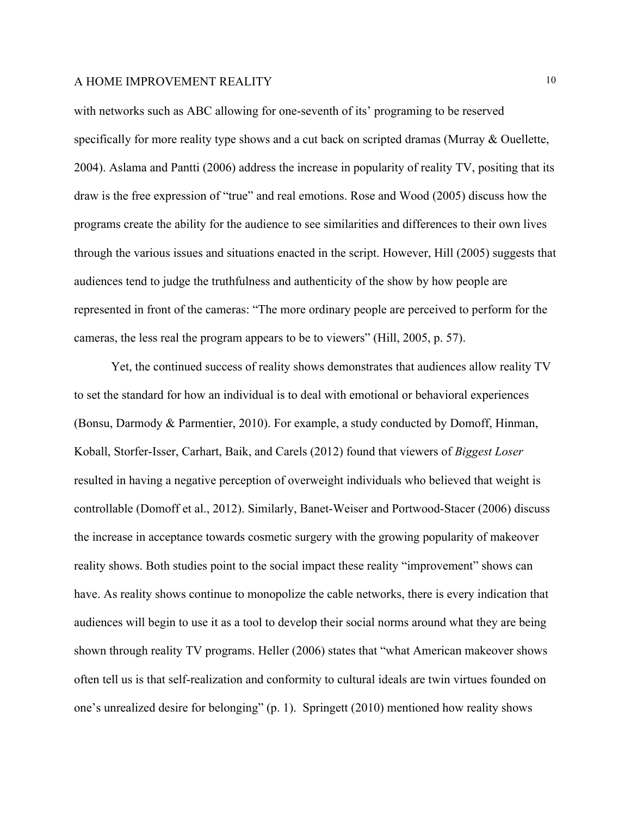with networks such as ABC allowing for one-seventh of its' programing to be reserved specifically for more reality type shows and a cut back on scripted dramas (Murray & Ouellette, 2004). Aslama and Pantti (2006) address the increase in popularity of reality TV, positing that its draw is the free expression of "true" and real emotions. Rose and Wood (2005) discuss how the programs create the ability for the audience to see similarities and differences to their own lives through the various issues and situations enacted in the script. However, Hill (2005) suggests that audiences tend to judge the truthfulness and authenticity of the show by how people are represented in front of the cameras: "The more ordinary people are perceived to perform for the cameras, the less real the program appears to be to viewers" (Hill, 2005, p. 57).

Yet, the continued success of reality shows demonstrates that audiences allow reality TV to set the standard for how an individual is to deal with emotional or behavioral experiences (Bonsu, Darmody & Parmentier, 2010). For example, a study conducted by Domoff, Hinman, Koball, Storfer-Isser, Carhart, Baik, and Carels (2012) found that viewers of *Biggest Loser* resulted in having a negative perception of overweight individuals who believed that weight is controllable (Domoff et al., 2012). Similarly, Banet-Weiser and Portwood-Stacer (2006) discuss the increase in acceptance towards cosmetic surgery with the growing popularity of makeover reality shows. Both studies point to the social impact these reality "improvement" shows can have. As reality shows continue to monopolize the cable networks, there is every indication that audiences will begin to use it as a tool to develop their social norms around what they are being shown through reality TV programs. Heller (2006) states that "what American makeover shows often tell us is that self-realization and conformity to cultural ideals are twin virtues founded on one's unrealized desire for belonging" (p. 1). Springett (2010) mentioned how reality shows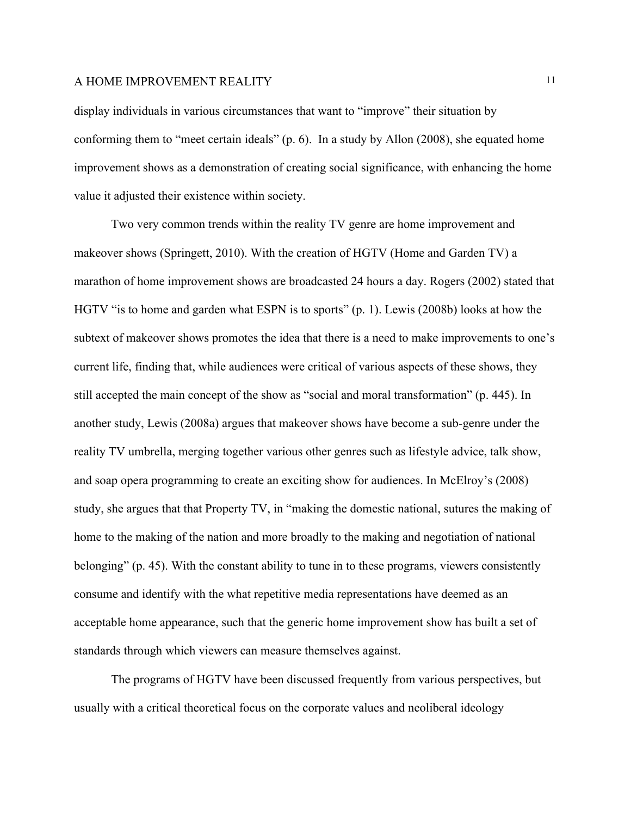display individuals in various circumstances that want to "improve" their situation by conforming them to "meet certain ideals" (p. 6). In a study by Allon (2008), she equated home improvement shows as a demonstration of creating social significance, with enhancing the home value it adjusted their existence within society.

Two very common trends within the reality TV genre are home improvement and makeover shows (Springett, 2010). With the creation of HGTV (Home and Garden TV) a marathon of home improvement shows are broadcasted 24 hours a day. Rogers (2002) stated that HGTV "is to home and garden what ESPN is to sports" (p. 1). Lewis (2008b) looks at how the subtext of makeover shows promotes the idea that there is a need to make improvements to one's current life, finding that, while audiences were critical of various aspects of these shows, they still accepted the main concept of the show as "social and moral transformation" (p. 445). In another study, Lewis (2008a) argues that makeover shows have become a sub-genre under the reality TV umbrella, merging together various other genres such as lifestyle advice, talk show, and soap opera programming to create an exciting show for audiences. In McElroy's (2008) study, she argues that that Property TV, in "making the domestic national, sutures the making of home to the making of the nation and more broadly to the making and negotiation of national belonging" (p. 45). With the constant ability to tune in to these programs, viewers consistently consume and identify with the what repetitive media representations have deemed as an acceptable home appearance, such that the generic home improvement show has built a set of standards through which viewers can measure themselves against.

The programs of HGTV have been discussed frequently from various perspectives, but usually with a critical theoretical focus on the corporate values and neoliberal ideology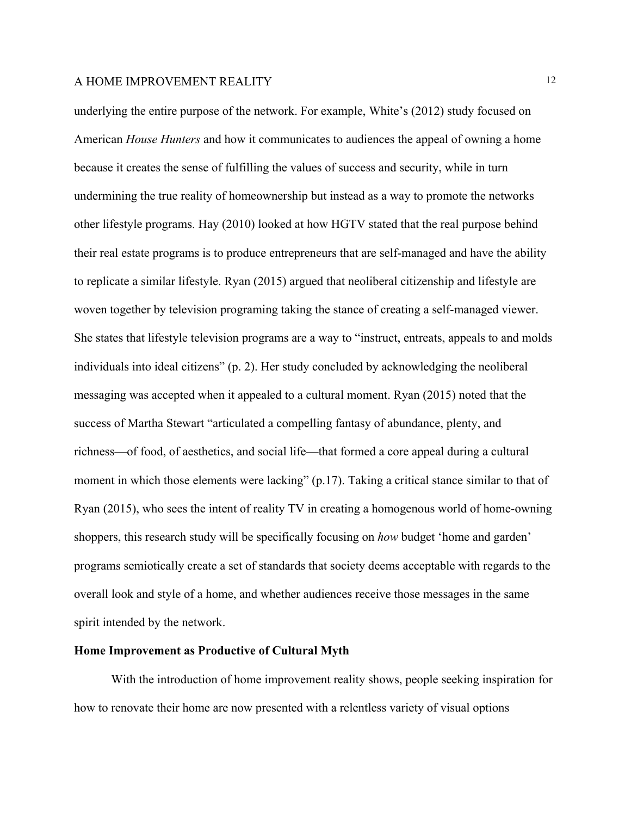underlying the entire purpose of the network. For example, White's (2012) study focused on American *House Hunters* and how it communicates to audiences the appeal of owning a home because it creates the sense of fulfilling the values of success and security, while in turn undermining the true reality of homeownership but instead as a way to promote the networks other lifestyle programs. Hay (2010) looked at how HGTV stated that the real purpose behind their real estate programs is to produce entrepreneurs that are self-managed and have the ability to replicate a similar lifestyle. Ryan (2015) argued that neoliberal citizenship and lifestyle are woven together by television programing taking the stance of creating a self-managed viewer. She states that lifestyle television programs are a way to "instruct, entreats, appeals to and molds individuals into ideal citizens" (p. 2). Her study concluded by acknowledging the neoliberal messaging was accepted when it appealed to a cultural moment. Ryan (2015) noted that the success of Martha Stewart "articulated a compelling fantasy of abundance, plenty, and richness—of food, of aesthetics, and social life—that formed a core appeal during a cultural moment in which those elements were lacking" (p.17). Taking a critical stance similar to that of Ryan (2015), who sees the intent of reality TV in creating a homogenous world of home-owning shoppers, this research study will be specifically focusing on *how* budget 'home and garden' programs semiotically create a set of standards that society deems acceptable with regards to the overall look and style of a home, and whether audiences receive those messages in the same spirit intended by the network.

#### **Home Improvement as Productive of Cultural Myth**

With the introduction of home improvement reality shows, people seeking inspiration for how to renovate their home are now presented with a relentless variety of visual options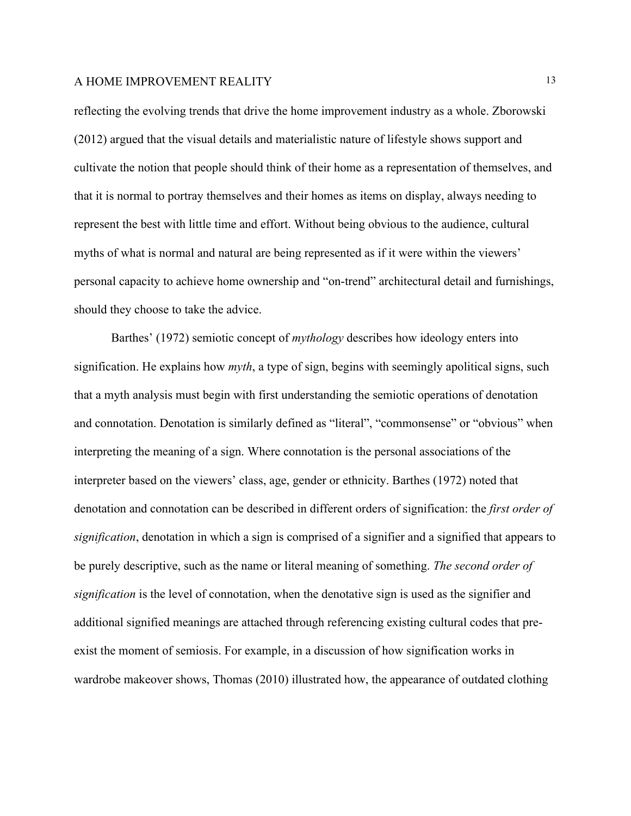reflecting the evolving trends that drive the home improvement industry as a whole. Zborowski (2012) argued that the visual details and materialistic nature of lifestyle shows support and cultivate the notion that people should think of their home as a representation of themselves, and that it is normal to portray themselves and their homes as items on display, always needing to represent the best with little time and effort. Without being obvious to the audience, cultural myths of what is normal and natural are being represented as if it were within the viewers' personal capacity to achieve home ownership and "on-trend" architectural detail and furnishings, should they choose to take the advice.

Barthes' (1972) semiotic concept of *mythology* describes how ideology enters into signification. He explains how *myth*, a type of sign, begins with seemingly apolitical signs, such that a myth analysis must begin with first understanding the semiotic operations of denotation and connotation. Denotation is similarly defined as "literal", "commonsense" or "obvious" when interpreting the meaning of a sign. Where connotation is the personal associations of the interpreter based on the viewers' class, age, gender or ethnicity. Barthes (1972) noted that denotation and connotation can be described in different orders of signification: the *first order of signification*, denotation in which a sign is comprised of a signifier and a signified that appears to be purely descriptive, such as the name or literal meaning of something. *The second order of signification* is the level of connotation, when the denotative sign is used as the signifier and additional signified meanings are attached through referencing existing cultural codes that preexist the moment of semiosis. For example, in a discussion of how signification works in wardrobe makeover shows, Thomas (2010) illustrated how, the appearance of outdated clothing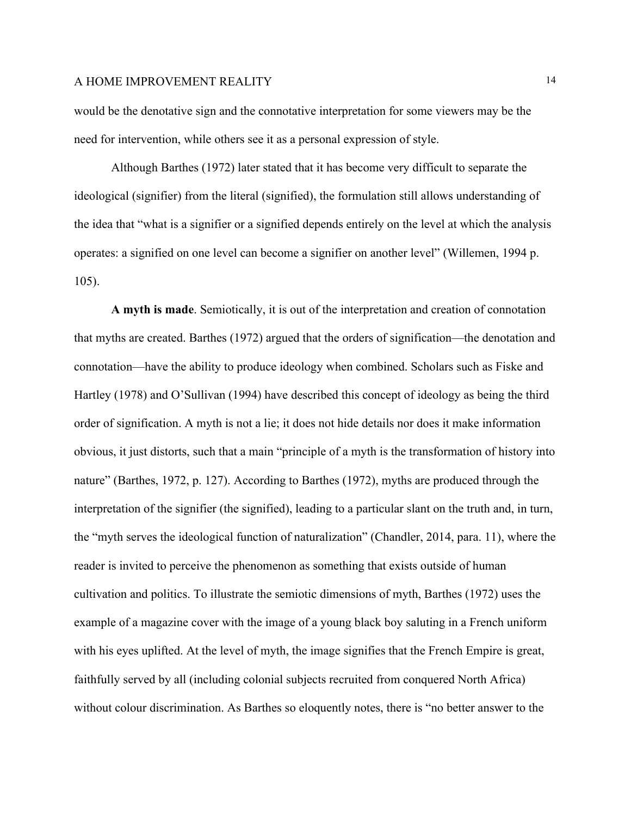would be the denotative sign and the connotative interpretation for some viewers may be the need for intervention, while others see it as a personal expression of style.

Although Barthes (1972) later stated that it has become very difficult to separate the ideological (signifier) from the literal (signified), the formulation still allows understanding of the idea that "what is a signifier or a signified depends entirely on the level at which the analysis operates: a signified on one level can become a signifier on another level" (Willemen, 1994 p. 105).

**A myth is made**. Semiotically, it is out of the interpretation and creation of connotation that myths are created. Barthes (1972) argued that the orders of signification—the denotation and connotation—have the ability to produce ideology when combined. Scholars such as Fiske and Hartley (1978) and O'Sullivan (1994) have described this concept of ideology as being the third order of signification. A myth is not a lie; it does not hide details nor does it make information obvious, it just distorts, such that a main "principle of a myth is the transformation of history into nature" (Barthes, 1972, p. 127). According to Barthes (1972), myths are produced through the interpretation of the signifier (the signified), leading to a particular slant on the truth and, in turn, the "myth serves the ideological function of naturalization" (Chandler, 2014, para. 11), where the reader is invited to perceive the phenomenon as something that exists outside of human cultivation and politics. To illustrate the semiotic dimensions of myth, Barthes (1972) uses the example of a magazine cover with the image of a young black boy saluting in a French uniform with his eyes uplifted. At the level of myth, the image signifies that the French Empire is great, faithfully served by all (including colonial subjects recruited from conquered North Africa) without colour discrimination. As Barthes so eloquently notes, there is "no better answer to the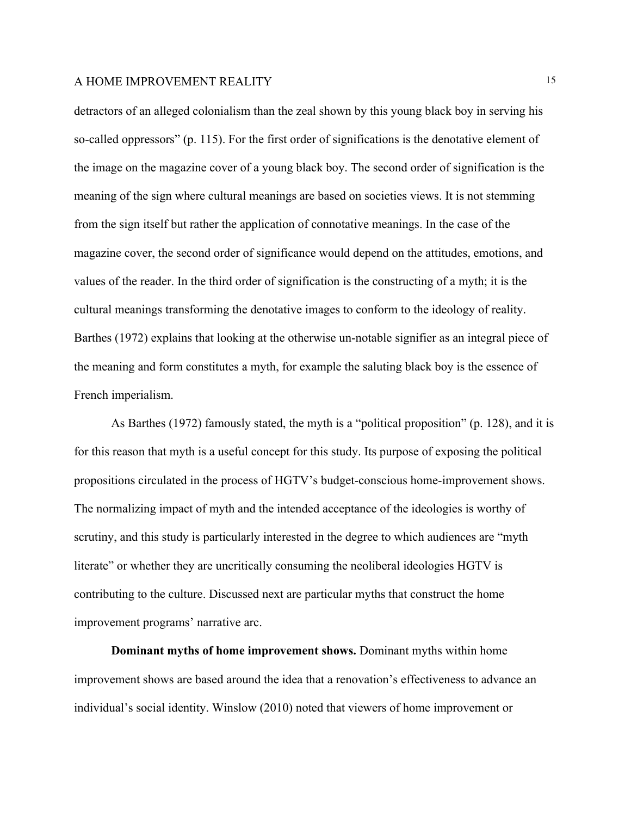detractors of an alleged colonialism than the zeal shown by this young black boy in serving his so-called oppressors" (p. 115). For the first order of significations is the denotative element of the image on the magazine cover of a young black boy. The second order of signification is the meaning of the sign where cultural meanings are based on societies views. It is not stemming from the sign itself but rather the application of connotative meanings. In the case of the magazine cover, the second order of significance would depend on the attitudes, emotions, and values of the reader. In the third order of signification is the constructing of a myth; it is the cultural meanings transforming the denotative images to conform to the ideology of reality. Barthes (1972) explains that looking at the otherwise un-notable signifier as an integral piece of the meaning and form constitutes a myth, for example the saluting black boy is the essence of French imperialism.

As Barthes (1972) famously stated, the myth is a "political proposition" (p. 128), and it is for this reason that myth is a useful concept for this study. Its purpose of exposing the political propositions circulated in the process of HGTV's budget-conscious home-improvement shows. The normalizing impact of myth and the intended acceptance of the ideologies is worthy of scrutiny, and this study is particularly interested in the degree to which audiences are "myth literate" or whether they are uncritically consuming the neoliberal ideologies HGTV is contributing to the culture. Discussed next are particular myths that construct the home improvement programs' narrative arc.

**Dominant myths of home improvement shows.** Dominant myths within home improvement shows are based around the idea that a renovation's effectiveness to advance an individual's social identity. Winslow (2010) noted that viewers of home improvement or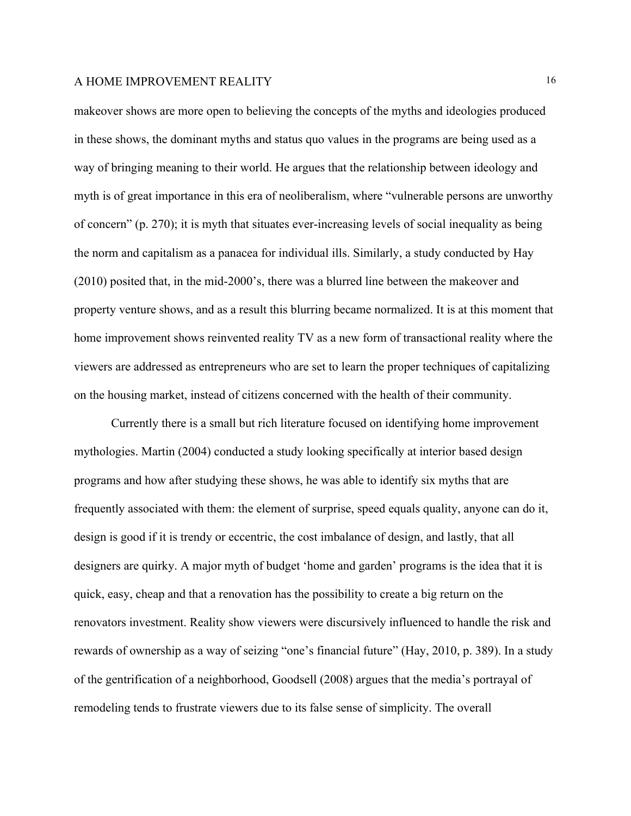makeover shows are more open to believing the concepts of the myths and ideologies produced in these shows, the dominant myths and status quo values in the programs are being used as a way of bringing meaning to their world. He argues that the relationship between ideology and myth is of great importance in this era of neoliberalism, where "vulnerable persons are unworthy of concern" (p. 270); it is myth that situates ever-increasing levels of social inequality as being the norm and capitalism as a panacea for individual ills. Similarly, a study conducted by Hay (2010) posited that, in the mid-2000's, there was a blurred line between the makeover and property venture shows, and as a result this blurring became normalized. It is at this moment that home improvement shows reinvented reality TV as a new form of transactional reality where the viewers are addressed as entrepreneurs who are set to learn the proper techniques of capitalizing on the housing market, instead of citizens concerned with the health of their community.

Currently there is a small but rich literature focused on identifying home improvement mythologies. Martin (2004) conducted a study looking specifically at interior based design programs and how after studying these shows, he was able to identify six myths that are frequently associated with them: the element of surprise, speed equals quality, anyone can do it, design is good if it is trendy or eccentric, the cost imbalance of design, and lastly, that all designers are quirky. A major myth of budget 'home and garden' programs is the idea that it is quick, easy, cheap and that a renovation has the possibility to create a big return on the renovators investment. Reality show viewers were discursively influenced to handle the risk and rewards of ownership as a way of seizing "one's financial future" (Hay, 2010, p. 389). In a study of the gentrification of a neighborhood, Goodsell (2008) argues that the media's portrayal of remodeling tends to frustrate viewers due to its false sense of simplicity. The overall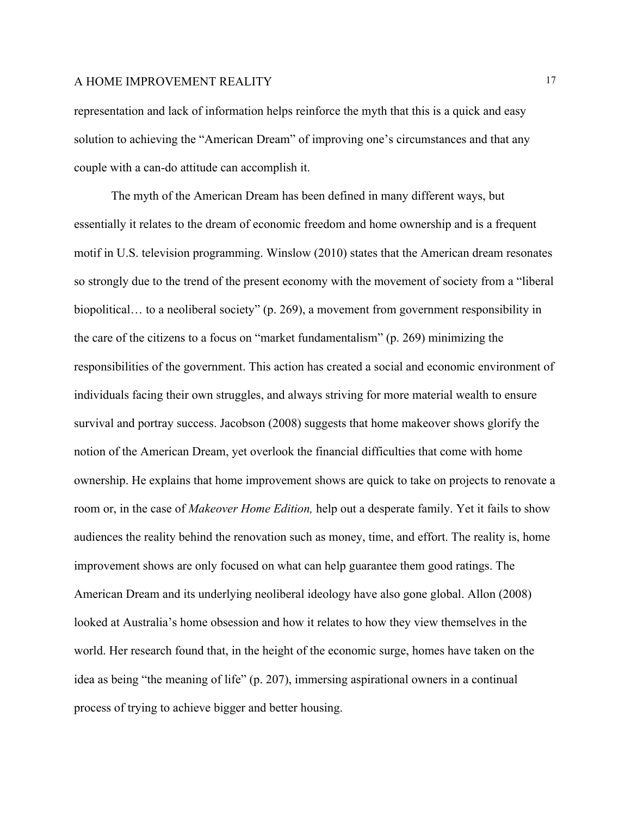representation and lack of information helps reinforce the myth that this is a quick and easy solution to achieving the "American Dream" of improving one's circumstances and that any couple with a can-do attitude can accomplish it.

The myth of the American Dream has been defined in many different ways, but essentially it relates to the dream of economic freedom and home ownership and is a frequent motif in U.S. television programming. Winslow (2010) states that the American dream resonates so strongly due to the trend of the present economy with the movement of society from a "liberal biopolitical... to a neoliberal society" (p. 269), a movement from government responsibility in the care of the citizens to a focus on "market fundamentalism" (p. 269) minimizing the responsibilities of the government. This action has created a social and economic environment of individuals facing their own struggles, and always striving for more material wealth to ensure survival and portray success. Jacobson (2008) suggests that home makeover shows glorify the notion of the American Dream, yet overlook the financial difficulties that come with home ownership. He explains that home improvement shows are quick to take on projects to renovate a room or, in the case of *Makeover Home Edition,* help out a desperate family. Yet it fails to show audiences the reality behind the renovation such as money, time, and effort. The reality is, home improvement shows are only focused on what can help guarantee them good ratings. The American Dream and its underlying neoliberal ideology have also gone global. Allon (2008) looked at Australia's home obsession and how it relates to how they view themselves in the world. Her research found that, in the height of the economic surge, homes have taken on the idea as being "the meaning of life" (p. 207), immersing aspirational owners in a continual process of trying to achieve bigger and better housing.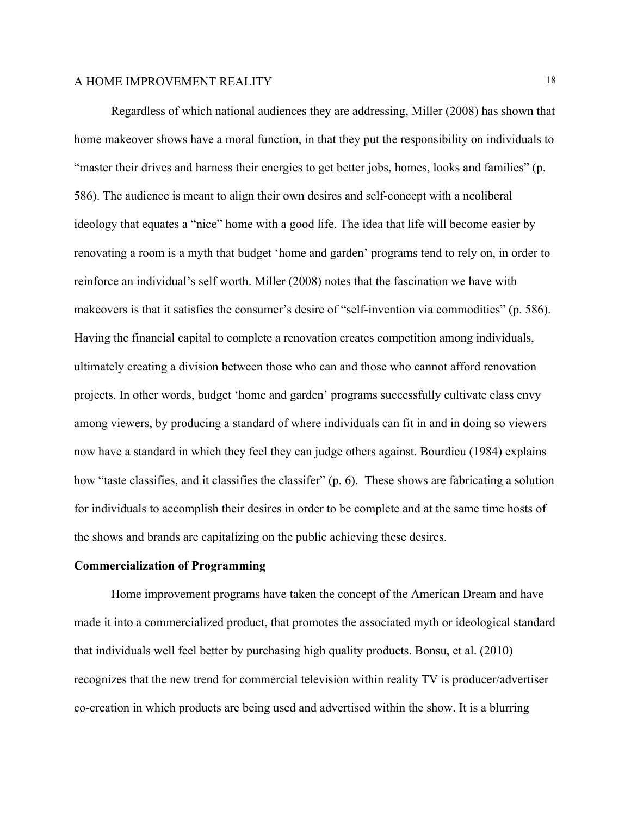Regardless of which national audiences they are addressing, Miller (2008) has shown that home makeover shows have a moral function, in that they put the responsibility on individuals to "master their drives and harness their energies to get better jobs, homes, looks and families" (p. 586). The audience is meant to align their own desires and self-concept with a neoliberal ideology that equates a "nice" home with a good life. The idea that life will become easier by renovating a room is a myth that budget 'home and garden' programs tend to rely on, in order to reinforce an individual's self worth. Miller (2008) notes that the fascination we have with makeovers is that it satisfies the consumer's desire of "self-invention via commodities" (p. 586). Having the financial capital to complete a renovation creates competition among individuals, ultimately creating a division between those who can and those who cannot afford renovation projects. In other words, budget 'home and garden' programs successfully cultivate class envy among viewers, by producing a standard of where individuals can fit in and in doing so viewers now have a standard in which they feel they can judge others against. Bourdieu (1984) explains how "taste classifies, and it classifies the classifer" (p. 6). These shows are fabricating a solution for individuals to accomplish their desires in order to be complete and at the same time hosts of the shows and brands are capitalizing on the public achieving these desires.

#### **Commercialization of Programming**

Home improvement programs have taken the concept of the American Dream and have made it into a commercialized product, that promotes the associated myth or ideological standard that individuals well feel better by purchasing high quality products. Bonsu, et al. (2010) recognizes that the new trend for commercial television within reality TV is producer/advertiser co-creation in which products are being used and advertised within the show. It is a blurring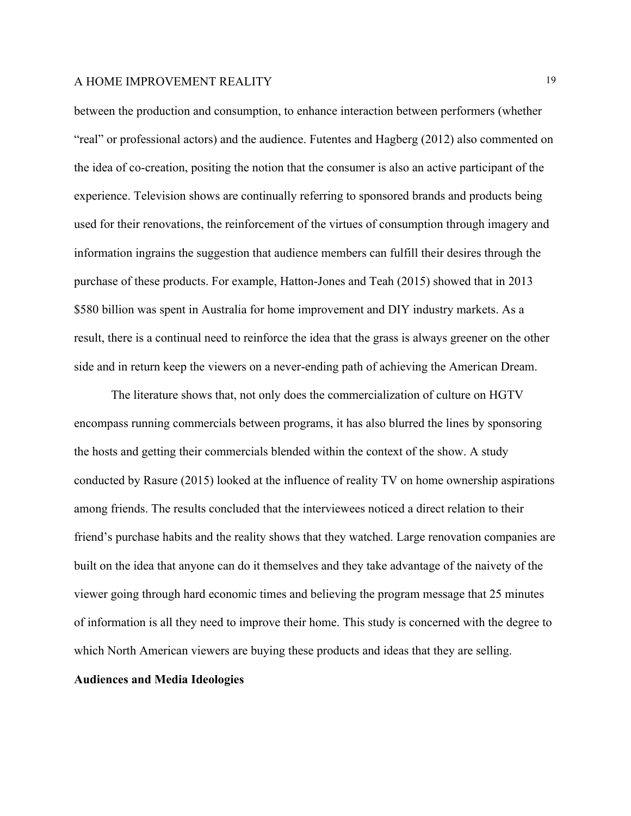between the production and consumption, to enhance interaction between performers (whether "real" or professional actors) and the audience. Futentes and Hagberg (2012) also commented on the idea of co-creation, positing the notion that the consumer is also an active participant of the experience. Television shows are continually referring to sponsored brands and products being used for their renovations, the reinforcement of the virtues of consumption through imagery and information ingrains the suggestion that audience members can fulfill their desires through the purchase of these products. For example, Hatton-Jones and Teah (2015) showed that in 2013 \$580 billion was spent in Australia for home improvement and DIY industry markets. As a result, there is a continual need to reinforce the idea that the grass is always greener on the other side and in return keep the viewers on a never-ending path of achieving the American Dream.

The literature shows that, not only does the commercialization of culture on HGTV encompass running commercials between programs, it has also blurred the lines by sponsoring the hosts and getting their commercials blended within the context of the show. A study conducted by Rasure (2015) looked at the influence of reality TV on home ownership aspirations among friends. The results concluded that the interviewees noticed a direct relation to their friend's purchase habits and the reality shows that they watched. Large renovation companies are built on the idea that anyone can do it themselves and they take advantage of the naivety of the viewer going through hard economic times and believing the program message that 25 minutes of information is all they need to improve their home. This study is concerned with the degree to which North American viewers are buying these products and ideas that they are selling.

## **Audiences and Media Ideologies**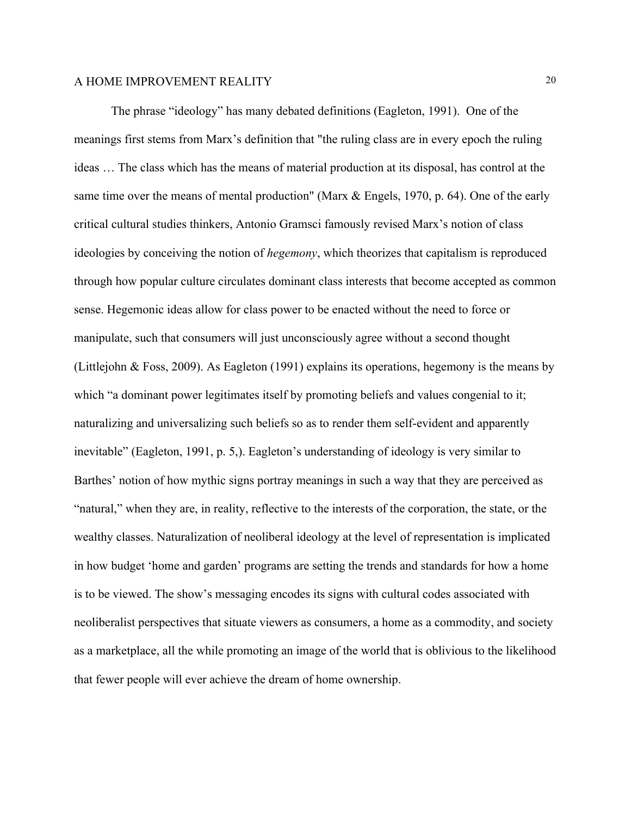The phrase "ideology" has many debated definitions (Eagleton, 1991).One of the meanings first stems from Marx's definition that "the ruling class are in every epoch the ruling ideas … The class which has the means of material production at its disposal, has control at the same time over the means of mental production" (Marx & Engels, 1970, p. 64). One of the early critical cultural studies thinkers, Antonio Gramsci famously revised Marx's notion of class ideologies by conceiving the notion of *hegemony*, which theorizes that capitalism is reproduced through how popular culture circulates dominant class interests that become accepted as common sense. Hegemonic ideas allow for class power to be enacted without the need to force or manipulate, such that consumers will just unconsciously agree without a second thought (Littlejohn & Foss, 2009). As Eagleton (1991) explains its operations, hegemony is the means by which "a dominant power legitimates itself by promoting beliefs and values congenial to it; naturalizing and universalizing such beliefs so as to render them self-evident and apparently inevitable" (Eagleton, 1991, p. 5,). Eagleton's understanding of ideology is very similar to Barthes' notion of how mythic signs portray meanings in such a way that they are perceived as "natural," when they are, in reality, reflective to the interests of the corporation, the state, or the wealthy classes. Naturalization of neoliberal ideology at the level of representation is implicated in how budget 'home and garden' programs are setting the trends and standards for how a home is to be viewed. The show's messaging encodes its signs with cultural codes associated with neoliberalist perspectives that situate viewers as consumers, a home as a commodity, and society as a marketplace, all the while promoting an image of the world that is oblivious to the likelihood that fewer people will ever achieve the dream of home ownership.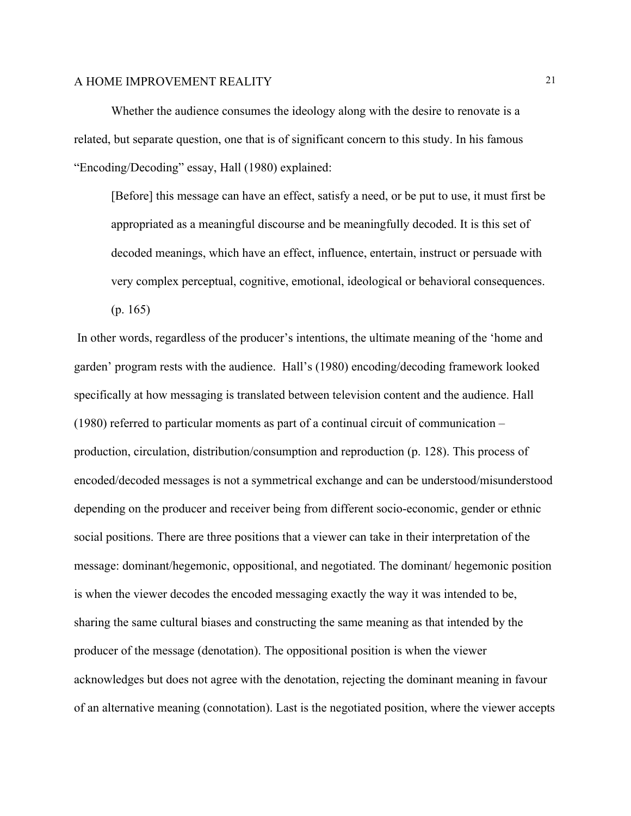Whether the audience consumes the ideology along with the desire to renovate is a related, but separate question, one that is of significant concern to this study. In his famous "Encoding/Decoding" essay, Hall (1980) explained:

[Before] this message can have an effect, satisfy a need, or be put to use, it must first be appropriated as a meaningful discourse and be meaningfully decoded. It is this set of decoded meanings, which have an effect, influence, entertain, instruct or persuade with very complex perceptual, cognitive, emotional, ideological or behavioral consequences. (p. 165)

In other words, regardless of the producer's intentions, the ultimate meaning of the 'home and garden' program rests with the audience. Hall's (1980) encoding/decoding framework looked specifically at how messaging is translated between television content and the audience. Hall (1980) referred to particular moments as part of a continual circuit of communication – production, circulation, distribution/consumption and reproduction (p. 128). This process of encoded/decoded messages is not a symmetrical exchange and can be understood/misunderstood depending on the producer and receiver being from different socio-economic, gender or ethnic social positions. There are three positions that a viewer can take in their interpretation of the message: dominant/hegemonic, oppositional, and negotiated. The dominant/ hegemonic position is when the viewer decodes the encoded messaging exactly the way it was intended to be, sharing the same cultural biases and constructing the same meaning as that intended by the producer of the message (denotation). The oppositional position is when the viewer acknowledges but does not agree with the denotation, rejecting the dominant meaning in favour of an alternative meaning (connotation). Last is the negotiated position, where the viewer accepts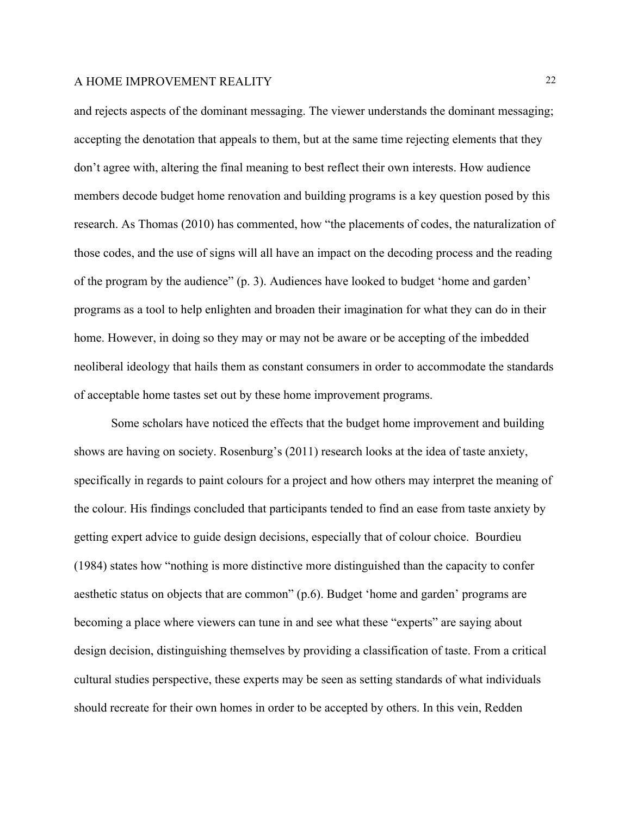and rejects aspects of the dominant messaging. The viewer understands the dominant messaging; accepting the denotation that appeals to them, but at the same time rejecting elements that they don't agree with, altering the final meaning to best reflect their own interests. How audience members decode budget home renovation and building programs is a key question posed by this research. As Thomas (2010) has commented, how "the placements of codes, the naturalization of those codes, and the use of signs will all have an impact on the decoding process and the reading of the program by the audience" (p. 3). Audiences have looked to budget 'home and garden' programs as a tool to help enlighten and broaden their imagination for what they can do in their home. However, in doing so they may or may not be aware or be accepting of the imbedded neoliberal ideology that hails them as constant consumers in order to accommodate the standards of acceptable home tastes set out by these home improvement programs.

Some scholars have noticed the effects that the budget home improvement and building shows are having on society. Rosenburg's (2011) research looks at the idea of taste anxiety, specifically in regards to paint colours for a project and how others may interpret the meaning of the colour. His findings concluded that participants tended to find an ease from taste anxiety by getting expert advice to guide design decisions, especially that of colour choice. Bourdieu (1984) states how "nothing is more distinctive more distinguished than the capacity to confer aesthetic status on objects that are common" (p.6). Budget 'home and garden' programs are becoming a place where viewers can tune in and see what these "experts" are saying about design decision, distinguishing themselves by providing a classification of taste. From a critical cultural studies perspective, these experts may be seen as setting standards of what individuals should recreate for their own homes in order to be accepted by others. In this vein, Redden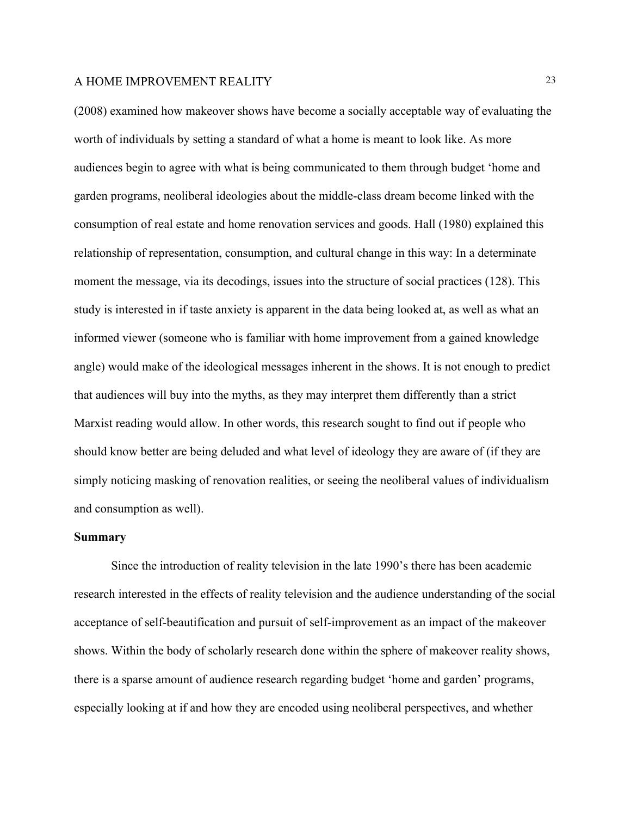(2008) examined how makeover shows have become a socially acceptable way of evaluating the worth of individuals by setting a standard of what a home is meant to look like. As more audiences begin to agree with what is being communicated to them through budget 'home and garden programs, neoliberal ideologies about the middle-class dream become linked with the consumption of real estate and home renovation services and goods. Hall (1980) explained this relationship of representation, consumption, and cultural change in this way: In a determinate moment the message, via its decodings, issues into the structure of social practices (128). This study is interested in if taste anxiety is apparent in the data being looked at, as well as what an informed viewer (someone who is familiar with home improvement from a gained knowledge angle) would make of the ideological messages inherent in the shows. It is not enough to predict that audiences will buy into the myths, as they may interpret them differently than a strict Marxist reading would allow. In other words, this research sought to find out if people who should know better are being deluded and what level of ideology they are aware of (if they are simply noticing masking of renovation realities, or seeing the neoliberal values of individualism and consumption as well).

#### **Summary**

Since the introduction of reality television in the late 1990's there has been academic research interested in the effects of reality television and the audience understanding of the social acceptance of self-beautification and pursuit of self-improvement as an impact of the makeover shows. Within the body of scholarly research done within the sphere of makeover reality shows, there is a sparse amount of audience research regarding budget 'home and garden' programs, especially looking at if and how they are encoded using neoliberal perspectives, and whether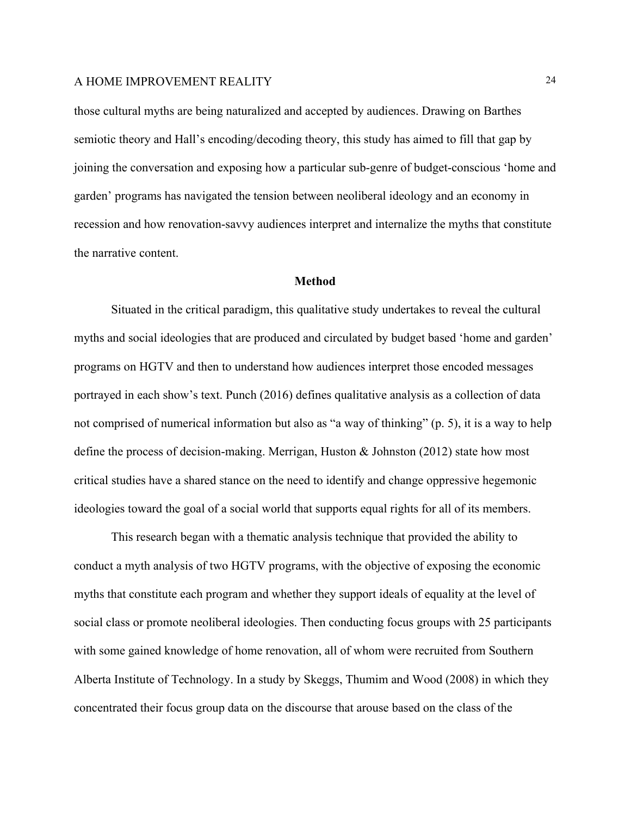those cultural myths are being naturalized and accepted by audiences. Drawing on Barthes semiotic theory and Hall's encoding/decoding theory, this study has aimed to fill that gap by joining the conversation and exposing how a particular sub-genre of budget-conscious 'home and garden' programs has navigated the tension between neoliberal ideology and an economy in recession and how renovation-savvy audiences interpret and internalize the myths that constitute the narrative content.

#### **Method**

Situated in the critical paradigm, this qualitative study undertakes to reveal the cultural myths and social ideologies that are produced and circulated by budget based 'home and garden' programs on HGTV and then to understand how audiences interpret those encoded messages portrayed in each show's text. Punch (2016) defines qualitative analysis as a collection of data not comprised of numerical information but also as "a way of thinking" (p. 5), it is a way to help define the process of decision-making. Merrigan, Huston & Johnston (2012) state how most critical studies have a shared stance on the need to identify and change oppressive hegemonic ideologies toward the goal of a social world that supports equal rights for all of its members.

This research began with a thematic analysis technique that provided the ability to conduct a myth analysis of two HGTV programs, with the objective of exposing the economic myths that constitute each program and whether they support ideals of equality at the level of social class or promote neoliberal ideologies. Then conducting focus groups with 25 participants with some gained knowledge of home renovation, all of whom were recruited from Southern Alberta Institute of Technology. In a study by Skeggs, Thumim and Wood (2008) in which they concentrated their focus group data on the discourse that arouse based on the class of the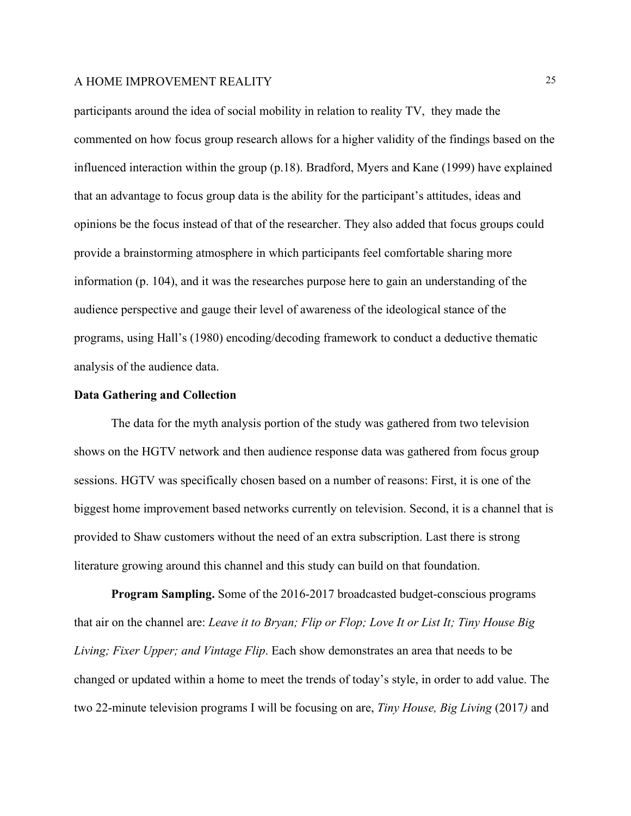participants around the idea of social mobility in relation to reality TV, they made the commented on how focus group research allows for a higher validity of the findings based on the influenced interaction within the group (p.18). Bradford, Myers and Kane (1999) have explained that an advantage to focus group data is the ability for the participant's attitudes, ideas and opinions be the focus instead of that of the researcher. They also added that focus groups could provide a brainstorming atmosphere in which participants feel comfortable sharing more information (p. 104), and it was the researches purpose here to gain an understanding of the audience perspective and gauge their level of awareness of the ideological stance of the programs, using Hall's (1980) encoding/decoding framework to conduct a deductive thematic analysis of the audience data.

#### **Data Gathering and Collection**

The data for the myth analysis portion of the study was gathered from two television shows on the HGTV network and then audience response data was gathered from focus group sessions. HGTV was specifically chosen based on a number of reasons: First, it is one of the biggest home improvement based networks currently on television. Second, it is a channel that is provided to Shaw customers without the need of an extra subscription. Last there is strong literature growing around this channel and this study can build on that foundation.

**Program Sampling.** Some of the 2016-2017 broadcasted budget-conscious programs that air on the channel are: *Leave it to Bryan; Flip or Flop; Love It or List It; Tiny House Big Living; Fixer Upper; and Vintage Flip*. Each show demonstrates an area that needs to be changed or updated within a home to meet the trends of today's style, in order to add value. The two 22-minute television programs I will be focusing on are, *Tiny House, Big Living* (2017*)* and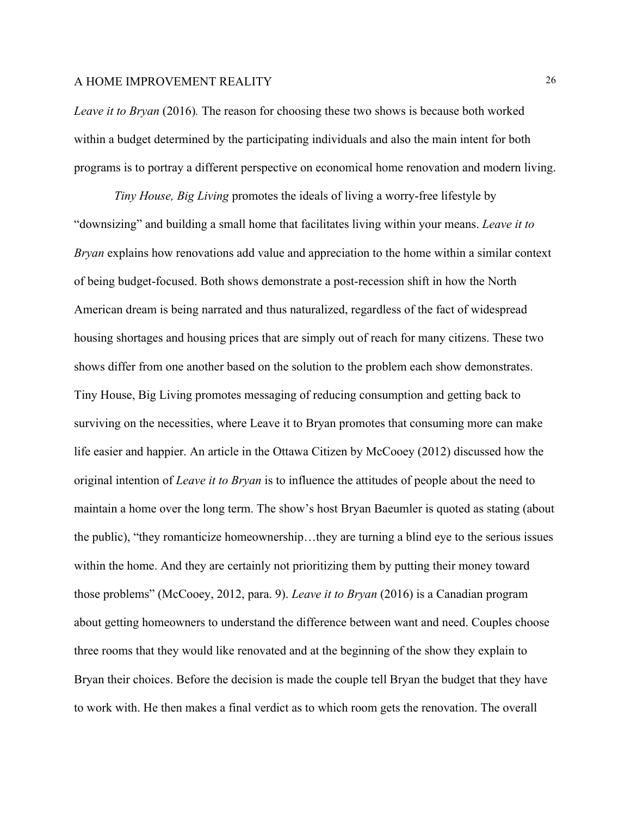*Leave it to Bryan* (2016)*.* The reason for choosing these two shows is because both worked within a budget determined by the participating individuals and also the main intent for both programs is to portray a different perspective on economical home renovation and modern living.

*Tiny House, Big Living* promotes the ideals of living a worry-free lifestyle by "downsizing" and building a small home that facilitates living within your means. *Leave it to Bryan* explains how renovations add value and appreciation to the home within a similar context of being budget-focused. Both shows demonstrate a post-recession shift in how the North American dream is being narrated and thus naturalized, regardless of the fact of widespread housing shortages and housing prices that are simply out of reach for many citizens. These two shows differ from one another based on the solution to the problem each show demonstrates. Tiny House, Big Living promotes messaging of reducing consumption and getting back to surviving on the necessities, where Leave it to Bryan promotes that consuming more can make life easier and happier. An article in the Ottawa Citizen by McCooey (2012) discussed how the original intention of *Leave it to Bryan* is to influence the attitudes of people about the need to maintain a home over the long term. The show's host Bryan Baeumler is quoted as stating (about the public), "they romanticize homeownership…they are turning a blind eye to the serious issues within the home. And they are certainly not prioritizing them by putting their money toward those problems" (McCooey, 2012, para. 9). *Leave it to Bryan* (2016) is a Canadian program about getting homeowners to understand the difference between want and need. Couples choose three rooms that they would like renovated and at the beginning of the show they explain to Bryan their choices. Before the decision is made the couple tell Bryan the budget that they have to work with. He then makes a final verdict as to which room gets the renovation. The overall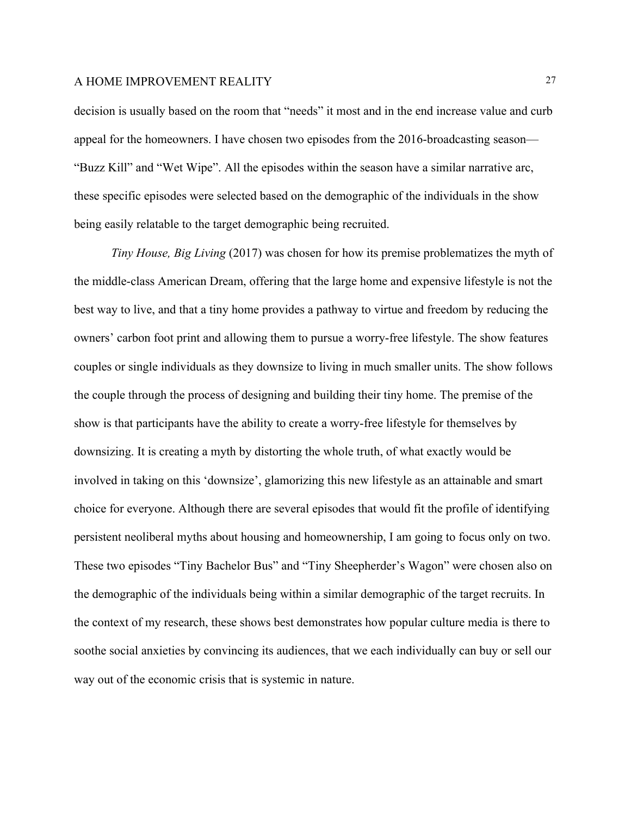decision is usually based on the room that "needs" it most and in the end increase value and curb appeal for the homeowners. I have chosen two episodes from the 2016-broadcasting season— "Buzz Kill" and "Wet Wipe". All the episodes within the season have a similar narrative arc, these specific episodes were selected based on the demographic of the individuals in the show being easily relatable to the target demographic being recruited.

*Tiny House, Big Living* (2017) was chosen for how its premise problematizes the myth of the middle-class American Dream, offering that the large home and expensive lifestyle is not the best way to live, and that a tiny home provides a pathway to virtue and freedom by reducing the owners' carbon foot print and allowing them to pursue a worry-free lifestyle. The show features couples or single individuals as they downsize to living in much smaller units. The show follows the couple through the process of designing and building their tiny home. The premise of the show is that participants have the ability to create a worry-free lifestyle for themselves by downsizing. It is creating a myth by distorting the whole truth, of what exactly would be involved in taking on this 'downsize', glamorizing this new lifestyle as an attainable and smart choice for everyone. Although there are several episodes that would fit the profile of identifying persistent neoliberal myths about housing and homeownership, I am going to focus only on two. These two episodes "Tiny Bachelor Bus" and "Tiny Sheepherder's Wagon" were chosen also on the demographic of the individuals being within a similar demographic of the target recruits. In the context of my research, these shows best demonstrates how popular culture media is there to soothe social anxieties by convincing its audiences, that we each individually can buy or sell our way out of the economic crisis that is systemic in nature.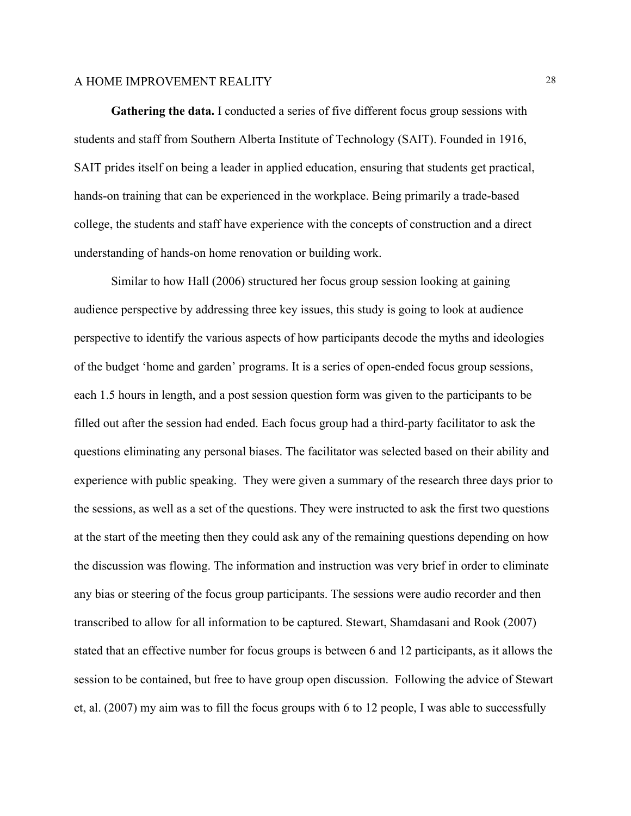**Gathering the data.** I conducted a series of five different focus group sessions with students and staff from Southern Alberta Institute of Technology (SAIT). Founded in 1916, SAIT prides itself on being a leader in applied education, ensuring that students get practical, hands-on training that can be experienced in the workplace. Being primarily a trade-based college, the students and staff have experience with the concepts of construction and a direct understanding of hands-on home renovation or building work.

Similar to how Hall (2006) structured her focus group session looking at gaining audience perspective by addressing three key issues, this study is going to look at audience perspective to identify the various aspects of how participants decode the myths and ideologies of the budget 'home and garden' programs. It is a series of open-ended focus group sessions, each 1.5 hours in length, and a post session question form was given to the participants to be filled out after the session had ended. Each focus group had a third-party facilitator to ask the questions eliminating any personal biases. The facilitator was selected based on their ability and experience with public speaking. They were given a summary of the research three days prior to the sessions, as well as a set of the questions. They were instructed to ask the first two questions at the start of the meeting then they could ask any of the remaining questions depending on how the discussion was flowing. The information and instruction was very brief in order to eliminate any bias or steering of the focus group participants. The sessions were audio recorder and then transcribed to allow for all information to be captured. Stewart, Shamdasani and Rook (2007) stated that an effective number for focus groups is between 6 and 12 participants, as it allows the session to be contained, but free to have group open discussion. Following the advice of Stewart et, al. (2007) my aim was to fill the focus groups with 6 to 12 people, I was able to successfully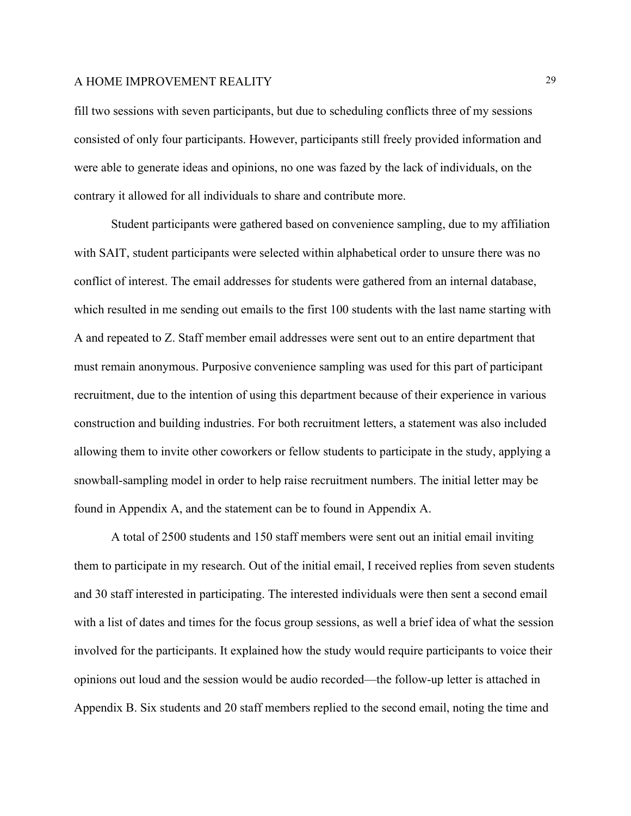fill two sessions with seven participants, but due to scheduling conflicts three of my sessions consisted of only four participants. However, participants still freely provided information and were able to generate ideas and opinions, no one was fazed by the lack of individuals, on the contrary it allowed for all individuals to share and contribute more.

Student participants were gathered based on convenience sampling, due to my affiliation with SAIT, student participants were selected within alphabetical order to unsure there was no conflict of interest. The email addresses for students were gathered from an internal database, which resulted in me sending out emails to the first 100 students with the last name starting with A and repeated to Z. Staff member email addresses were sent out to an entire department that must remain anonymous. Purposive convenience sampling was used for this part of participant recruitment, due to the intention of using this department because of their experience in various construction and building industries. For both recruitment letters, a statement was also included allowing them to invite other coworkers or fellow students to participate in the study, applying a snowball-sampling model in order to help raise recruitment numbers. The initial letter may be found in Appendix A, and the statement can be to found in Appendix A.

A total of 2500 students and 150 staff members were sent out an initial email inviting them to participate in my research. Out of the initial email, I received replies from seven students and 30 staff interested in participating. The interested individuals were then sent a second email with a list of dates and times for the focus group sessions, as well a brief idea of what the session involved for the participants. It explained how the study would require participants to voice their opinions out loud and the session would be audio recorded—the follow-up letter is attached in Appendix B. Six students and 20 staff members replied to the second email, noting the time and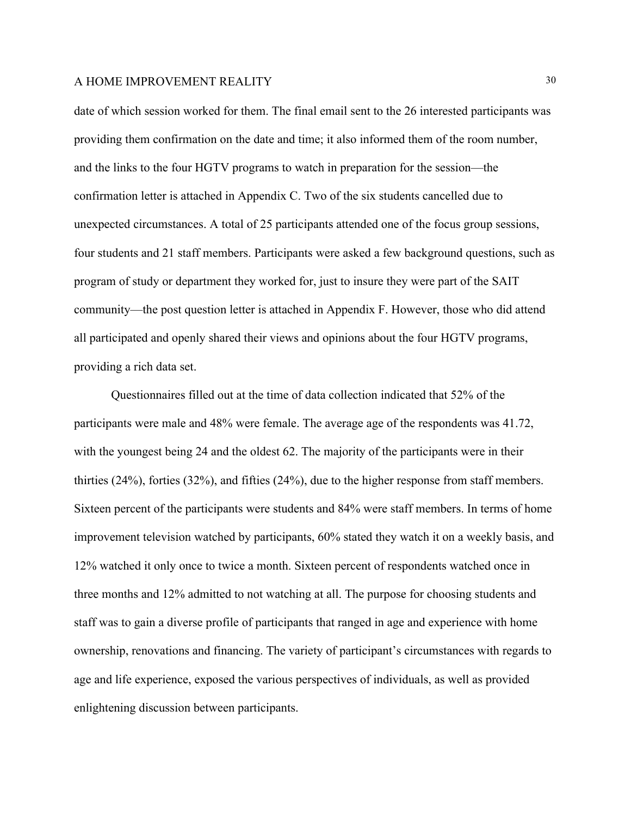date of which session worked for them. The final email sent to the 26 interested participants was providing them confirmation on the date and time; it also informed them of the room number, and the links to the four HGTV programs to watch in preparation for the session—the confirmation letter is attached in Appendix C. Two of the six students cancelled due to unexpected circumstances. A total of 25 participants attended one of the focus group sessions, four students and 21 staff members. Participants were asked a few background questions, such as program of study or department they worked for, just to insure they were part of the SAIT community—the post question letter is attached in Appendix F. However, those who did attend all participated and openly shared their views and opinions about the four HGTV programs, providing a rich data set.

Questionnaires filled out at the time of data collection indicated that 52% of the participants were male and 48% were female. The average age of the respondents was 41.72, with the youngest being 24 and the oldest 62. The majority of the participants were in their thirties (24%), forties (32%), and fifties (24%), due to the higher response from staff members. Sixteen percent of the participants were students and 84% were staff members. In terms of home improvement television watched by participants, 60% stated they watch it on a weekly basis, and 12% watched it only once to twice a month. Sixteen percent of respondents watched once in three months and 12% admitted to not watching at all. The purpose for choosing students and staff was to gain a diverse profile of participants that ranged in age and experience with home ownership, renovations and financing. The variety of participant's circumstances with regards to age and life experience, exposed the various perspectives of individuals, as well as provided enlightening discussion between participants.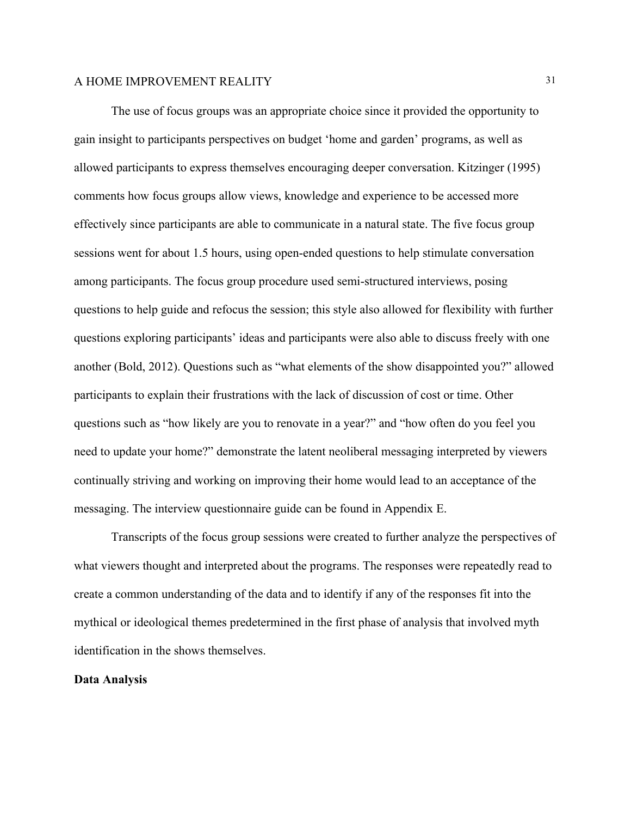The use of focus groups was an appropriate choice since it provided the opportunity to gain insight to participants perspectives on budget 'home and garden' programs, as well as allowed participants to express themselves encouraging deeper conversation. Kitzinger (1995) comments how focus groups allow views, knowledge and experience to be accessed more effectively since participants are able to communicate in a natural state. The five focus group sessions went for about 1.5 hours, using open-ended questions to help stimulate conversation among participants. The focus group procedure used semi-structured interviews, posing questions to help guide and refocus the session; this style also allowed for flexibility with further questions exploring participants' ideas and participants were also able to discuss freely with one another (Bold, 2012). Questions such as "what elements of the show disappointed you?" allowed participants to explain their frustrations with the lack of discussion of cost or time. Other questions such as "how likely are you to renovate in a year?" and "how often do you feel you need to update your home?" demonstrate the latent neoliberal messaging interpreted by viewers continually striving and working on improving their home would lead to an acceptance of the messaging. The interview questionnaire guide can be found in Appendix E.

Transcripts of the focus group sessions were created to further analyze the perspectives of what viewers thought and interpreted about the programs. The responses were repeatedly read to create a common understanding of the data and to identify if any of the responses fit into the mythical or ideological themes predetermined in the first phase of analysis that involved myth identification in the shows themselves.

#### **Data Analysis**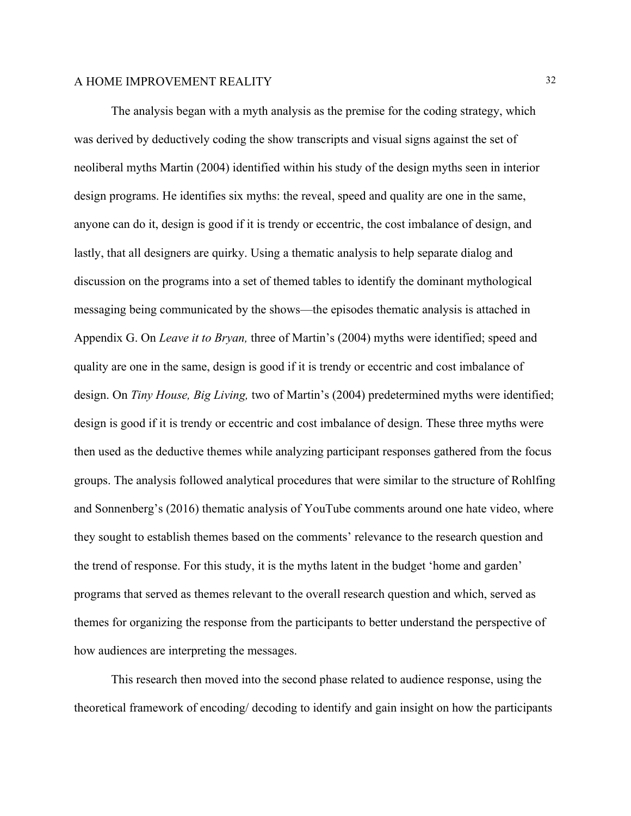The analysis began with a myth analysis as the premise for the coding strategy, which was derived by deductively coding the show transcripts and visual signs against the set of neoliberal myths Martin (2004) identified within his study of the design myths seen in interior design programs. He identifies six myths: the reveal, speed and quality are one in the same, anyone can do it, design is good if it is trendy or eccentric, the cost imbalance of design, and lastly, that all designers are quirky. Using a thematic analysis to help separate dialog and discussion on the programs into a set of themed tables to identify the dominant mythological messaging being communicated by the shows—the episodes thematic analysis is attached in Appendix G. On *Leave it to Bryan,* three of Martin's (2004) myths were identified; speed and quality are one in the same, design is good if it is trendy or eccentric and cost imbalance of design. On *Tiny House, Big Living,* two of Martin's (2004) predetermined myths were identified; design is good if it is trendy or eccentric and cost imbalance of design. These three myths were then used as the deductive themes while analyzing participant responses gathered from the focus groups. The analysis followed analytical procedures that were similar to the structure of Rohlfing and Sonnenberg's (2016) thematic analysis of YouTube comments around one hate video, where they sought to establish themes based on the comments' relevance to the research question and the trend of response. For this study, it is the myths latent in the budget 'home and garden' programs that served as themes relevant to the overall research question and which, served as themes for organizing the response from the participants to better understand the perspective of how audiences are interpreting the messages.

This research then moved into the second phase related to audience response, using the theoretical framework of encoding/ decoding to identify and gain insight on how the participants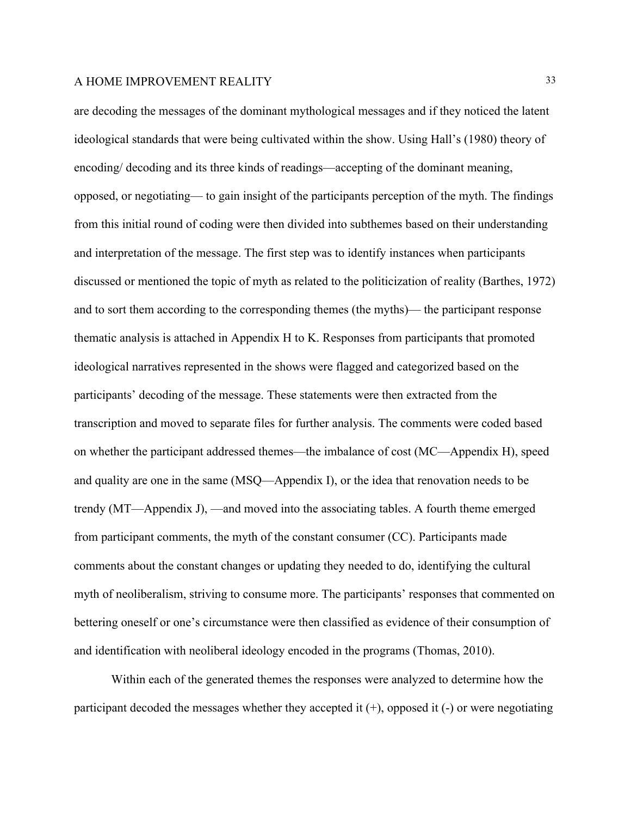are decoding the messages of the dominant mythological messages and if they noticed the latent ideological standards that were being cultivated within the show. Using Hall's (1980) theory of encoding/ decoding and its three kinds of readings—accepting of the dominant meaning, opposed, or negotiating— to gain insight of the participants perception of the myth. The findings from this initial round of coding were then divided into subthemes based on their understanding and interpretation of the message. The first step was to identify instances when participants discussed or mentioned the topic of myth as related to the politicization of reality (Barthes, 1972) and to sort them according to the corresponding themes (the myths)— the participant response thematic analysis is attached in Appendix H to K. Responses from participants that promoted ideological narratives represented in the shows were flagged and categorized based on the participants' decoding of the message. These statements were then extracted from the transcription and moved to separate files for further analysis. The comments were coded based on whether the participant addressed themes—the imbalance of cost (MC—Appendix H), speed and quality are one in the same (MSQ—Appendix I), or the idea that renovation needs to be trendy (MT—Appendix J), —and moved into the associating tables. A fourth theme emerged from participant comments, the myth of the constant consumer (CC). Participants made comments about the constant changes or updating they needed to do, identifying the cultural myth of neoliberalism, striving to consume more. The participants' responses that commented on bettering oneself or one's circumstance were then classified as evidence of their consumption of and identification with neoliberal ideology encoded in the programs (Thomas, 2010).

Within each of the generated themes the responses were analyzed to determine how the participant decoded the messages whether they accepted it  $(+)$ , opposed it  $(-)$  or were negotiating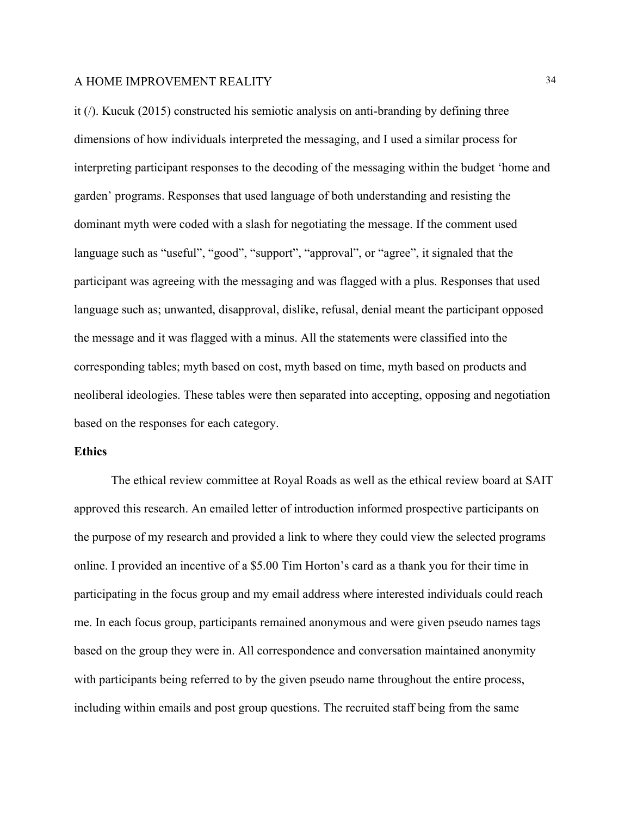it (/). Kucuk (2015) constructed his semiotic analysis on anti-branding by defining three dimensions of how individuals interpreted the messaging, and I used a similar process for interpreting participant responses to the decoding of the messaging within the budget 'home and garden' programs. Responses that used language of both understanding and resisting the dominant myth were coded with a slash for negotiating the message. If the comment used language such as "useful", "good", "support", "approval", or "agree", it signaled that the participant was agreeing with the messaging and was flagged with a plus. Responses that used language such as; unwanted, disapproval, dislike, refusal, denial meant the participant opposed the message and it was flagged with a minus. All the statements were classified into the corresponding tables; myth based on cost, myth based on time, myth based on products and neoliberal ideologies. These tables were then separated into accepting, opposing and negotiation based on the responses for each category.

#### **Ethics**

The ethical review committee at Royal Roads as well as the ethical review board at SAIT approved this research. An emailed letter of introduction informed prospective participants on the purpose of my research and provided a link to where they could view the selected programs online. I provided an incentive of a \$5.00 Tim Horton's card as a thank you for their time in participating in the focus group and my email address where interested individuals could reach me. In each focus group, participants remained anonymous and were given pseudo names tags based on the group they were in. All correspondence and conversation maintained anonymity with participants being referred to by the given pseudo name throughout the entire process, including within emails and post group questions. The recruited staff being from the same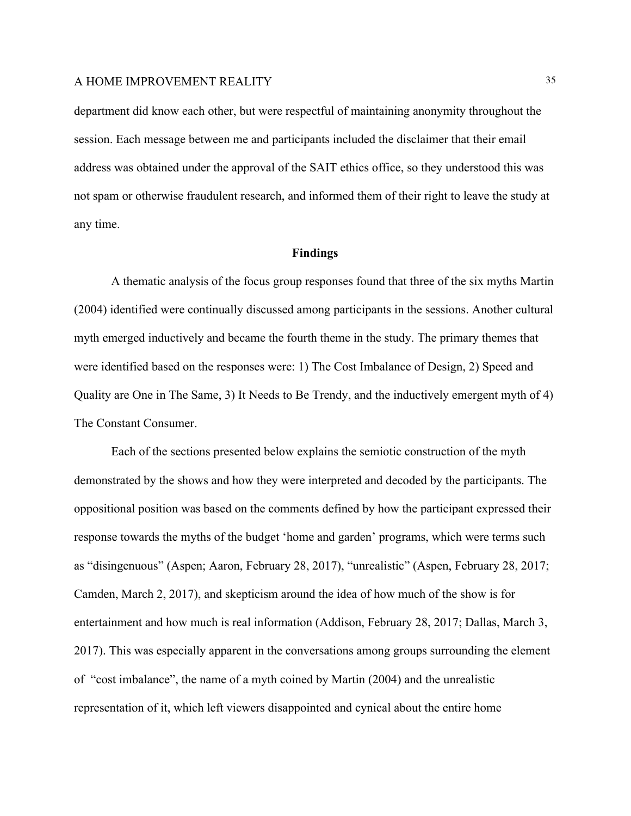department did know each other, but were respectful of maintaining anonymity throughout the session. Each message between me and participants included the disclaimer that their email address was obtained under the approval of the SAIT ethics office, so they understood this was not spam or otherwise fraudulent research, and informed them of their right to leave the study at any time.

#### **Findings**

A thematic analysis of the focus group responses found that three of the six myths Martin (2004) identified were continually discussed among participants in the sessions. Another cultural myth emerged inductively and became the fourth theme in the study. The primary themes that were identified based on the responses were: 1) The Cost Imbalance of Design, 2) Speed and Quality are One in The Same, 3) It Needs to Be Trendy, and the inductively emergent myth of 4) The Constant Consumer.

Each of the sections presented below explains the semiotic construction of the myth demonstrated by the shows and how they were interpreted and decoded by the participants. The oppositional position was based on the comments defined by how the participant expressed their response towards the myths of the budget 'home and garden' programs, which were terms such as "disingenuous" (Aspen; Aaron, February 28, 2017), "unrealistic" (Aspen, February 28, 2017; Camden, March 2, 2017), and skepticism around the idea of how much of the show is for entertainment and how much is real information (Addison, February 28, 2017; Dallas, March 3, 2017). This was especially apparent in the conversations among groups surrounding the element of "cost imbalance", the name of a myth coined by Martin (2004) and the unrealistic representation of it, which left viewers disappointed and cynical about the entire home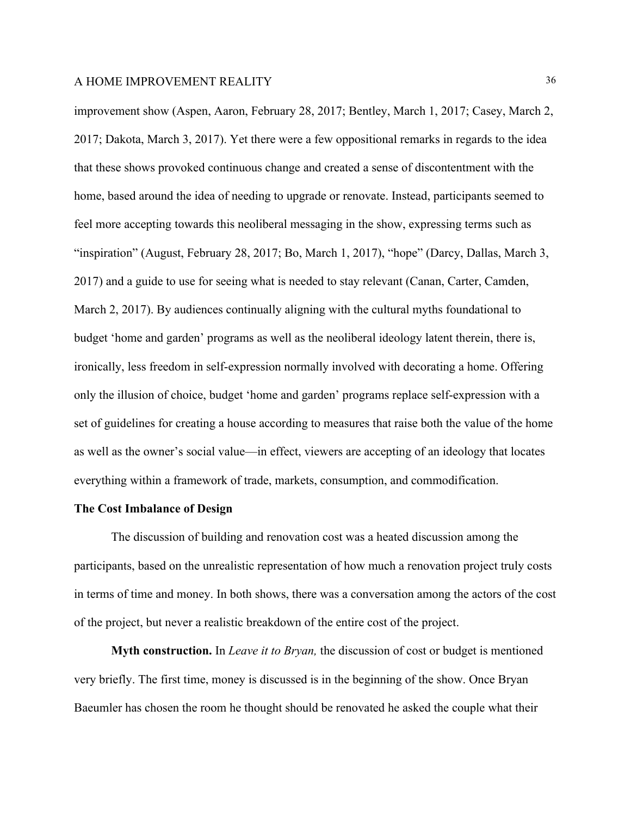improvement show (Aspen, Aaron, February 28, 2017; Bentley, March 1, 2017; Casey, March 2, 2017; Dakota, March 3, 2017). Yet there were a few oppositional remarks in regards to the idea that these shows provoked continuous change and created a sense of discontentment with the home, based around the idea of needing to upgrade or renovate. Instead, participants seemed to feel more accepting towards this neoliberal messaging in the show, expressing terms such as "inspiration" (August, February 28, 2017; Bo, March 1, 2017), "hope" (Darcy, Dallas, March 3, 2017) and a guide to use for seeing what is needed to stay relevant (Canan, Carter, Camden, March 2, 2017). By audiences continually aligning with the cultural myths foundational to budget 'home and garden' programs as well as the neoliberal ideology latent therein, there is, ironically, less freedom in self-expression normally involved with decorating a home. Offering only the illusion of choice, budget 'home and garden' programs replace self-expression with a set of guidelines for creating a house according to measures that raise both the value of the home as well as the owner's social value—in effect, viewers are accepting of an ideology that locates everything within a framework of trade, markets, consumption, and commodification.

#### **The Cost Imbalance of Design**

The discussion of building and renovation cost was a heated discussion among the participants, based on the unrealistic representation of how much a renovation project truly costs in terms of time and money. In both shows, there was a conversation among the actors of the cost of the project, but never a realistic breakdown of the entire cost of the project.

**Myth construction.** In *Leave it to Bryan,* the discussion of cost or budget is mentioned very briefly. The first time, money is discussed is in the beginning of the show. Once Bryan Baeumler has chosen the room he thought should be renovated he asked the couple what their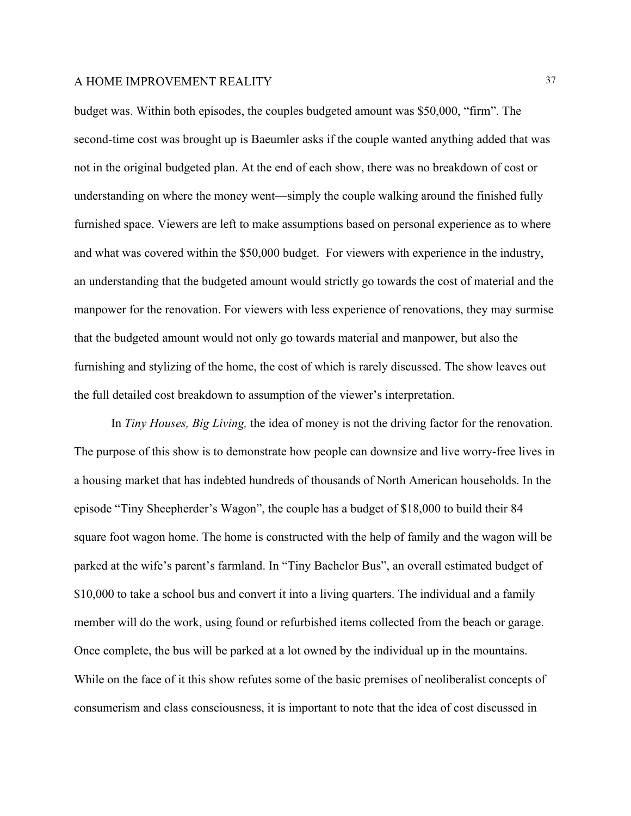budget was. Within both episodes, the couples budgeted amount was \$50,000, "firm". The second-time cost was brought up is Baeumler asks if the couple wanted anything added that was not in the original budgeted plan. At the end of each show, there was no breakdown of cost or understanding on where the money went—simply the couple walking around the finished fully furnished space. Viewers are left to make assumptions based on personal experience as to where and what was covered within the \$50,000 budget. For viewers with experience in the industry, an understanding that the budgeted amount would strictly go towards the cost of material and the manpower for the renovation. For viewers with less experience of renovations, they may surmise that the budgeted amount would not only go towards material and manpower, but also the furnishing and stylizing of the home, the cost of which is rarely discussed. The show leaves out the full detailed cost breakdown to assumption of the viewer's interpretation.

In *Tiny Houses, Big Living,* the idea of money is not the driving factor for the renovation. The purpose of this show is to demonstrate how people can downsize and live worry-free lives in a housing market that has indebted hundreds of thousands of North American households. In the episode "Tiny Sheepherder's Wagon", the couple has a budget of \$18,000 to build their 84 square foot wagon home. The home is constructed with the help of family and the wagon will be parked at the wife's parent's farmland. In "Tiny Bachelor Bus", an overall estimated budget of \$10,000 to take a school bus and convert it into a living quarters. The individual and a family member will do the work, using found or refurbished items collected from the beach or garage. Once complete, the bus will be parked at a lot owned by the individual up in the mountains. While on the face of it this show refutes some of the basic premises of neoliberalist concepts of consumerism and class consciousness, it is important to note that the idea of cost discussed in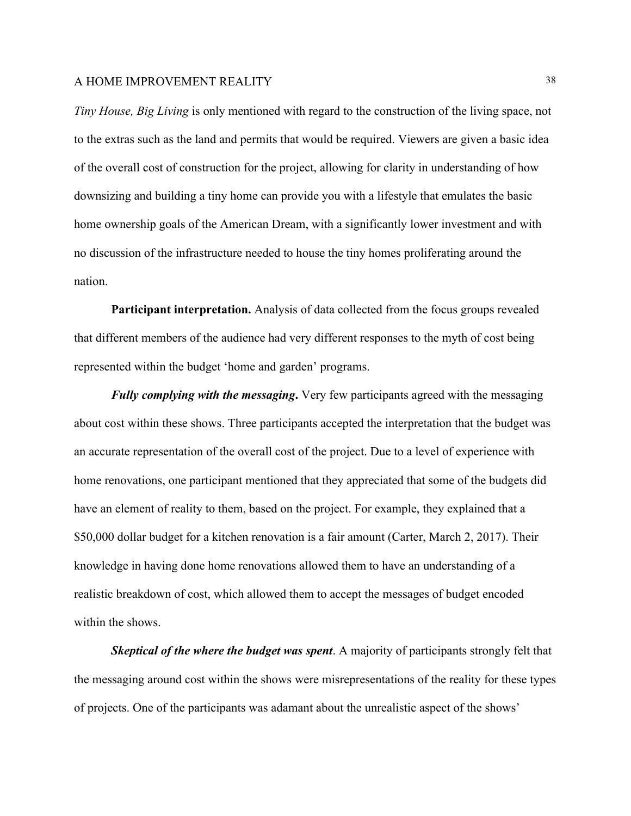*Tiny House, Big Living* is only mentioned with regard to the construction of the living space, not to the extras such as the land and permits that would be required. Viewers are given a basic idea of the overall cost of construction for the project, allowing for clarity in understanding of how downsizing and building a tiny home can provide you with a lifestyle that emulates the basic home ownership goals of the American Dream, with a significantly lower investment and with no discussion of the infrastructure needed to house the tiny homes proliferating around the nation.

**Participant interpretation.** Analysis of data collected from the focus groups revealed that different members of the audience had very different responses to the myth of cost being represented within the budget 'home and garden' programs.

*Fully complying with the messaging***.** Very few participants agreed with the messaging about cost within these shows. Three participants accepted the interpretation that the budget was an accurate representation of the overall cost of the project. Due to a level of experience with home renovations, one participant mentioned that they appreciated that some of the budgets did have an element of reality to them, based on the project. For example, they explained that a \$50,000 dollar budget for a kitchen renovation is a fair amount (Carter, March 2, 2017). Their knowledge in having done home renovations allowed them to have an understanding of a realistic breakdown of cost, which allowed them to accept the messages of budget encoded within the shows.

*Skeptical of the where the budget was spent*. A majority of participants strongly felt that the messaging around cost within the shows were misrepresentations of the reality for these types of projects. One of the participants was adamant about the unrealistic aspect of the shows'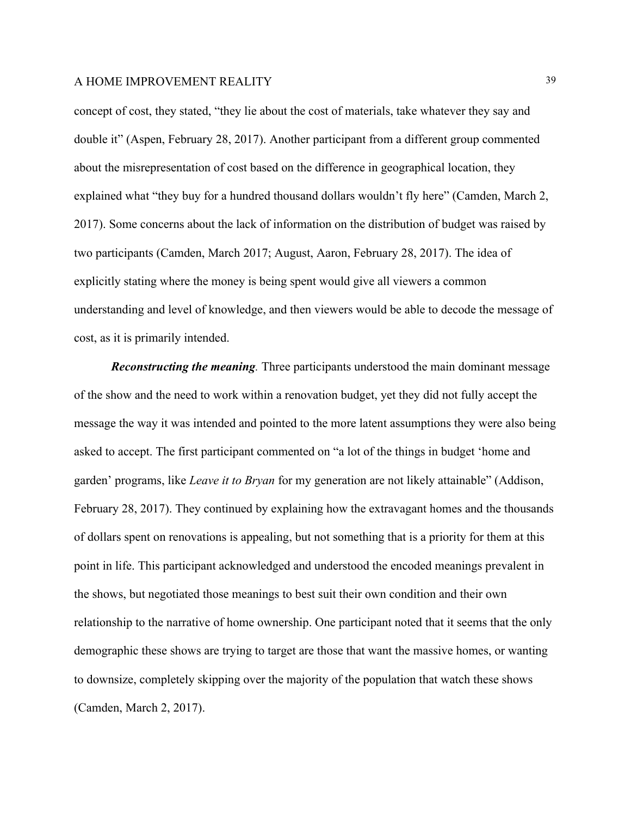concept of cost, they stated, "they lie about the cost of materials, take whatever they say and double it" (Aspen, February 28, 2017). Another participant from a different group commented about the misrepresentation of cost based on the difference in geographical location, they explained what "they buy for a hundred thousand dollars wouldn't fly here" (Camden, March 2, 2017). Some concerns about the lack of information on the distribution of budget was raised by two participants (Camden, March 2017; August, Aaron, February 28, 2017). The idea of explicitly stating where the money is being spent would give all viewers a common understanding and level of knowledge, and then viewers would be able to decode the message of cost, as it is primarily intended.

*Reconstructing the meaning.* Three participants understood the main dominant message of the show and the need to work within a renovation budget, yet they did not fully accept the message the way it was intended and pointed to the more latent assumptions they were also being asked to accept. The first participant commented on "a lot of the things in budget 'home and garden' programs, like *Leave it to Bryan* for my generation are not likely attainable" (Addison, February 28, 2017). They continued by explaining how the extravagant homes and the thousands of dollars spent on renovations is appealing, but not something that is a priority for them at this point in life. This participant acknowledged and understood the encoded meanings prevalent in the shows, but negotiated those meanings to best suit their own condition and their own relationship to the narrative of home ownership. One participant noted that it seems that the only demographic these shows are trying to target are those that want the massive homes, or wanting to downsize, completely skipping over the majority of the population that watch these shows (Camden, March 2, 2017).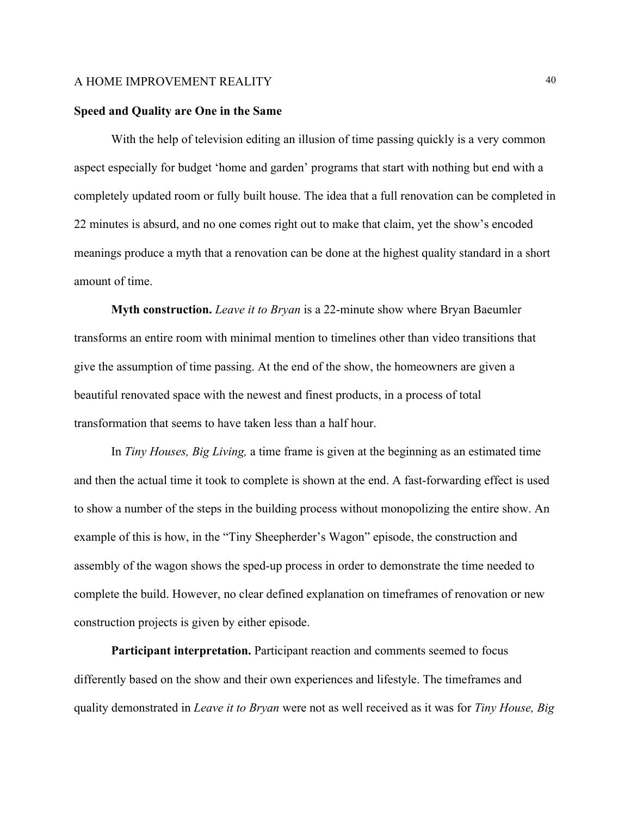#### **Speed and Quality are One in the Same**

With the help of television editing an illusion of time passing quickly is a very common aspect especially for budget 'home and garden' programs that start with nothing but end with a completely updated room or fully built house. The idea that a full renovation can be completed in 22 minutes is absurd, and no one comes right out to make that claim, yet the show's encoded meanings produce a myth that a renovation can be done at the highest quality standard in a short amount of time.

**Myth construction.** *Leave it to Bryan* is a 22-minute show where Bryan Baeumler transforms an entire room with minimal mention to timelines other than video transitions that give the assumption of time passing. At the end of the show, the homeowners are given a beautiful renovated space with the newest and finest products, in a process of total transformation that seems to have taken less than a half hour.

In *Tiny Houses, Big Living,* a time frame is given at the beginning as an estimated time and then the actual time it took to complete is shown at the end. A fast-forwarding effect is used to show a number of the steps in the building process without monopolizing the entire show. An example of this is how, in the "Tiny Sheepherder's Wagon" episode, the construction and assembly of the wagon shows the sped-up process in order to demonstrate the time needed to complete the build. However, no clear defined explanation on timeframes of renovation or new construction projects is given by either episode.

**Participant interpretation.** Participant reaction and comments seemed to focus differently based on the show and their own experiences and lifestyle. The timeframes and quality demonstrated in *Leave it to Bryan* were not as well received as it was for *Tiny House, Big*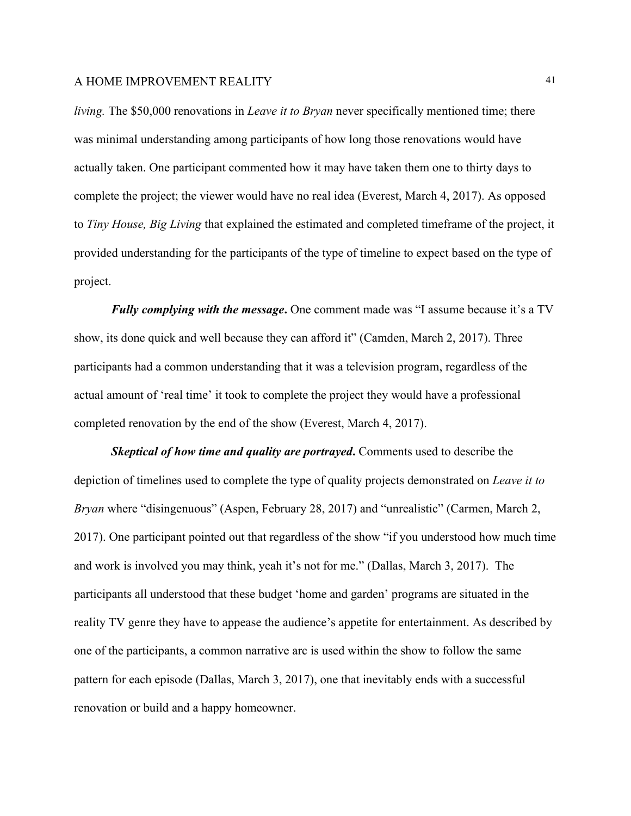*living.* The \$50,000 renovations in *Leave it to Bryan* never specifically mentioned time; there was minimal understanding among participants of how long those renovations would have actually taken. One participant commented how it may have taken them one to thirty days to complete the project; the viewer would have no real idea (Everest, March 4, 2017). As opposed to *Tiny House, Big Living* that explained the estimated and completed timeframe of the project, it provided understanding for the participants of the type of timeline to expect based on the type of project.

*Fully complying with the message***.** One comment made was "I assume because it's a TV show, its done quick and well because they can afford it" (Camden, March 2, 2017). Three participants had a common understanding that it was a television program, regardless of the actual amount of 'real time' it took to complete the project they would have a professional completed renovation by the end of the show (Everest, March 4, 2017).

*Skeptical of how time and quality are portrayed***.** Comments used to describe the depiction of timelines used to complete the type of quality projects demonstrated on *Leave it to Bryan* where "disingenuous" (Aspen, February 28, 2017) and "unrealistic" (Carmen, March 2, 2017). One participant pointed out that regardless of the show "if you understood how much time and work is involved you may think, yeah it's not for me." (Dallas, March 3, 2017). The participants all understood that these budget 'home and garden' programs are situated in the reality TV genre they have to appease the audience's appetite for entertainment. As described by one of the participants, a common narrative arc is used within the show to follow the same pattern for each episode (Dallas, March 3, 2017), one that inevitably ends with a successful renovation or build and a happy homeowner.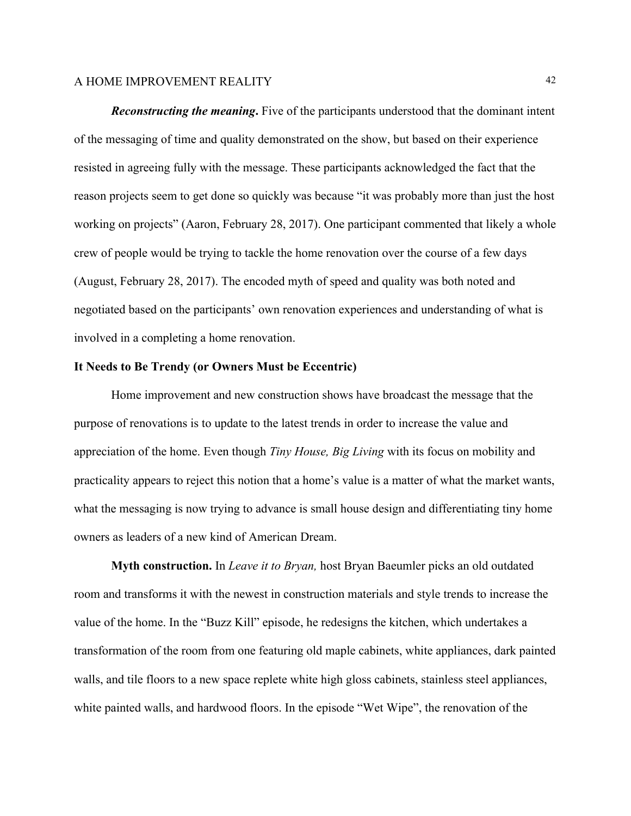*Reconstructing the meaning***.** Five of the participants understood that the dominant intent of the messaging of time and quality demonstrated on the show, but based on their experience resisted in agreeing fully with the message. These participants acknowledged the fact that the reason projects seem to get done so quickly was because "it was probably more than just the host working on projects" (Aaron, February 28, 2017). One participant commented that likely a whole crew of people would be trying to tackle the home renovation over the course of a few days (August, February 28, 2017). The encoded myth of speed and quality was both noted and negotiated based on the participants' own renovation experiences and understanding of what is involved in a completing a home renovation.

#### **It Needs to Be Trendy (or Owners Must be Eccentric)**

Home improvement and new construction shows have broadcast the message that the purpose of renovations is to update to the latest trends in order to increase the value and appreciation of the home. Even though *Tiny House, Big Living* with its focus on mobility and practicality appears to reject this notion that a home's value is a matter of what the market wants, what the messaging is now trying to advance is small house design and differentiating tiny home owners as leaders of a new kind of American Dream.

**Myth construction.** In *Leave it to Bryan,* host Bryan Baeumler picks an old outdated room and transforms it with the newest in construction materials and style trends to increase the value of the home. In the "Buzz Kill" episode, he redesigns the kitchen, which undertakes a transformation of the room from one featuring old maple cabinets, white appliances, dark painted walls, and tile floors to a new space replete white high gloss cabinets, stainless steel appliances, white painted walls, and hardwood floors. In the episode "Wet Wipe", the renovation of the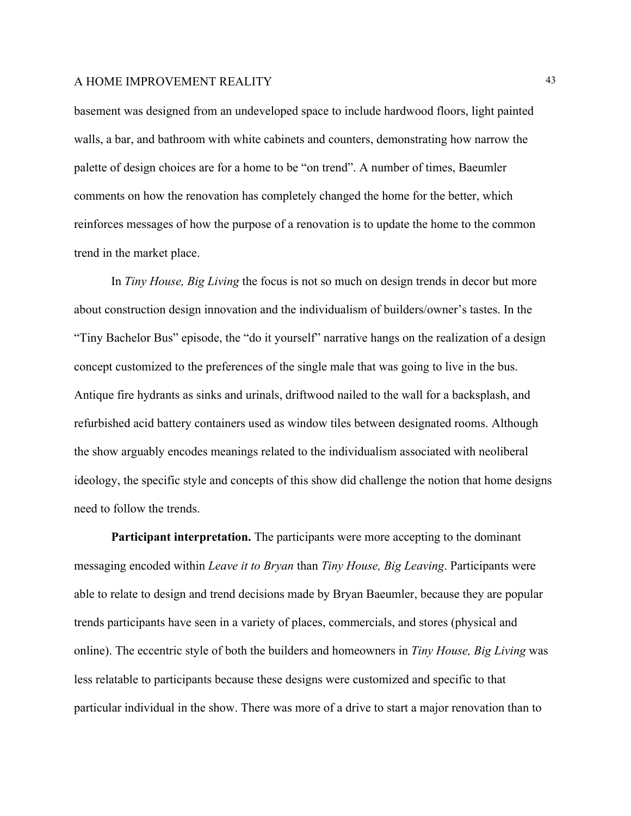basement was designed from an undeveloped space to include hardwood floors, light painted walls, a bar, and bathroom with white cabinets and counters, demonstrating how narrow the palette of design choices are for a home to be "on trend". A number of times, Baeumler comments on how the renovation has completely changed the home for the better, which reinforces messages of how the purpose of a renovation is to update the home to the common trend in the market place.

In *Tiny House, Big Living* the focus is not so much on design trends in decor but more about construction design innovation and the individualism of builders/owner's tastes. In the "Tiny Bachelor Bus" episode, the "do it yourself" narrative hangs on the realization of a design concept customized to the preferences of the single male that was going to live in the bus. Antique fire hydrants as sinks and urinals, driftwood nailed to the wall for a backsplash, and refurbished acid battery containers used as window tiles between designated rooms. Although the show arguably encodes meanings related to the individualism associated with neoliberal ideology, the specific style and concepts of this show did challenge the notion that home designs need to follow the trends.

**Participant interpretation.** The participants were more accepting to the dominant messaging encoded within *Leave it to Bryan* than *Tiny House, Big Leaving*. Participants were able to relate to design and trend decisions made by Bryan Baeumler, because they are popular trends participants have seen in a variety of places, commercials, and stores (physical and online). The eccentric style of both the builders and homeowners in *Tiny House, Big Living* was less relatable to participants because these designs were customized and specific to that particular individual in the show. There was more of a drive to start a major renovation than to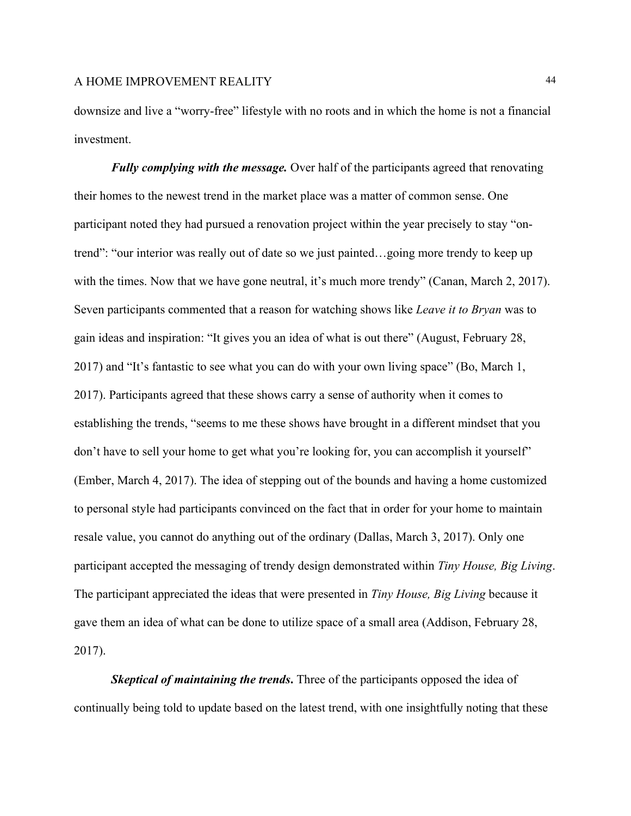downsize and live a "worry-free" lifestyle with no roots and in which the home is not a financial investment.

*Fully complying with the message.* Over half of the participants agreed that renovating their homes to the newest trend in the market place was a matter of common sense. One participant noted they had pursued a renovation project within the year precisely to stay "ontrend": "our interior was really out of date so we just painted…going more trendy to keep up with the times. Now that we have gone neutral, it's much more trendy" (Canan, March 2, 2017). Seven participants commented that a reason for watching shows like *Leave it to Bryan* was to gain ideas and inspiration: "It gives you an idea of what is out there" (August, February 28, 2017) and "It's fantastic to see what you can do with your own living space" (Bo, March 1, 2017). Participants agreed that these shows carry a sense of authority when it comes to establishing the trends, "seems to me these shows have brought in a different mindset that you don't have to sell your home to get what you're looking for, you can accomplish it yourself" (Ember, March 4, 2017). The idea of stepping out of the bounds and having a home customized to personal style had participants convinced on the fact that in order for your home to maintain resale value, you cannot do anything out of the ordinary (Dallas, March 3, 2017). Only one participant accepted the messaging of trendy design demonstrated within *Tiny House, Big Living*. The participant appreciated the ideas that were presented in *Tiny House, Big Living* because it gave them an idea of what can be done to utilize space of a small area (Addison, February 28, 2017).

*Skeptical of maintaining the trends***.** Three of the participants opposed the idea of continually being told to update based on the latest trend, with one insightfully noting that these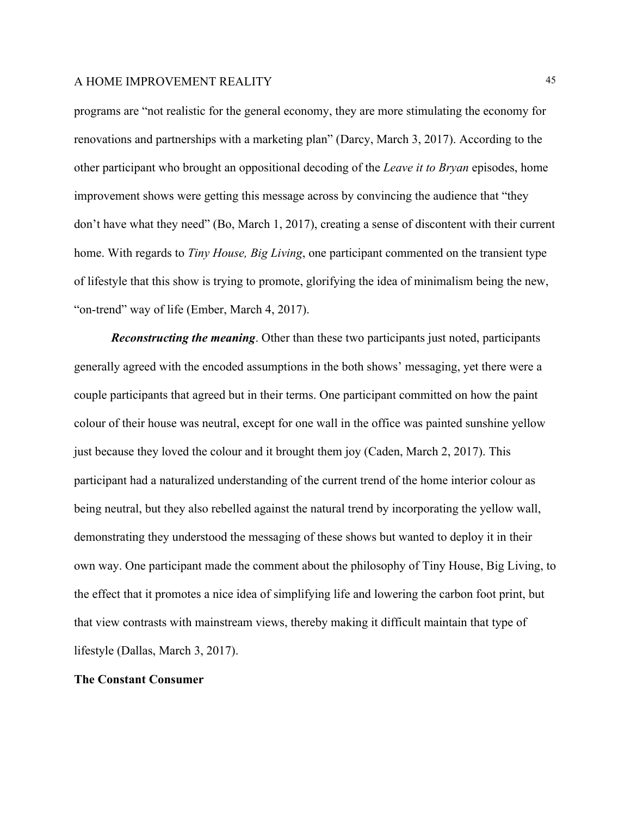programs are "not realistic for the general economy, they are more stimulating the economy for renovations and partnerships with a marketing plan" (Darcy, March 3, 2017). According to the other participant who brought an oppositional decoding of the *Leave it to Bryan* episodes, home improvement shows were getting this message across by convincing the audience that "they don't have what they need" (Bo, March 1, 2017), creating a sense of discontent with their current home. With regards to *Tiny House, Big Living*, one participant commented on the transient type of lifestyle that this show is trying to promote, glorifying the idea of minimalism being the new, "on-trend" way of life (Ember, March 4, 2017).

*Reconstructing the meaning*. Other than these two participants just noted, participants generally agreed with the encoded assumptions in the both shows' messaging, yet there were a couple participants that agreed but in their terms. One participant committed on how the paint colour of their house was neutral, except for one wall in the office was painted sunshine yellow just because they loved the colour and it brought them joy (Caden, March 2, 2017). This participant had a naturalized understanding of the current trend of the home interior colour as being neutral, but they also rebelled against the natural trend by incorporating the yellow wall, demonstrating they understood the messaging of these shows but wanted to deploy it in their own way. One participant made the comment about the philosophy of Tiny House, Big Living, to the effect that it promotes a nice idea of simplifying life and lowering the carbon foot print, but that view contrasts with mainstream views, thereby making it difficult maintain that type of lifestyle (Dallas, March 3, 2017).

#### **The Constant Consumer**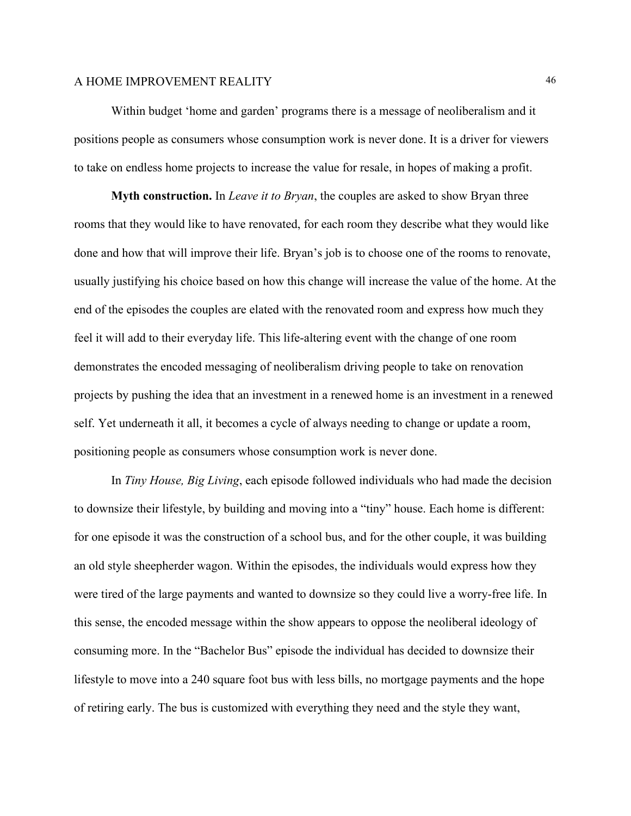Within budget 'home and garden' programs there is a message of neoliberalism and it positions people as consumers whose consumption work is never done. It is a driver for viewers to take on endless home projects to increase the value for resale, in hopes of making a profit.

**Myth construction.** In *Leave it to Bryan*, the couples are asked to show Bryan three rooms that they would like to have renovated, for each room they describe what they would like done and how that will improve their life. Bryan's job is to choose one of the rooms to renovate, usually justifying his choice based on how this change will increase the value of the home. At the end of the episodes the couples are elated with the renovated room and express how much they feel it will add to their everyday life. This life-altering event with the change of one room demonstrates the encoded messaging of neoliberalism driving people to take on renovation projects by pushing the idea that an investment in a renewed home is an investment in a renewed self. Yet underneath it all, it becomes a cycle of always needing to change or update a room, positioning people as consumers whose consumption work is never done.

In *Tiny House, Big Living*, each episode followed individuals who had made the decision to downsize their lifestyle, by building and moving into a "tiny" house. Each home is different: for one episode it was the construction of a school bus, and for the other couple, it was building an old style sheepherder wagon. Within the episodes, the individuals would express how they were tired of the large payments and wanted to downsize so they could live a worry-free life. In this sense, the encoded message within the show appears to oppose the neoliberal ideology of consuming more. In the "Bachelor Bus" episode the individual has decided to downsize their lifestyle to move into a 240 square foot bus with less bills, no mortgage payments and the hope of retiring early. The bus is customized with everything they need and the style they want,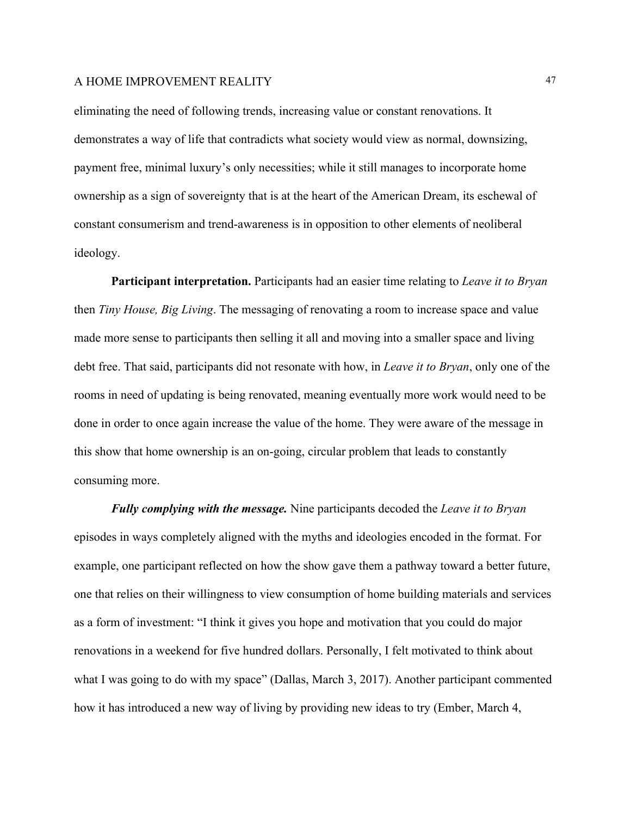eliminating the need of following trends, increasing value or constant renovations. It demonstrates a way of life that contradicts what society would view as normal, downsizing, payment free, minimal luxury's only necessities; while it still manages to incorporate home ownership as a sign of sovereignty that is at the heart of the American Dream, its eschewal of constant consumerism and trend-awareness is in opposition to other elements of neoliberal ideology.

**Participant interpretation.** Participants had an easier time relating to *Leave it to Bryan* then *Tiny House, Big Living*. The messaging of renovating a room to increase space and value made more sense to participants then selling it all and moving into a smaller space and living debt free. That said, participants did not resonate with how, in *Leave it to Bryan*, only one of the rooms in need of updating is being renovated, meaning eventually more work would need to be done in order to once again increase the value of the home. They were aware of the message in this show that home ownership is an on-going, circular problem that leads to constantly consuming more.

*Fully complying with the message.* Nine participants decoded the *Leave it to Bryan* episodes in ways completely aligned with the myths and ideologies encoded in the format. For example, one participant reflected on how the show gave them a pathway toward a better future, one that relies on their willingness to view consumption of home building materials and services as a form of investment: "I think it gives you hope and motivation that you could do major renovations in a weekend for five hundred dollars. Personally, I felt motivated to think about what I was going to do with my space" (Dallas, March 3, 2017). Another participant commented how it has introduced a new way of living by providing new ideas to try (Ember, March 4,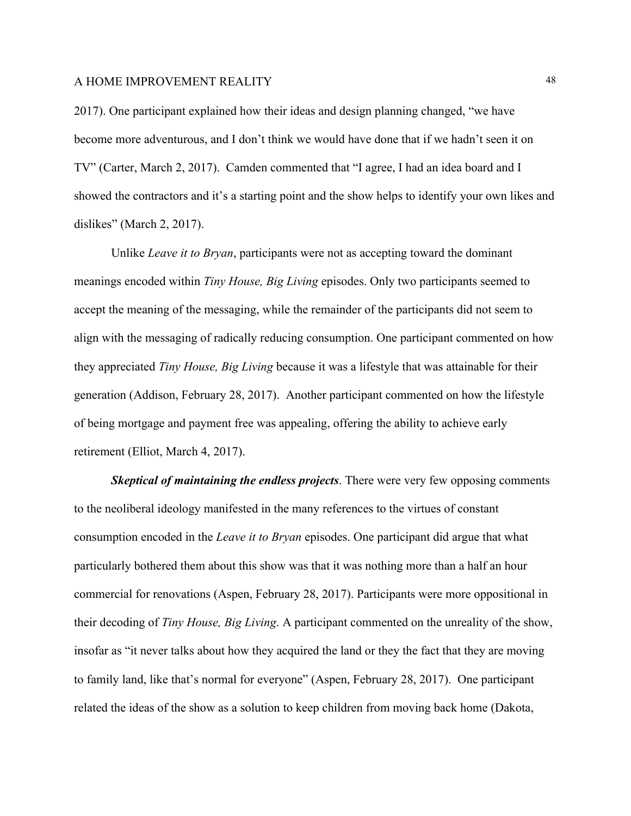2017). One participant explained how their ideas and design planning changed, "we have become more adventurous, and I don't think we would have done that if we hadn't seen it on TV" (Carter, March 2, 2017). Camden commented that "I agree, I had an idea board and I showed the contractors and it's a starting point and the show helps to identify your own likes and dislikes" (March 2, 2017).

Unlike *Leave it to Bryan*, participants were not as accepting toward the dominant meanings encoded within *Tiny House, Big Living* episodes. Only two participants seemed to accept the meaning of the messaging, while the remainder of the participants did not seem to align with the messaging of radically reducing consumption. One participant commented on how they appreciated *Tiny House, Big Living* because it was a lifestyle that was attainable for their generation (Addison, February 28, 2017). Another participant commented on how the lifestyle of being mortgage and payment free was appealing, offering the ability to achieve early retirement (Elliot, March 4, 2017).

*Skeptical of maintaining the endless projects*. There were very few opposing comments to the neoliberal ideology manifested in the many references to the virtues of constant consumption encoded in the *Leave it to Bryan* episodes. One participant did argue that what particularly bothered them about this show was that it was nothing more than a half an hour commercial for renovations (Aspen, February 28, 2017). Participants were more oppositional in their decoding of *Tiny House, Big Living*. A participant commented on the unreality of the show, insofar as "it never talks about how they acquired the land or they the fact that they are moving to family land, like that's normal for everyone" (Aspen, February 28, 2017). One participant related the ideas of the show as a solution to keep children from moving back home (Dakota,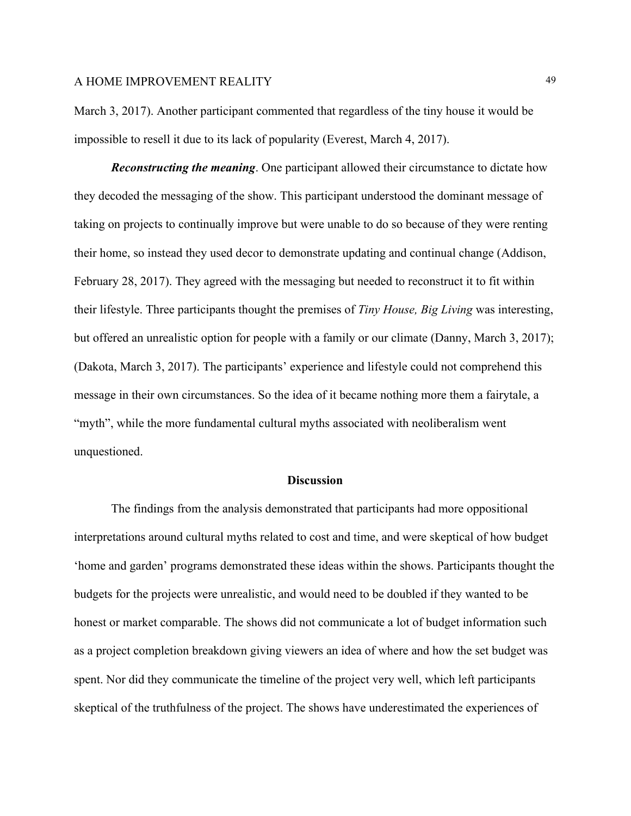March 3, 2017). Another participant commented that regardless of the tiny house it would be impossible to resell it due to its lack of popularity (Everest, March 4, 2017).

*Reconstructing the meaning*. One participant allowed their circumstance to dictate how they decoded the messaging of the show. This participant understood the dominant message of taking on projects to continually improve but were unable to do so because of they were renting their home, so instead they used decor to demonstrate updating and continual change (Addison, February 28, 2017). They agreed with the messaging but needed to reconstruct it to fit within their lifestyle. Three participants thought the premises of *Tiny House, Big Living* was interesting, but offered an unrealistic option for people with a family or our climate (Danny, March 3, 2017); (Dakota, March 3, 2017). The participants' experience and lifestyle could not comprehend this message in their own circumstances. So the idea of it became nothing more them a fairytale, a "myth", while the more fundamental cultural myths associated with neoliberalism went unquestioned.

#### **Discussion**

The findings from the analysis demonstrated that participants had more oppositional interpretations around cultural myths related to cost and time, and were skeptical of how budget 'home and garden' programs demonstrated these ideas within the shows. Participants thought the budgets for the projects were unrealistic, and would need to be doubled if they wanted to be honest or market comparable. The shows did not communicate a lot of budget information such as a project completion breakdown giving viewers an idea of where and how the set budget was spent. Nor did they communicate the timeline of the project very well, which left participants skeptical of the truthfulness of the project. The shows have underestimated the experiences of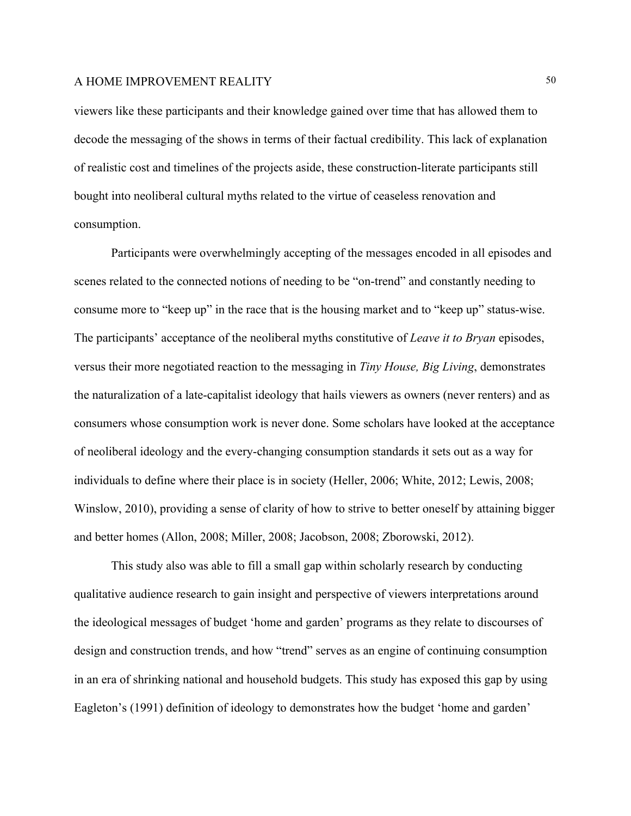viewers like these participants and their knowledge gained over time that has allowed them to decode the messaging of the shows in terms of their factual credibility. This lack of explanation of realistic cost and timelines of the projects aside, these construction-literate participants still bought into neoliberal cultural myths related to the virtue of ceaseless renovation and consumption.

Participants were overwhelmingly accepting of the messages encoded in all episodes and scenes related to the connected notions of needing to be "on-trend" and constantly needing to consume more to "keep up" in the race that is the housing market and to "keep up" status-wise. The participants' acceptance of the neoliberal myths constitutive of *Leave it to Bryan* episodes, versus their more negotiated reaction to the messaging in *Tiny House, Big Living*, demonstrates the naturalization of a late-capitalist ideology that hails viewers as owners (never renters) and as consumers whose consumption work is never done. Some scholars have looked at the acceptance of neoliberal ideology and the every-changing consumption standards it sets out as a way for individuals to define where their place is in society (Heller, 2006; White, 2012; Lewis, 2008; Winslow, 2010), providing a sense of clarity of how to strive to better oneself by attaining bigger and better homes (Allon, 2008; Miller, 2008; Jacobson, 2008; Zborowski, 2012).

This study also was able to fill a small gap within scholarly research by conducting qualitative audience research to gain insight and perspective of viewers interpretations around the ideological messages of budget 'home and garden' programs as they relate to discourses of design and construction trends, and how "trend" serves as an engine of continuing consumption in an era of shrinking national and household budgets. This study has exposed this gap by using Eagleton's (1991) definition of ideology to demonstrates how the budget 'home and garden'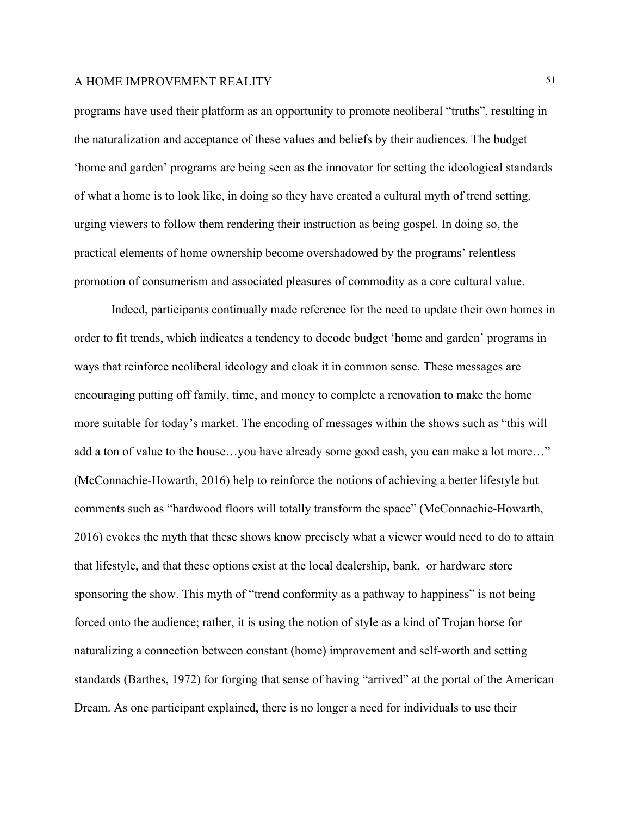programs have used their platform as an opportunity to promote neoliberal "truths", resulting in the naturalization and acceptance of these values and beliefs by their audiences. The budget 'home and garden' programs are being seen as the innovator for setting the ideological standards of what a home is to look like, in doing so they have created a cultural myth of trend setting, urging viewers to follow them rendering their instruction as being gospel. In doing so, the practical elements of home ownership become overshadowed by the programs' relentless promotion of consumerism and associated pleasures of commodity as a core cultural value.

Indeed, participants continually made reference for the need to update their own homes in order to fit trends, which indicates a tendency to decode budget 'home and garden' programs in ways that reinforce neoliberal ideology and cloak it in common sense. These messages are encouraging putting off family, time, and money to complete a renovation to make the home more suitable for today's market. The encoding of messages within the shows such as "this will add a ton of value to the house…you have already some good cash, you can make a lot more…" (McConnachie-Howarth, 2016) help to reinforce the notions of achieving a better lifestyle but comments such as "hardwood floors will totally transform the space" (McConnachie-Howarth, 2016) evokes the myth that these shows know precisely what a viewer would need to do to attain that lifestyle, and that these options exist at the local dealership, bank, or hardware store sponsoring the show. This myth of "trend conformity as a pathway to happiness" is not being forced onto the audience; rather, it is using the notion of style as a kind of Trojan horse for naturalizing a connection between constant (home) improvement and self-worth and setting standards (Barthes, 1972) for forging that sense of having "arrived" at the portal of the American Dream. As one participant explained, there is no longer a need for individuals to use their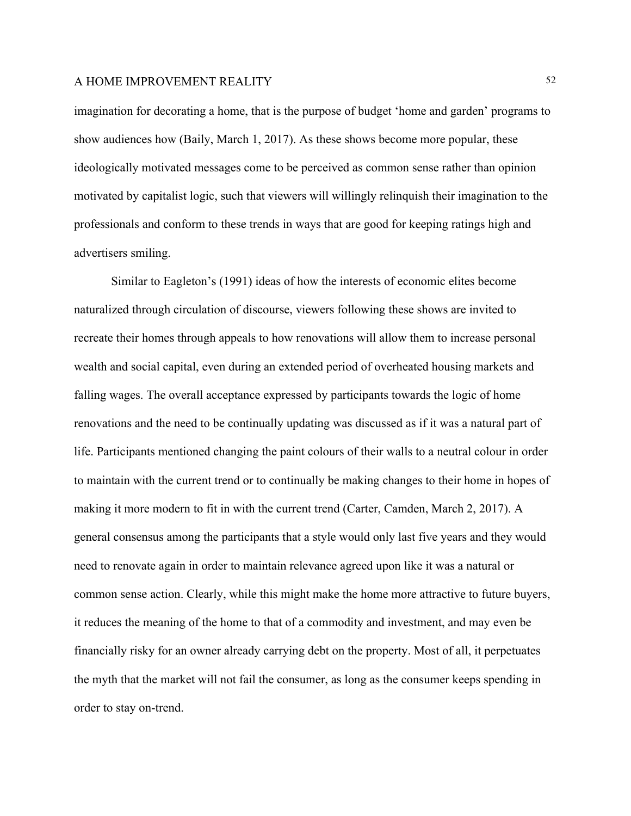imagination for decorating a home, that is the purpose of budget 'home and garden' programs to show audiences how (Baily, March 1, 2017). As these shows become more popular, these ideologically motivated messages come to be perceived as common sense rather than opinion motivated by capitalist logic, such that viewers will willingly relinquish their imagination to the professionals and conform to these trends in ways that are good for keeping ratings high and advertisers smiling.

Similar to Eagleton's (1991) ideas of how the interests of economic elites become naturalized through circulation of discourse, viewers following these shows are invited to recreate their homes through appeals to how renovations will allow them to increase personal wealth and social capital, even during an extended period of overheated housing markets and falling wages. The overall acceptance expressed by participants towards the logic of home renovations and the need to be continually updating was discussed as if it was a natural part of life. Participants mentioned changing the paint colours of their walls to a neutral colour in order to maintain with the current trend or to continually be making changes to their home in hopes of making it more modern to fit in with the current trend (Carter, Camden, March 2, 2017). A general consensus among the participants that a style would only last five years and they would need to renovate again in order to maintain relevance agreed upon like it was a natural or common sense action. Clearly, while this might make the home more attractive to future buyers, it reduces the meaning of the home to that of a commodity and investment, and may even be financially risky for an owner already carrying debt on the property. Most of all, it perpetuates the myth that the market will not fail the consumer, as long as the consumer keeps spending in order to stay on-trend.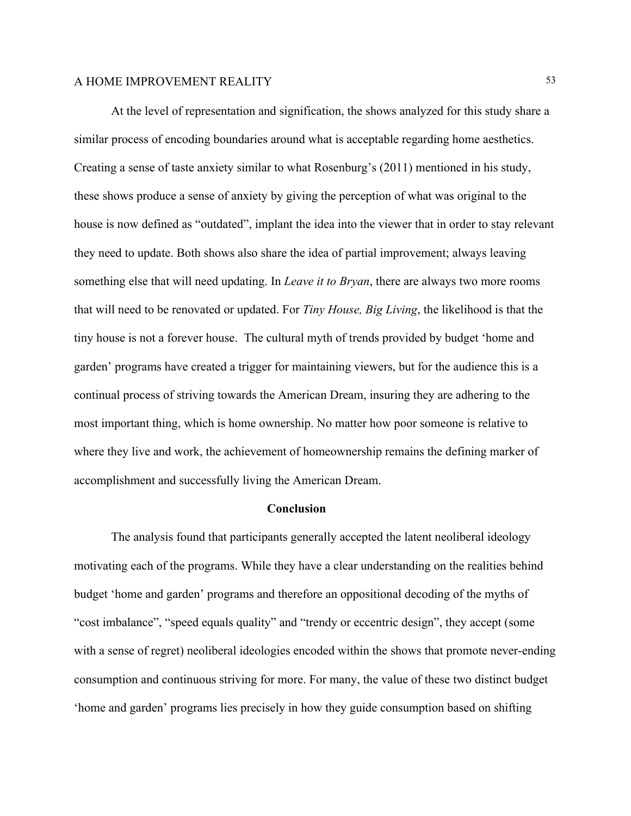At the level of representation and signification, the shows analyzed for this study share a similar process of encoding boundaries around what is acceptable regarding home aesthetics. Creating a sense of taste anxiety similar to what Rosenburg's (2011) mentioned in his study, these shows produce a sense of anxiety by giving the perception of what was original to the house is now defined as "outdated", implant the idea into the viewer that in order to stay relevant they need to update. Both shows also share the idea of partial improvement; always leaving something else that will need updating. In *Leave it to Bryan*, there are always two more rooms that will need to be renovated or updated. For *Tiny House, Big Living*, the likelihood is that the tiny house is not a forever house. The cultural myth of trends provided by budget 'home and garden' programs have created a trigger for maintaining viewers, but for the audience this is a continual process of striving towards the American Dream, insuring they are adhering to the most important thing, which is home ownership. No matter how poor someone is relative to where they live and work, the achievement of homeownership remains the defining marker of accomplishment and successfully living the American Dream.

#### **Conclusion**

The analysis found that participants generally accepted the latent neoliberal ideology motivating each of the programs. While they have a clear understanding on the realities behind budget 'home and garden' programs and therefore an oppositional decoding of the myths of "cost imbalance", "speed equals quality" and "trendy or eccentric design", they accept (some with a sense of regret) neoliberal ideologies encoded within the shows that promote never-ending consumption and continuous striving for more. For many, the value of these two distinct budget 'home and garden' programs lies precisely in how they guide consumption based on shifting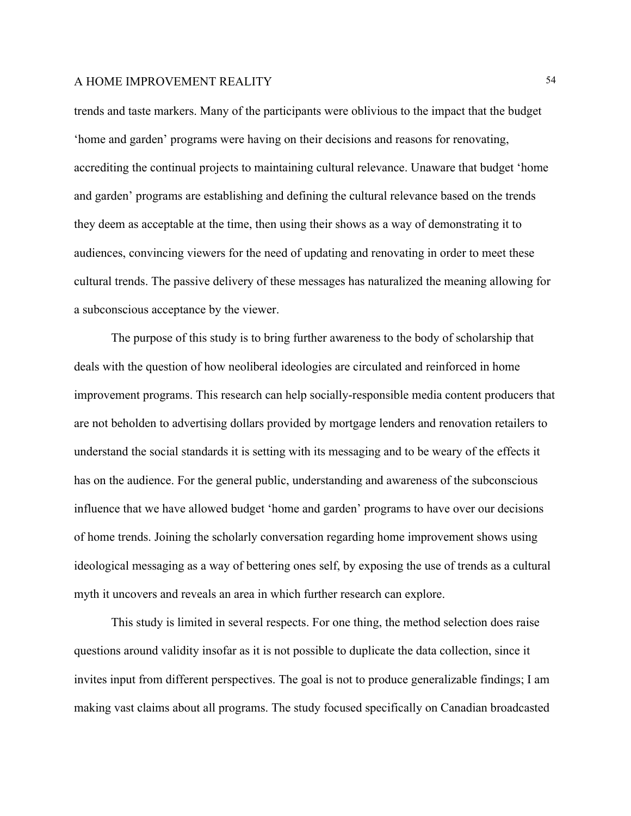trends and taste markers. Many of the participants were oblivious to the impact that the budget 'home and garden' programs were having on their decisions and reasons for renovating, accrediting the continual projects to maintaining cultural relevance. Unaware that budget 'home and garden' programs are establishing and defining the cultural relevance based on the trends they deem as acceptable at the time, then using their shows as a way of demonstrating it to audiences, convincing viewers for the need of updating and renovating in order to meet these cultural trends. The passive delivery of these messages has naturalized the meaning allowing for a subconscious acceptance by the viewer.

The purpose of this study is to bring further awareness to the body of scholarship that deals with the question of how neoliberal ideologies are circulated and reinforced in home improvement programs. This research can help socially-responsible media content producers that are not beholden to advertising dollars provided by mortgage lenders and renovation retailers to understand the social standards it is setting with its messaging and to be weary of the effects it has on the audience. For the general public, understanding and awareness of the subconscious influence that we have allowed budget 'home and garden' programs to have over our decisions of home trends. Joining the scholarly conversation regarding home improvement shows using ideological messaging as a way of bettering ones self, by exposing the use of trends as a cultural myth it uncovers and reveals an area in which further research can explore.

This study is limited in several respects. For one thing, the method selection does raise questions around validity insofar as it is not possible to duplicate the data collection, since it invites input from different perspectives. The goal is not to produce generalizable findings; I am making vast claims about all programs. The study focused specifically on Canadian broadcasted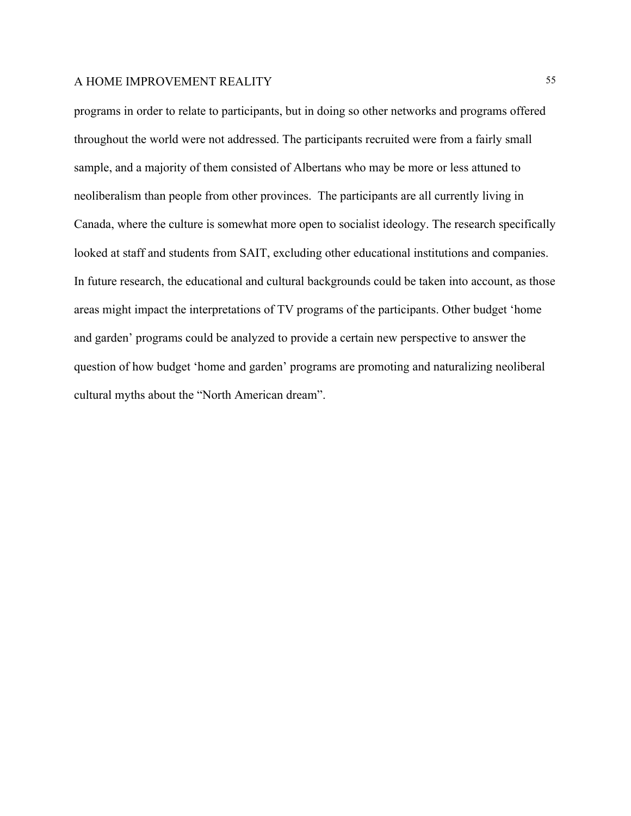programs in order to relate to participants, but in doing so other networks and programs offered throughout the world were not addressed. The participants recruited were from a fairly small sample, and a majority of them consisted of Albertans who may be more or less attuned to neoliberalism than people from other provinces. The participants are all currently living in Canada, where the culture is somewhat more open to socialist ideology. The research specifically looked at staff and students from SAIT, excluding other educational institutions and companies. In future research, the educational and cultural backgrounds could be taken into account, as those areas might impact the interpretations of TV programs of the participants. Other budget 'home and garden' programs could be analyzed to provide a certain new perspective to answer the question of how budget 'home and garden' programs are promoting and naturalizing neoliberal cultural myths about the "North American dream".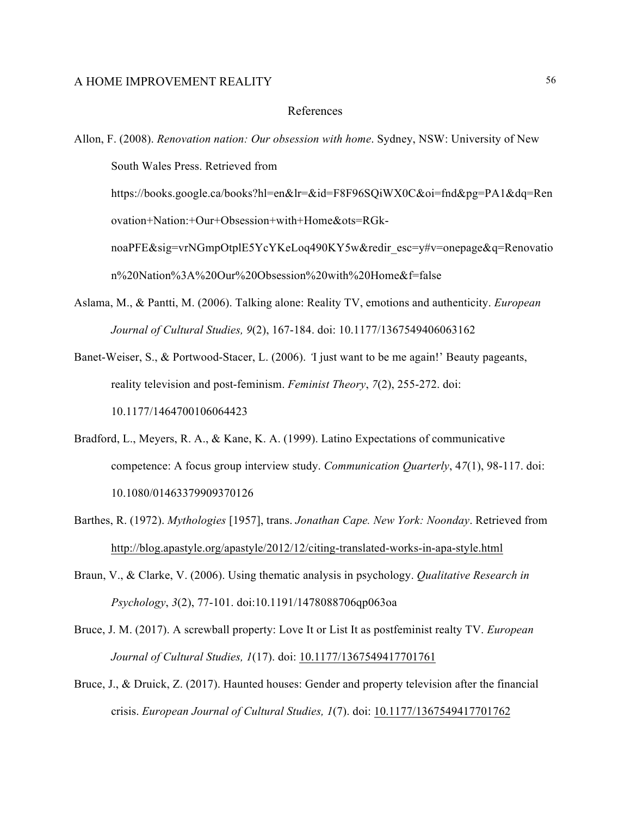#### References

https://books.google.ca/books?hl=en&lr=&id=F8F96SQiWX0C&oi=fnd&pg=PA1&dq=Ren ovation+Nation:+Our+Obsession+with+Home&ots=RGk-

noaPFE&sig=vrNGmpOtplE5YcYKeLoq490KY5w&redir\_esc=y#v=onepage&q=Renovatio n%20Nation%3A%20Our%20Obsession%20with%20Home&f=false

Aslama, M., & Pantti, M. (2006). Talking alone: Reality TV, emotions and authenticity. *European Journal of Cultural Studies, 9*(2), 167-184. doi: 10.1177/1367549406063162

Banet-Weiser, S., & Portwood-Stacer, L. (2006). *'*I just want to be me again!' Beauty pageants, reality television and post-feminism. *Feminist Theory*, *7*(2), 255-272. doi: 10.1177/1464700106064423

- Bradford, L., Meyers, R. A., & Kane, K. A. (1999). Latino Expectations of communicative competence: A focus group interview study. *Communication Quarterly*, 4*7*(1), 98-117. doi: 10.1080/01463379909370126
- Barthes, R. (1972). *Mythologies* [1957], trans. *Jonathan Cape. New York: Noonday*. Retrieved from <http://blog.apastyle.org/apastyle/2012/12/citing-translated-works-in-apa-style.html>
- Braun, V., & Clarke, V. (2006). Using thematic analysis in psychology. *Qualitative Research in Psychology*, *3*(2), 77-101. doi:10.1191/1478088706qp063oa
- Bruce, J. M. (2017). A screwball property: Love It or List It as postfeminist realty TV. *European Journal of Cultural Studies, 1*(17). doi: [10.1177/1367549417701761](https://doi.org/10.1177/1367549417701761)
- Bruce, J., & Druick, Z. (2017). Haunted houses: Gender and property television after the financial crisis. *European Journal of Cultural Studies, 1*(7). doi: [10.1177/1367549417701762](https://doi.org/10.1177/1367549417701762)

Allon, F. (2008). *Renovation nation: Our obsession with home*. Sydney, NSW: University of New South Wales Press. Retrieved from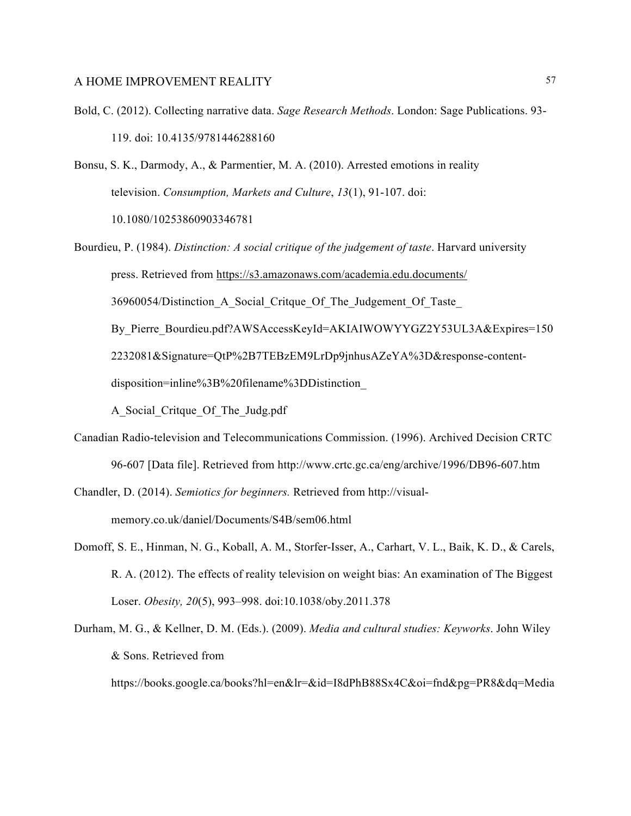- Bold, C. (2012). Collecting narrative data. *Sage Research Methods*. London: Sage Publications. 93- 119. doi: 10.4135/9781446288160
- Bonsu, S. K., Darmody, A., & Parmentier, M. A. (2010). Arrested emotions in reality television. *Consumption, Markets and Culture*, *13*(1), 91-107. doi: 10.1080/10253860903346781
- Bourdieu, P. (1984). *Distinction: A social critique of the judgement of taste*. Harvard university press. Retrieved from <https://s3.amazonaws.com/academia.edu.documents/> 36960054/Distinction\_A\_Social\_Critque\_Of\_The\_Judgement\_Of\_Taste\_ By Pierre Bourdieu.pdf?AWSAccessKeyId=AKIAIWOWYYGZ2Y53UL3A&Expires=150 2232081&Signature=QtP%2B7TEBzEM9LrDp9jnhusAZeYA%3D&response-contentdisposition=inline%3B%20filename%3DDistinction\_

A\_Social\_Critque\_Of\_The\_Judg.pdf

Canadian Radio-television and Telecommunications Commission. (1996). Archived Decision CRTC 96-607 [Data file]. Retrieved from http://www.crtc.gc.ca/eng/archive/1996/DB96-607.htm

Chandler, D. (2014). *Semiotics for beginners.* Retrieved from [http://visual](http://visual-memory.co.uk/daniel/Documents/S4B/sem06.html)[memory.co.uk/daniel/Documents/S4B/sem06.html](http://visual-memory.co.uk/daniel/Documents/S4B/sem06.html)

- Domoff, S. E., Hinman, N. G., Koball, A. M., Storfer-Isser, A., Carhart, V. L., Baik, K. D., & Carels, R. A. (2012). The effects of reality television on weight bias: An examination of The Biggest Loser. *Obesity, 20*(5), 993–998. doi:10.1038/oby.2011.378
- Durham, M. G., & Kellner, D. M. (Eds.). (2009). *Media and cultural studies: Keyworks*. John Wiley & Sons. Retrieved from

https://books.google.ca/books?hl=en&lr=&id=I8dPhB88Sx4C&oi=fnd&pg=PR8&dq=Media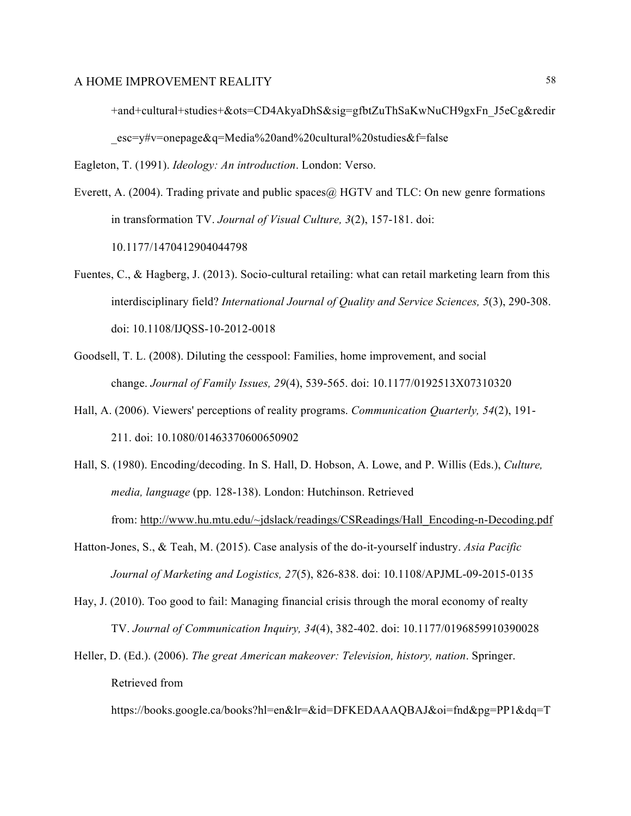+and+cultural+studies+&ots=CD4AkyaDhS&sig=gfbtZuThSaKwNuCH9gxFn\_J5eCg&redir \_esc=y#v=onepage&q=Media%20and%20cultural%20studies&f=false

Eagleton, T. (1991). *Ideology: An introduction*. London: Verso.

Everett, A. (2004). Trading private and public spaces@ HGTV and TLC: On new genre formations in transformation TV. *Journal of Visual Culture, 3*(2), 157-181. doi: 10.1177/1470412904044798

- Fuentes, C., & Hagberg, J. (2013). Socio-cultural retailing: what can retail marketing learn from this interdisciplinary field? *International Journal of Quality and Service Sciences, 5*(3), 290-308. doi: 10.1108/IJQSS-10-2012-0018
- Goodsell, T. L. (2008). Diluting the cesspool: Families, home improvement, and social change. *Journal of Family Issues, 29*(4), 539-565. doi: 10.1177/0192513X07310320
- Hall, A. (2006). Viewers' perceptions of reality programs. *Communication Quarterly, 54*(2), 191- 211. doi: 10.1080/01463370600650902
- Hall, S. (1980). Encoding/decoding. In S. Hall, D. Hobson, A. Lowe, and P. Willis (Eds.), *Culture, media, language* (pp. 128-138). London: Hutchinson. Retrieved from: [http://www.hu.mtu.edu/~jdslack/readings/CSReadings/Hall\\_Encoding-n-Decoding.pdf](http://www.hu.mtu.edu/~jdslack/readings/CSReadings/Hall_Encoding-n-Decoding.pdf)
- Hatton-Jones, S., & Teah, M. (2015). Case analysis of the do-it-yourself industry. *Asia Pacific Journal of Marketing and Logistics, 27*(5), 826-838. doi: 10.1108/APJML-09-2015-0135
- Hay, J. (2010). Too good to fail: Managing financial crisis through the moral economy of realty TV. *Journal of Communication Inquiry, 34*(4), 382-402. doi: 10.1177/0196859910390028
- Heller, D. (Ed.). (2006). *The great American makeover: Television, history, nation*. Springer. Retrieved from

https://books.google.ca/books?hl=en&lr=&id=DFKEDAAAQBAJ&oi=fnd&pg=PP1&dq=T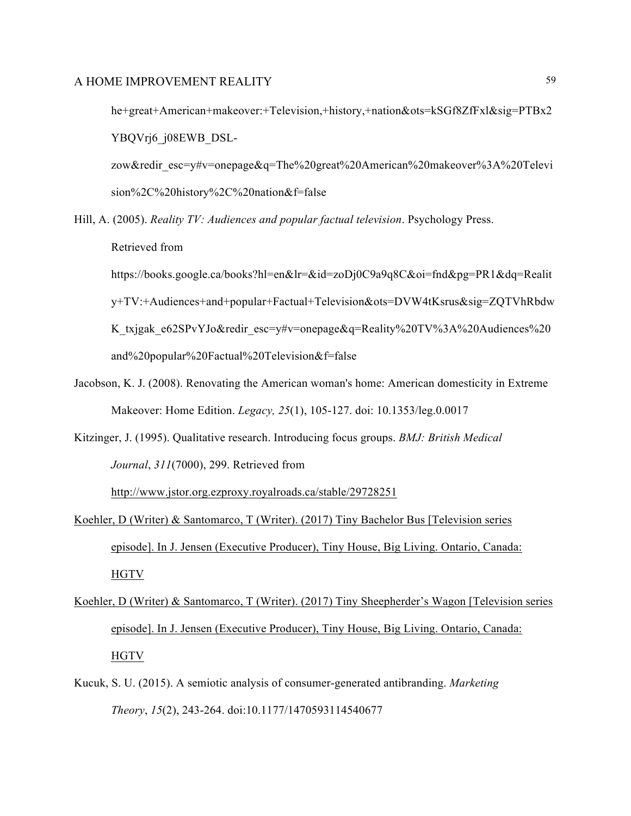he+great+American+makeover:+Television,+history,+nation&ots=kSGf8ZfFxl&sig=PTBx2 YBQVrj6\_j08EWB\_DSL-

zow&redir\_esc=y#v=onepage&q=The%20great%20American%20makeover%3A%20Televi sion%2C%20history%2C%20nation&f=false

Hill, A. (2005). *Reality TV: Audiences and popular factual television*. Psychology Press.

Retrieved from

https://books.google.ca/books?hl=en&lr=&id=zoDj0C9a9q8C&oi=fnd&pg=PR1&dq=Realit y+TV:+Audiences+and+popular+Factual+Television&ots=DVW4tKsrus&sig=ZQTVhRbdw K\_txjgak\_e62SPvYJo&redir\_esc=y#v=onepage&q=Reality%20TV%3A%20Audiences%20 and%20popular%20Factual%20Television&f=false

- Jacobson, K. J. (2008). Renovating the American woman's home: American domesticity in Extreme Makeover: Home Edition. *Legacy, 25*(1), 105-127. doi: 10.1353/leg.0.0017
- Kitzinger, J. (1995). Qualitative research. Introducing focus groups. *BMJ: British Medical Journal*, *311*(7000), 299. Retrieved from

<http://www.jstor.org.ezproxy.royalroads.ca/stable/29728251>

- Koehler, D (Writer) & Santomarco, T (Writer). (2017) Tiny Bachelor Bus [Television series episode]. In J. Jensen (Executive Producer), Tiny House, Big Living. Ontario, Canada: HGTV
- Koehler, D (Writer) & Santomarco, T (Writer). (2017) Tiny Sheepherder's Wagon [Television series episode]. In J. Jensen (Executive Producer), Tiny House, Big Living. Ontario, Canada: HGTV
- Kucuk, S. U. (2015). A semiotic analysis of consumer-generated antibranding. *Marketing Theory*, *15*(2), 243-264. doi:10.1177/1470593114540677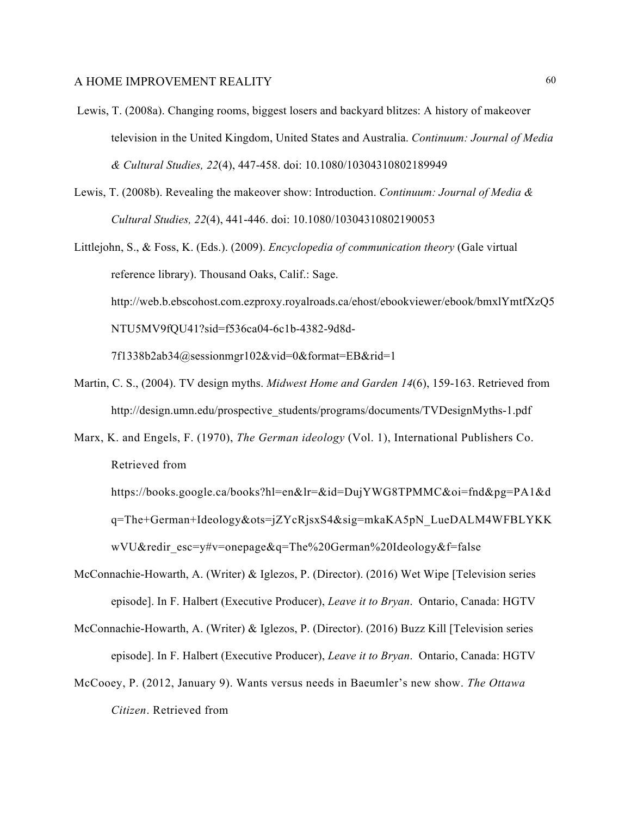- Lewis, T. (2008a). Changing rooms, biggest losers and backyard blitzes: A history of makeover television in the United Kingdom, United States and Australia. *Continuum: Journal of Media & Cultural Studies, 22*(4), 447-458. doi: 10.1080/10304310802189949
- Lewis, T. (2008b). Revealing the makeover show: Introduction. *Continuum: Journal of Media & Cultural Studies, 22*(4), 441-446. doi: 10.1080/10304310802190053
- Littlejohn, S., & Foss, K. (Eds.). (2009). *Encyclopedia of communication theory* (Gale virtual reference library). Thousand Oaks, Calif.: Sage. http://web.b.ebscohost.com.ezproxy.royalroads.ca/ehost/ebookviewer/ebook/bmxlYmtfXzQ5 NTU5MV9fQU41?sid=f536ca04-6c1b-4382-9d8d-7f1338b2ab34@sessionmgr102&vid=0&format=EB&rid=1
- Martin, C. S., (2004). TV design myths. *Midwest Home and Garden 14*(6), 159-163. Retrieved from http://design.umn.edu/prospective\_students/programs/documents/TVDesignMyths-1.pdf
- Marx, K. and Engels, F. (1970), *The German ideology* (Vol. 1), International Publishers Co. Retrieved from
	- https://books.google.ca/books?hl=en&lr=&id=DujYWG8TPMMC&oi=fnd&pg=PA1&d q=The+German+Ideology&ots=jZYcRjsxS4&sig=mkaKA5pN\_LueDALM4WFBLYKK wVU&redir\_esc=y#v=onepage&q=The%20German%20Ideology&f=false
- McConnachie-Howarth, A. (Writer) & Iglezos, P. (Director). (2016) Wet Wipe [Television series episode]. In F. Halbert (Executive Producer), *Leave it to Bryan*. Ontario, Canada: HGTV
- McConnachie-Howarth, A. (Writer) & Iglezos, P. (Director). (2016) Buzz Kill [Television series episode]. In F. Halbert (Executive Producer), *Leave it to Bryan*. Ontario, Canada: HGTV
- McCooey, P. (2012, January 9). Wants versus needs in Baeumler's new show. *The Ottawa Citizen*. Retrieved from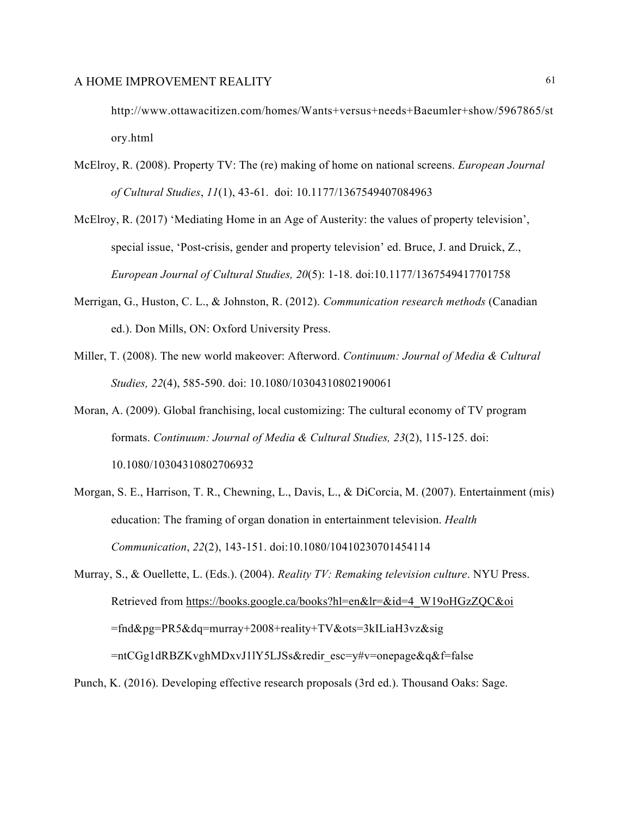http://www.ottawacitizen.com/homes/Wants+versus+needs+Baeumler+show/5967865/st ory.html

- McElroy, R. (2008). Property TV: The (re) making of home on national screens. *European Journal of Cultural Studies*, *11*(1), 43-61. doi: 10.1177/1367549407084963
- McElroy, R. (2017) 'Mediating Home in an Age of Austerity: the values of property television', special issue, 'Post-crisis, gender and property television' ed. Bruce, J. and Druick, Z., *European Journal of Cultural Studies, 20*(5): 1-18. doi:10.1177/1367549417701758
- Merrigan, G., Huston, C. L., & Johnston, R. (2012). *Communication research methods* (Canadian ed.). Don Mills, ON: Oxford University Press.
- Miller, T. (2008). The new world makeover: Afterword. *Continuum: Journal of Media & Cultural Studies, 22*(4), 585-590. doi: 10.1080/10304310802190061
- Moran, A. (2009). Global franchising, local customizing: The cultural economy of TV program formats. *Continuum: Journal of Media & Cultural Studies, 23*(2), 115-125. doi: 10.1080/10304310802706932
- Morgan, S. E., Harrison, T. R., Chewning, L., Davis, L., & DiCorcia, M. (2007). Entertainment (mis) education: The framing of organ donation in entertainment television. *Health Communication*, *22*(2), 143-151. doi:10.1080/10410230701454114

Murray, S., & Ouellette, L. (Eds.). (2004). *Reality TV: Remaking television culture*. NYU Press. Retrieved from [https://books.google.ca/books?hl=en&lr=&id=4\\_W19oHGzZQC&oi](https://books.google.ca/books?hl=en&lr=&id=4_W19oHGzZQC&oi) =fnd&pg=PR5&dq=murray+2008+reality+TV&ots=3kILiaH3vz&sig =ntCGg1dRBZKvghMDxvJ1lY5LJSs&redir\_esc=y#v=onepage&q&f=false

Punch, K. (2016). Developing effective research proposals (3rd ed.). Thousand Oaks: Sage.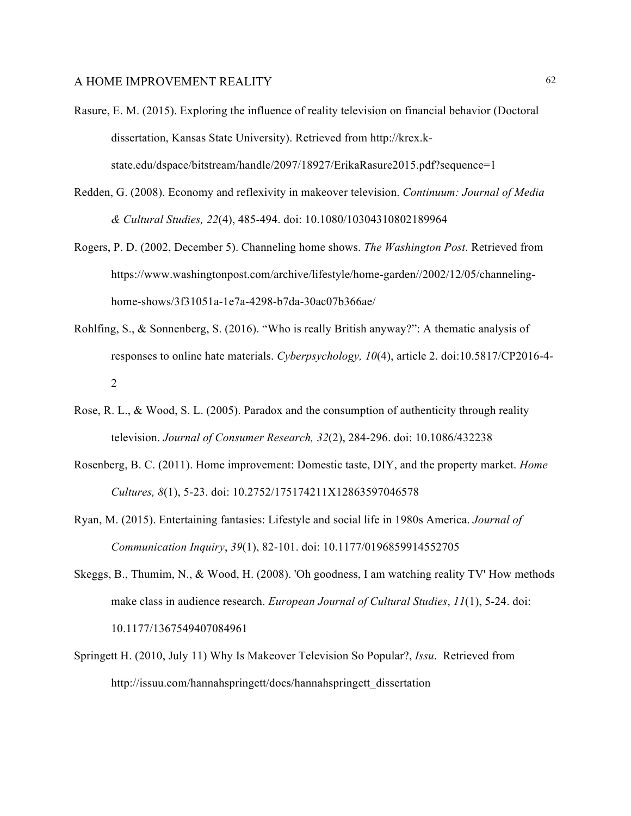- Rasure, E. M. (2015). Exploring the influence of reality television on financial behavior (Doctoral dissertation, Kansas State University). Retrieved from http://krex.kstate.edu/dspace/bitstream/handle/2097/18927/ErikaRasure2015.pdf?sequence=1
- Redden, G. (2008). Economy and reflexivity in makeover television. *Continuum: Journal of Media & Cultural Studies, 22*(4), 485-494. doi: 10.1080/10304310802189964
- Rogers, P. D. (2002, December 5). Channeling home shows. *The Washington Post*. Retrieved from https://www.washingtonpost.com/archive/lifestyle/home-garden//2002/12/05/channelinghome-shows/3f31051a-1e7a-4298-b7da-30ac07b366ae/
- Rohlfing, S., & Sonnenberg, S. (2016). "Who is really British anyway?": A thematic analysis of responses to online hate materials. *Cyberpsychology, 10*(4), article 2. doi:10.5817/CP2016-4- 2
- Rose, R. L., & Wood, S. L. (2005). Paradox and the consumption of authenticity through reality television. *Journal of Consumer Research, 32*(2), 284-296. doi: 10.1086/432238
- Rosenberg, B. C. (2011). Home improvement: Domestic taste, DIY, and the property market. *Home Cultures, 8*(1), 5-23. doi: 10.2752/175174211X12863597046578
- Ryan, M. (2015). Entertaining fantasies: Lifestyle and social life in 1980s America. *Journal of Communication Inquiry*, *39*(1), 82-101. doi: 10.1177/0196859914552705
- Skeggs, B., Thumim, N., & Wood, H. (2008). 'Oh goodness, I am watching reality TV' How methods make class in audience research. *European Journal of Cultural Studies*, *11*(1), 5-24. doi: 10.1177/1367549407084961
- Springett H. (2010, July 11) Why Is Makeover Television So Popular?, *Issu*. Retrieved from http://issuu.com/hannahspringett/docs/hannahspringett\_dissertation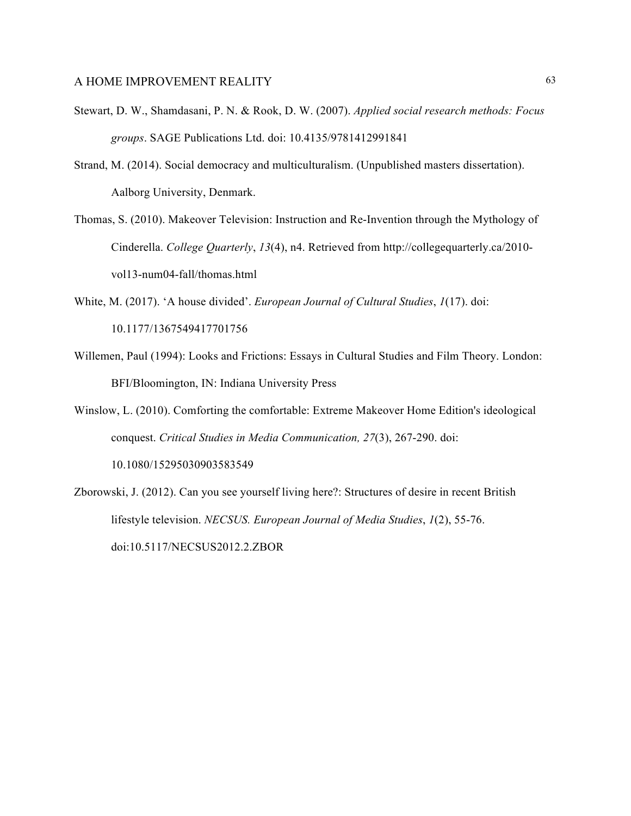- Stewart, D. W., Shamdasani, P. N. & Rook, D. W. (2007). *Applied social research methods: Focus groups*. SAGE Publications Ltd. doi: 10.4135/9781412991841
- Strand, M. (2014). Social democracy and multiculturalism. (Unpublished masters dissertation). Aalborg University, Denmark.
- Thomas, S. (2010). Makeover Television: Instruction and Re-Invention through the Mythology of Cinderella. *College Quarterly*, *13*(4), n4. Retrieved from http://collegequarterly.ca/2010 vol13-num04-fall/thomas.html
- White, M. (2017). 'A house divided'. *European Journal of Cultural Studies*, *1*(17). doi: 10.1177/1367549417701756
- Willemen, Paul (1994): Looks and Frictions: Essays in Cultural Studies and Film Theory. London: BFI/Bloomington, IN: Indiana University Press
- Winslow, L. (2010). Comforting the comfortable: Extreme Makeover Home Edition's ideological conquest. *Critical Studies in Media Communication, 27*(3), 267-290. doi: 10.1080/15295030903583549
- Zborowski, J. (2012). Can you see yourself living here?: Structures of desire in recent British lifestyle television. *NECSUS. European Journal of Media Studies*, *1*(2), 55-76. doi:10.5117/NECSUS2012.2.ZBOR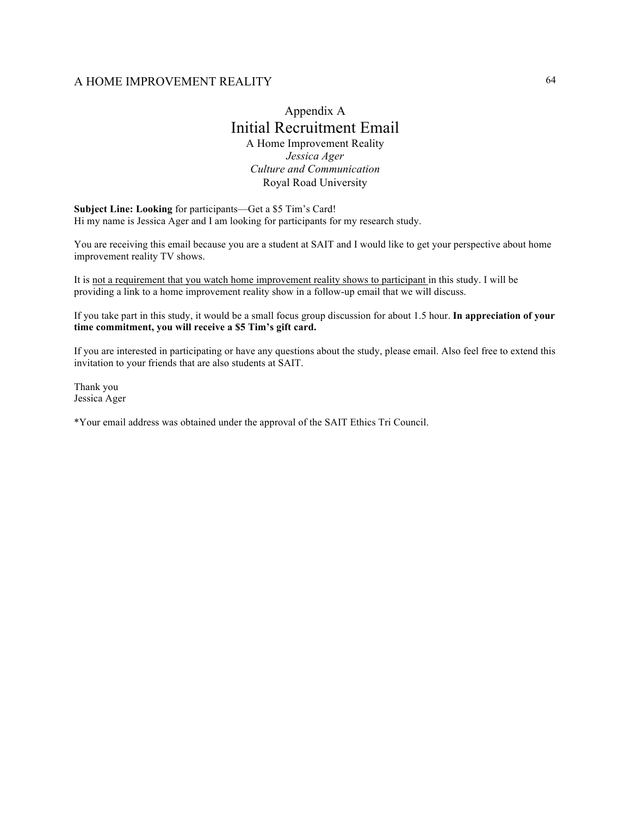# Appendix A Initial Recruitment Email A Home Improvement Reality *Jessica Ager Culture and Communication*

Royal Road University

**Subject Line: Looking** for participants—Get a \$5 Tim's Card! Hi my name is Jessica Ager and I am looking for participants for my research study.

You are receiving this email because you are a student at SAIT and I would like to get your perspective about home improvement reality TV shows.

It is not a requirement that you watch home improvement reality shows to participant in this study. I will be providing a link to a home improvement reality show in a follow-up email that we will discuss.

If you take part in this study, it would be a small focus group discussion for about 1.5 hour. **In appreciation of your time commitment, you will receive a \$5 Tim's gift card.**

If you are interested in participating or have any questions about the study, please email. Also feel free to extend this invitation to your friends that are also students at SAIT.

Thank you Jessica Ager

\*Your email address was obtained under the approval of the SAIT Ethics Tri Council.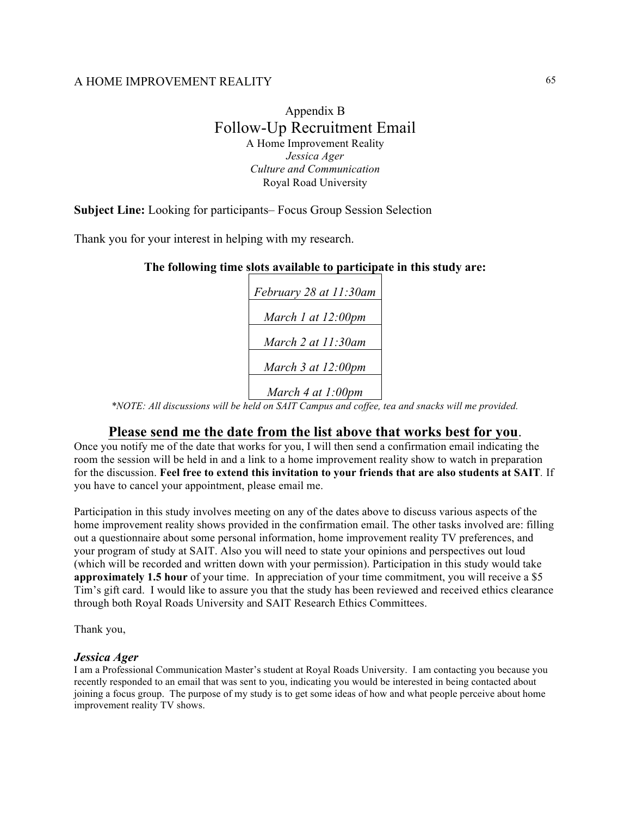# Appendix B Follow-Up Recruitment Email A Home Improvement Reality *Jessica Ager Culture and Communication* Royal Road University

# **Subject Line:** Looking for participants– Focus Group Session Selection

Thank you for your interest in helping with my research.

# **The following time slots available to participate in this study are:**

| February 28 at 11:30am  |
|-------------------------|
| March 1 at $12:00$ pm   |
|                         |
| March 2 at 11:30am      |
| March $3$ at $12:00$ pm |

*March 4 at 1:00pm*

*\*NOTE: All discussions will be held on SAIT Campus and coffee, tea and snacks will me provided.*

# **Please send me the date from the list above that works best for you**.

Once you notify me of the date that works for you, I will then send a confirmation email indicating the room the session will be held in and a link to a home improvement reality show to watch in preparation for the discussion. **Feel free to extend this invitation to your friends that are also students at SAIT***.* If you have to cancel your appointment, please email me.

Participation in this study involves meeting on any of the dates above to discuss various aspects of the home improvement reality shows provided in the confirmation email. The other tasks involved are: filling out a questionnaire about some personal information, home improvement reality TV preferences, and your program of study at SAIT. Also you will need to state your opinions and perspectives out loud (which will be recorded and written down with your permission). Participation in this study would take **approximately 1.5 hour** of your time. In appreciation of your time commitment, you will receive a \$5 Tim's gift card. I would like to assure you that the study has been reviewed and received ethics clearance through both Royal Roads University and SAIT Research Ethics Committees.

Thank you,

#### *Jessica Ager*

I am a Professional Communication Master's student at Royal Roads University. I am contacting you because you recently responded to an email that was sent to you, indicating you would be interested in being contacted about joining a focus group. The purpose of my study is to get some ideas of how and what people perceive about home improvement reality TV shows.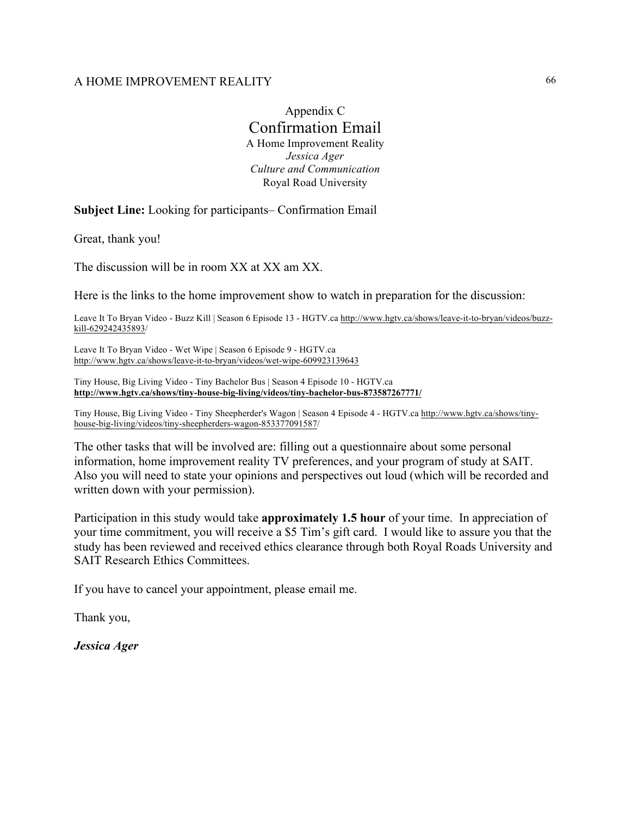Appendix C Confirmation Email A Home Improvement Reality *Jessica Ager Culture and Communication* Royal Road University

**Subject Line:** Looking for participants– Confirmation Email

Great, thank you!

The discussion will be in room XX at XX am XX.

Here is the links to the home improvement show to watch in preparation for the discussion:

Leave It To Bryan Video - Buzz Kill | Season 6 Episode 13 - HGTV.ca [http://www.hgtv.ca/shows/leave-it-to-bryan/videos/buzz](https://webmail.royalroads.ca/owa/redir.aspx?C=AfufR9-lBzvrIOqhiYS_8FOiOLbCSUwQvSzTlMZ46mjttEAwGbTUCA..&URL=http%3a%2f%2fwww.hgtv.ca%2fshows%2fleave-it-to-bryan%2fvideos%2fbuzz-kill-629242435893)[kill-629242435893/](https://webmail.royalroads.ca/owa/redir.aspx?C=AfufR9-lBzvrIOqhiYS_8FOiOLbCSUwQvSzTlMZ46mjttEAwGbTUCA..&URL=http%3a%2f%2fwww.hgtv.ca%2fshows%2fleave-it-to-bryan%2fvideos%2fbuzz-kill-629242435893)

Leave It To Bryan Video - Wet Wipe | Season 6 Episode 9 - HGTV.ca [http://www.hgtv.ca/shows/leave-it-to-bryan/videos/wet-wipe-609923139643](https://webmail.royalroads.ca/owa/redir.aspx?C=GJ0GTeV5MfE-JCUNZyChuJFnG4cNp-peDul1-AOzbfr920AwGbTUCA..&URL=http%3a%2f%2fwww.hgtv.ca%2fshows%2fleave-it-to-bryan%2fvideos%2fwet-wipe-609923139643)

Tiny House, Big Living Video - Tiny Bachelor Bus | Season 4 Episode 10 - HGTV.ca **[http://www.hgtv.ca/shows/tiny-house-big-living/videos/tiny-bachelor-bus-873587267771/](https://webmail.royalroads.ca/owa/redir.aspx?C=VRoaNUUO61y-26pSTI1y0jXe786pkeBXV94KVIOpw4v920AwGbTUCA..&URL=http%3a%2f%2fwww.hgtv.ca%2fshows%2ftiny-house-big-living%2fvideos%2ftiny-bachelor-bus-873587267771%2f)**

Tiny House, Big Living Video - Tiny Sheepherder's Wagon | Season 4 Episode 4 - HGTV.ca [http://www.hgtv.ca/shows/tiny](https://webmail.royalroads.ca/owa/redir.aspx?C=yBn3vpoGTQ6LlLGjAA2645eLROO8O2xg1DJN-dewyV7920AwGbTUCA..&URL=http%3a%2f%2fwww.hgtv.ca%2fshows%2ftiny-house-big-living%2fvideos%2ftiny-sheepherders-wagon-853377091587)[house-big-living/videos/tiny-sheepherders-wagon-853377091587/](https://webmail.royalroads.ca/owa/redir.aspx?C=yBn3vpoGTQ6LlLGjAA2645eLROO8O2xg1DJN-dewyV7920AwGbTUCA..&URL=http%3a%2f%2fwww.hgtv.ca%2fshows%2ftiny-house-big-living%2fvideos%2ftiny-sheepherders-wagon-853377091587)

The other tasks that will be involved are: filling out a questionnaire about some personal information, home improvement reality TV preferences, and your program of study at SAIT. Also you will need to state your opinions and perspectives out loud (which will be recorded and written down with your permission).

Participation in this study would take **approximately 1.5 hour** of your time. In appreciation of your time commitment, you will receive a \$5 Tim's gift card. I would like to assure you that the study has been reviewed and received ethics clearance through both Royal Roads University and SAIT Research Ethics Committees.

If you have to cancel your appointment, please email me.

Thank you,

*Jessica Ager*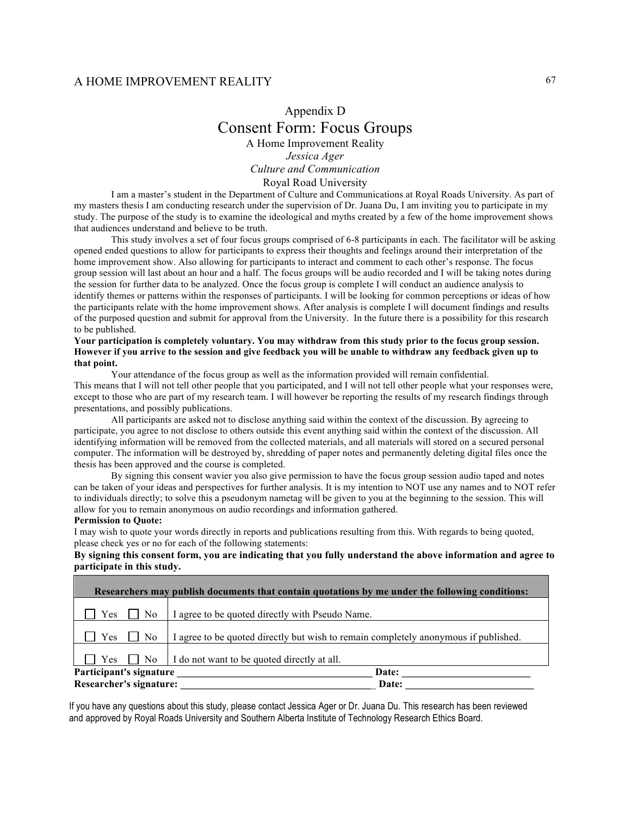# Appendix D Consent Form: Focus Groups A Home Improvement Reality *Jessica Ager Culture and Communication*

Royal Road University

I am a master's student in the Department of Culture and Communications at Royal Roads University. As part of my masters thesis I am conducting research under the supervision of Dr. Juana Du, I am inviting you to participate in my study. The purpose of the study is to examine the ideological and myths created by a few of the home improvement shows that audiences understand and believe to be truth.

This study involves a set of four focus groups comprised of 6-8 participants in each. The facilitator will be asking opened ended questions to allow for participants to express their thoughts and feelings around their interpretation of the home improvement show. Also allowing for participants to interact and comment to each other's response. The focus group session will last about an hour and a half. The focus groups will be audio recorded and I will be taking notes during the session for further data to be analyzed. Once the focus group is complete I will conduct an audience analysis to identify themes or patterns within the responses of participants. I will be looking for common perceptions or ideas of how the participants relate with the home improvement shows. After analysis is complete I will document findings and results of the purposed question and submit for approval from the University. In the future there is a possibility for this research to be published.

#### **Your participation is completely voluntary. You may withdraw from this study prior to the focus group session. However if you arrive to the session and give feedback you will be unable to withdraw any feedback given up to that point.**

Your attendance of the focus group as well as the information provided will remain confidential. This means that I will not tell other people that you participated, and I will not tell other people what your responses were, except to those who are part of my research team. I will however be reporting the results of my research findings through presentations, and possibly publications.

All participants are asked not to disclose anything said within the context of the discussion. By agreeing to participate, you agree to not disclose to others outside this event anything said within the context of the discussion. All identifying information will be removed from the collected materials, and all materials will stored on a secured personal computer. The information will be destroyed by, shredding of paper notes and permanently deleting digital files once the thesis has been approved and the course is completed.

By signing this consent wavier you also give permission to have the focus group session audio taped and notes can be taken of your ideas and perspectives for further analysis. It is my intention to NOT use any names and to NOT refer to individuals directly; to solve this a pseudonym nametag will be given to you at the beginning to the session. This will allow for you to remain anonymous on audio recordings and information gathered.

#### **Permission to Quote:**

I may wish to quote your words directly in reports and publications resulting from this. With regards to being quoted, please check yes or no for each of the following statements:

#### **By signing this consent form, you are indicating that you fully understand the above information and agree to participate in this study.**

| Researchers may publish documents that contain quotations by me under the following conditions: |                                                                                     |  |  |  |  |
|-------------------------------------------------------------------------------------------------|-------------------------------------------------------------------------------------|--|--|--|--|
| Yes<br>N <sub>0</sub>                                                                           | I agree to be quoted directly with Pseudo Name.                                     |  |  |  |  |
| Yes<br>No.                                                                                      | I agree to be quoted directly but wish to remain completely anonymous if published. |  |  |  |  |
| Yes 1   No                                                                                      | I do not want to be quoted directly at all.                                         |  |  |  |  |
| Participant's signature                                                                         | Date:                                                                               |  |  |  |  |
| Researcher's signature:                                                                         | Date:                                                                               |  |  |  |  |

If you have any questions about this study, please contact Jessica Ager or Dr. Juana Du. This research has been reviewed and approved by Royal Roads University and Southern Alberta Institute of Technology Research Ethics Board.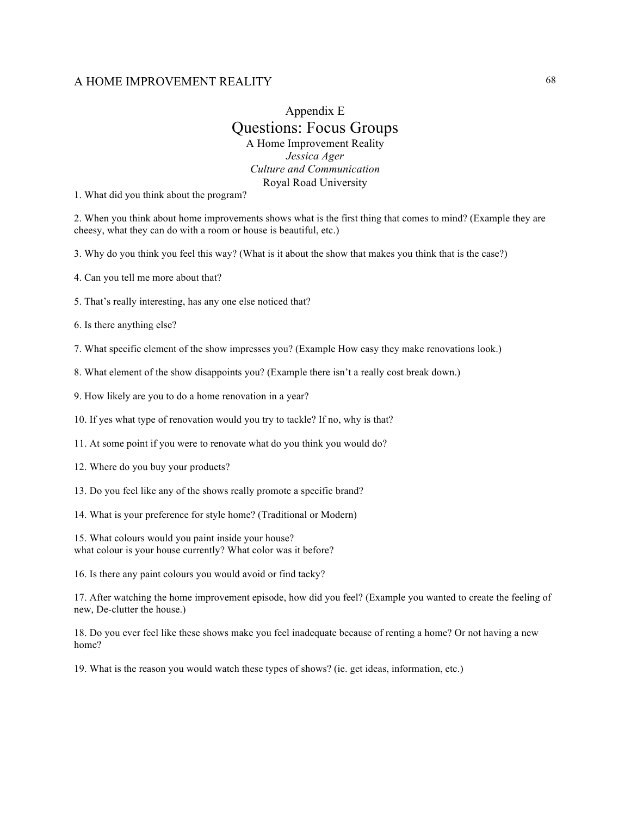# Appendix E Questions: Focus Groups A Home Improvement Reality *Jessica Ager Culture and Communication* Royal Road University

1. What did you think about the program?

2. When you think about home improvements shows what is the first thing that comes to mind? (Example they are cheesy, what they can do with a room or house is beautiful, etc.)

3. Why do you think you feel this way? (What is it about the show that makes you think that is the case?)

4. Can you tell me more about that?

5. That's really interesting, has any one else noticed that?

6. Is there anything else?

7. What specific element of the show impresses you? (Example How easy they make renovations look.)

8. What element of the show disappoints you? (Example there isn't a really cost break down.)

9. How likely are you to do a home renovation in a year?

10. If yes what type of renovation would you try to tackle? If no, why is that?

11. At some point if you were to renovate what do you think you would do?

12. Where do you buy your products?

13. Do you feel like any of the shows really promote a specific brand?

14. What is your preference for style home? (Traditional or Modern)

15. What colours would you paint inside your house? what colour is your house currently? What color was it before?

16. Is there any paint colours you would avoid or find tacky?

17. After watching the home improvement episode, how did you feel? (Example you wanted to create the feeling of new, De-clutter the house.)

18. Do you ever feel like these shows make you feel inadequate because of renting a home? Or not having a new home?

19. What is the reason you would watch these types of shows? (ie. get ideas, information, etc.)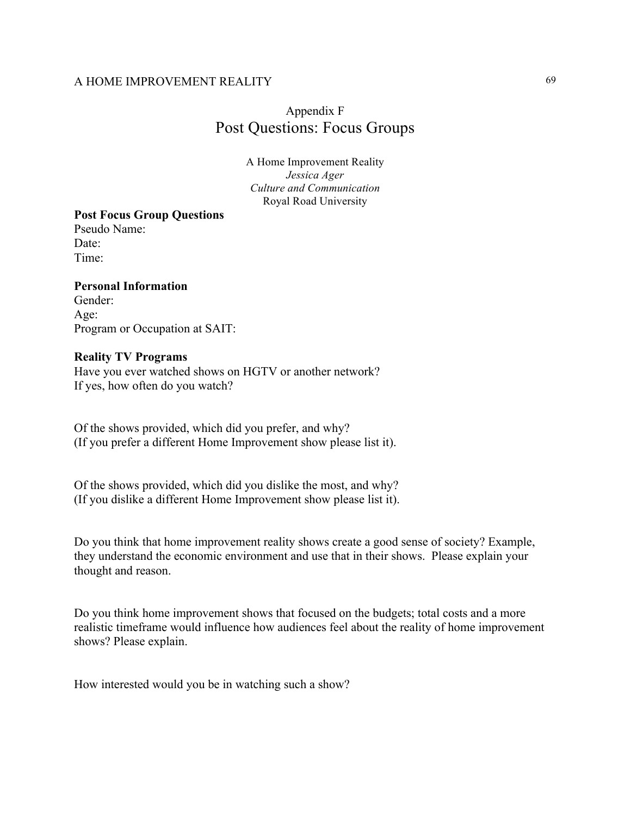# Appendix F Post Questions: Focus Groups

A Home Improvement Reality *Jessica Ager Culture and Communication* Royal Road University

### **Post Focus Group Questions**

Pseudo Name: Date<sup>-</sup> Time:

### **Personal Information**

Gender: Age: Program or Occupation at SAIT:

#### **Reality TV Programs**

Have you ever watched shows on HGTV or another network? If yes, how often do you watch?

Of the shows provided, which did you prefer, and why? (If you prefer a different Home Improvement show please list it).

Of the shows provided, which did you dislike the most, and why? (If you dislike a different Home Improvement show please list it).

Do you think that home improvement reality shows create a good sense of society? Example, they understand the economic environment and use that in their shows. Please explain your thought and reason.

Do you think home improvement shows that focused on the budgets; total costs and a more realistic timeframe would influence how audiences feel about the reality of home improvement shows? Please explain.

How interested would you be in watching such a show?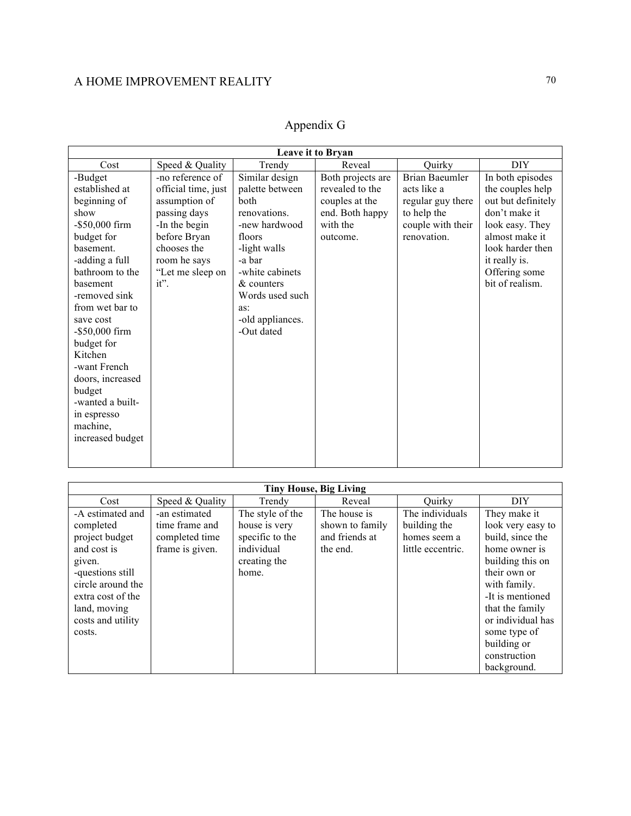| Appendix G |
|------------|
|------------|

| <b>Tiny House, Big Living</b>                                                                                                                                                         |                                                                      |                                                                                             |                                                               |                                                                      |                                                                                                                                                                                                        |  |  |
|---------------------------------------------------------------------------------------------------------------------------------------------------------------------------------------|----------------------------------------------------------------------|---------------------------------------------------------------------------------------------|---------------------------------------------------------------|----------------------------------------------------------------------|--------------------------------------------------------------------------------------------------------------------------------------------------------------------------------------------------------|--|--|
| Cost                                                                                                                                                                                  | Speed & Quality                                                      | Trendy                                                                                      | Reveal                                                        | Ouirky                                                               | <b>DIY</b>                                                                                                                                                                                             |  |  |
| -A estimated and<br>completed<br>project budget<br>and cost is<br>given.<br>-questions still<br>circle around the<br>extra cost of the<br>land, moving<br>costs and utility<br>costs. | -an estimated<br>time frame and<br>completed time<br>frame is given. | The style of the<br>house is very<br>specific to the<br>individual<br>creating the<br>home. | The house is<br>shown to family<br>and friends at<br>the end. | The individuals<br>building the<br>homes seem a<br>little eccentric. | They make it<br>look very easy to<br>build, since the<br>home owner is<br>building this on<br>their own or<br>with family.<br>-It is mentioned<br>that the family<br>or individual has<br>some type of |  |  |
|                                                                                                                                                                                       |                                                                      |                                                                                             |                                                               |                                                                      | building or                                                                                                                                                                                            |  |  |
|                                                                                                                                                                                       |                                                                      |                                                                                             |                                                               |                                                                      | construction                                                                                                                                                                                           |  |  |
|                                                                                                                                                                                       |                                                                      |                                                                                             |                                                               |                                                                      | background.                                                                                                                                                                                            |  |  |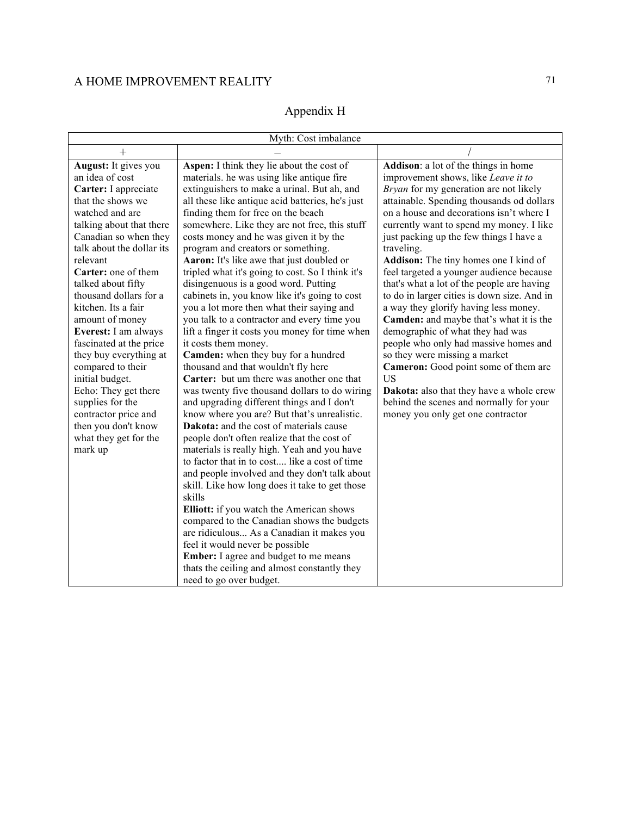# A HOME IMPROVEMENT REALITY  $$71\,$

# Appendix H

| Myth: Cost imbalance      |                                                  |                                             |  |  |  |  |
|---------------------------|--------------------------------------------------|---------------------------------------------|--|--|--|--|
| $+$                       |                                                  |                                             |  |  |  |  |
| August: It gives you      | Aspen: I think they lie about the cost of        | Addison: a lot of the things in home        |  |  |  |  |
| an idea of cost           | materials. he was using like antique fire        | improvement shows, like Leave it to         |  |  |  |  |
| Carter: I appreciate      | extinguishers to make a urinal. But ah, and      | Bryan for my generation are not likely      |  |  |  |  |
| that the shows we         | all these like antique acid batteries, he's just | attainable. Spending thousands od dollars   |  |  |  |  |
| watched and are           | finding them for free on the beach               | on a house and decorations isn't where I    |  |  |  |  |
| talking about that there  | somewhere. Like they are not free, this stuff    | currently want to spend my money. I like    |  |  |  |  |
| Canadian so when they     | costs money and he was given it by the           | just packing up the few things I have a     |  |  |  |  |
| talk about the dollar its | program and creators or something.               | traveling.                                  |  |  |  |  |
| relevant                  | Aaron: It's like awe that just doubled or        | Addison: The tiny homes one I kind of       |  |  |  |  |
| Carter: one of them       | tripled what it's going to cost. So I think it's | feel targeted a younger audience because    |  |  |  |  |
| talked about fifty        | disingenuous is a good word. Putting             | that's what a lot of the people are having  |  |  |  |  |
| thousand dollars for a    | cabinets in, you know like it's going to cost    | to do in larger cities is down size. And in |  |  |  |  |
| kitchen. Its a fair       | you a lot more then what their saying and        | a way they glorify having less money.       |  |  |  |  |
| amount of money           | you talk to a contractor and every time you      | Camden: and maybe that's what it is the     |  |  |  |  |
| Everest: I am always      | lift a finger it costs you money for time when   | demographic of what they had was            |  |  |  |  |
| fascinated at the price   | it costs them money.                             | people who only had massive homes and       |  |  |  |  |
| they buy everything at    | Camden: when they buy for a hundred              | so they were missing a market               |  |  |  |  |
| compared to their         | thousand and that wouldn't fly here              | Cameron: Good point some of them are        |  |  |  |  |
| initial budget.           | Carter: but um there was another one that        | <b>US</b>                                   |  |  |  |  |
| Echo: They get there      | was twenty five thousand dollars to do wiring    | Dakota: also that they have a whole crew    |  |  |  |  |
| supplies for the          | and upgrading different things and I don't       | behind the scenes and normally for your     |  |  |  |  |
| contractor price and      | know where you are? But that's unrealistic.      | money you only get one contractor           |  |  |  |  |
| then you don't know       | Dakota: and the cost of materials cause          |                                             |  |  |  |  |
| what they get for the     | people don't often realize that the cost of      |                                             |  |  |  |  |
| mark up                   | materials is really high. Yeah and you have      |                                             |  |  |  |  |
|                           | to factor that in to cost like a cost of time    |                                             |  |  |  |  |
|                           | and people involved and they don't talk about    |                                             |  |  |  |  |
|                           | skill. Like how long does it take to get those   |                                             |  |  |  |  |
|                           | skills                                           |                                             |  |  |  |  |
|                           | Elliott: if you watch the American shows         |                                             |  |  |  |  |
|                           | compared to the Canadian shows the budgets       |                                             |  |  |  |  |
|                           | are ridiculous As a Canadian it makes you        |                                             |  |  |  |  |
|                           | feel it would never be possible                  |                                             |  |  |  |  |
|                           | Ember: I agree and budget to me means            |                                             |  |  |  |  |
|                           | thats the ceiling and almost constantly they     |                                             |  |  |  |  |
|                           | need to go over budget.                          |                                             |  |  |  |  |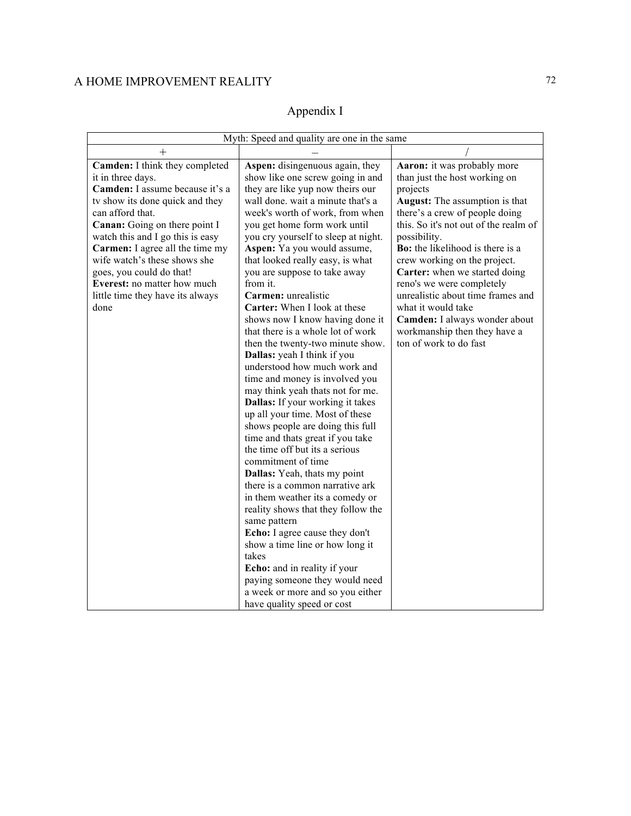# Appendix I

| Myth: Speed and quality are one in the same                                                                                                                                                                                                                                                                                                                                                  |                                                                                                                                                                                                                                                                                                                                                                                                                                                                                                                                                                                                                                                                                                                                                                                                                                                                                                                                                                                                                                                                                    |                                                                                                                                                                                                                                                                                                                                                                                                                                                                                                      |  |  |  |
|----------------------------------------------------------------------------------------------------------------------------------------------------------------------------------------------------------------------------------------------------------------------------------------------------------------------------------------------------------------------------------------------|------------------------------------------------------------------------------------------------------------------------------------------------------------------------------------------------------------------------------------------------------------------------------------------------------------------------------------------------------------------------------------------------------------------------------------------------------------------------------------------------------------------------------------------------------------------------------------------------------------------------------------------------------------------------------------------------------------------------------------------------------------------------------------------------------------------------------------------------------------------------------------------------------------------------------------------------------------------------------------------------------------------------------------------------------------------------------------|------------------------------------------------------------------------------------------------------------------------------------------------------------------------------------------------------------------------------------------------------------------------------------------------------------------------------------------------------------------------------------------------------------------------------------------------------------------------------------------------------|--|--|--|
| $\hspace{0.1mm} +$                                                                                                                                                                                                                                                                                                                                                                           |                                                                                                                                                                                                                                                                                                                                                                                                                                                                                                                                                                                                                                                                                                                                                                                                                                                                                                                                                                                                                                                                                    |                                                                                                                                                                                                                                                                                                                                                                                                                                                                                                      |  |  |  |
| Camden: I think they completed<br>it in three days.<br>Camden: I assume because it's a<br>ty show its done quick and they<br>can afford that.<br>Canan: Going on there point I<br>watch this and I go this is easy<br>Carmen: I agree all the time my<br>wife watch's these shows she<br>goes, you could do that!<br>Everest: no matter how much<br>little time they have its always<br>done | Aspen: disingenuous again, they<br>show like one screw going in and<br>they are like yup now theirs our<br>wall done, wait a minute that's a<br>week's worth of work, from when<br>you get home form work until<br>you cry yourself to sleep at night.<br>Aspen: Ya you would assume,<br>that looked really easy, is what<br>you are suppose to take away<br>from it.<br>Carmen: unrealistic<br>Carter: When I look at these<br>shows now I know having done it<br>that there is a whole lot of work<br>then the twenty-two minute show.<br>Dallas: yeah I think if you<br>understood how much work and<br>time and money is involved you<br>may think yeah thats not for me.<br>Dallas: If your working it takes<br>up all your time. Most of these<br>shows people are doing this full<br>time and thats great if you take<br>the time off but its a serious<br>commitment of time<br>Dallas: Yeah, thats my point<br>there is a common narrative ark<br>in them weather its a comedy or<br>reality shows that they follow the<br>same pattern<br>Echo: I agree cause they don't | Aaron: it was probably more<br>than just the host working on<br>projects<br><b>August:</b> The assumption is that<br>there's a crew of people doing<br>this. So it's not out of the realm of<br>possibility.<br>Bo: the likelihood is there is a<br>crew working on the project.<br>Carter: when we started doing<br>reno's we were completely<br>unrealistic about time frames and<br>what it would take<br>Camden: I always wonder about<br>workmanship then they have a<br>ton of work to do fast |  |  |  |
|                                                                                                                                                                                                                                                                                                                                                                                              | show a time line or how long it<br>takes<br>Echo: and in reality if your<br>paying someone they would need<br>a week or more and so you either<br>have quality speed or cost                                                                                                                                                                                                                                                                                                                                                                                                                                                                                                                                                                                                                                                                                                                                                                                                                                                                                                       |                                                                                                                                                                                                                                                                                                                                                                                                                                                                                                      |  |  |  |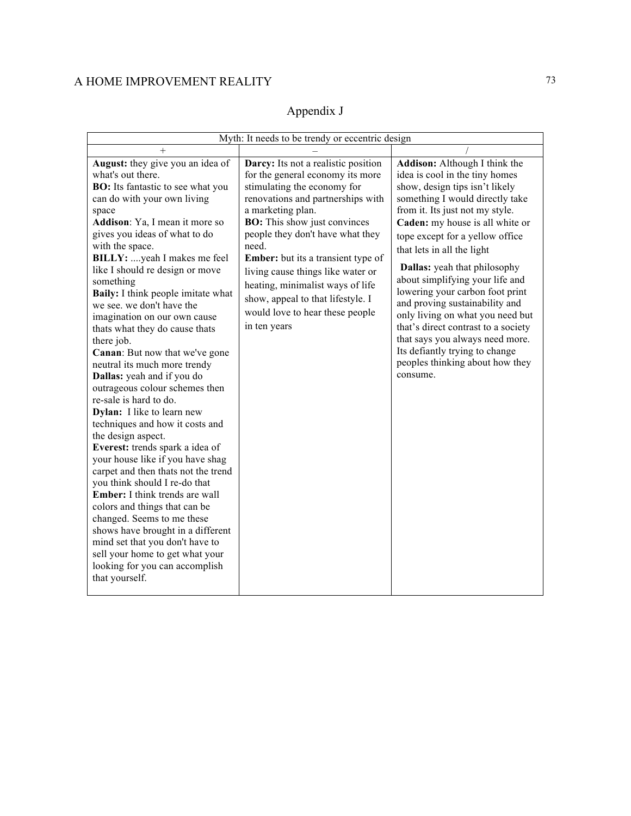## A HOME IMPROVEMENT REALITY 73

## Appendix J

| Myth: It needs to be trendy or eccentric design                                                                                                                                                                                                                                                                                                                                                                                                                                                                                                                                                                                                                                                                                                                                                                                                                                                                                                                                                                                                                                                                                                   |                                                                                                                                                                                                                                                                                                                                                                                                                                                                    |                                                                                                                                                                                                                                                                                                                                                                                                                                                                                                                                                                                                                           |
|---------------------------------------------------------------------------------------------------------------------------------------------------------------------------------------------------------------------------------------------------------------------------------------------------------------------------------------------------------------------------------------------------------------------------------------------------------------------------------------------------------------------------------------------------------------------------------------------------------------------------------------------------------------------------------------------------------------------------------------------------------------------------------------------------------------------------------------------------------------------------------------------------------------------------------------------------------------------------------------------------------------------------------------------------------------------------------------------------------------------------------------------------|--------------------------------------------------------------------------------------------------------------------------------------------------------------------------------------------------------------------------------------------------------------------------------------------------------------------------------------------------------------------------------------------------------------------------------------------------------------------|---------------------------------------------------------------------------------------------------------------------------------------------------------------------------------------------------------------------------------------------------------------------------------------------------------------------------------------------------------------------------------------------------------------------------------------------------------------------------------------------------------------------------------------------------------------------------------------------------------------------------|
| $^+$                                                                                                                                                                                                                                                                                                                                                                                                                                                                                                                                                                                                                                                                                                                                                                                                                                                                                                                                                                                                                                                                                                                                              |                                                                                                                                                                                                                                                                                                                                                                                                                                                                    |                                                                                                                                                                                                                                                                                                                                                                                                                                                                                                                                                                                                                           |
| August: they give you an idea of<br>what's out there.<br><b>BO:</b> Its fantastic to see what you<br>can do with your own living<br>space<br>Addison: Ya, I mean it more so<br>gives you ideas of what to do<br>with the space.<br>BILLY: yeah I makes me feel<br>like I should re design or move<br>something<br><b>Baily:</b> I think people imitate what<br>we see, we don't have the<br>imagination on our own cause<br>thats what they do cause thats<br>there job.<br>Canan: But now that we've gone<br>neutral its much more trendy<br>Dallas: yeah and if you do<br>outrageous colour schemes then<br>re-sale is hard to do.<br>Dylan: I like to learn new<br>techniques and how it costs and<br>the design aspect.<br>Everest: trends spark a idea of<br>your house like if you have shag<br>carpet and then thats not the trend<br>you think should I re-do that<br><b>Ember:</b> I think trends are wall<br>colors and things that can be<br>changed. Seems to me these<br>shows have brought in a different<br>mind set that you don't have to<br>sell your home to get what your<br>looking for you can accomplish<br>that yourself. | Darcy: Its not a realistic position<br>for the general economy its more<br>stimulating the economy for<br>renovations and partnerships with<br>a marketing plan.<br><b>BO:</b> This show just convinces<br>people they don't have what they<br>need.<br><b>Ember:</b> but its a transient type of<br>living cause things like water or<br>heating, minimalist ways of life<br>show, appeal to that lifestyle. I<br>would love to hear these people<br>in ten years | Addison: Although I think the<br>idea is cool in the tiny homes<br>show, design tips isn't likely<br>something I would directly take<br>from it. Its just not my style.<br>Caden: my house is all white or<br>tope except for a yellow office<br>that lets in all the light<br><b>Dallas:</b> yeah that philosophy<br>about simplifying your life and<br>lowering your carbon foot print<br>and proving sustainability and<br>only living on what you need but<br>that's direct contrast to a society<br>that says you always need more.<br>Its defiantly trying to change<br>peoples thinking about how they<br>consume. |